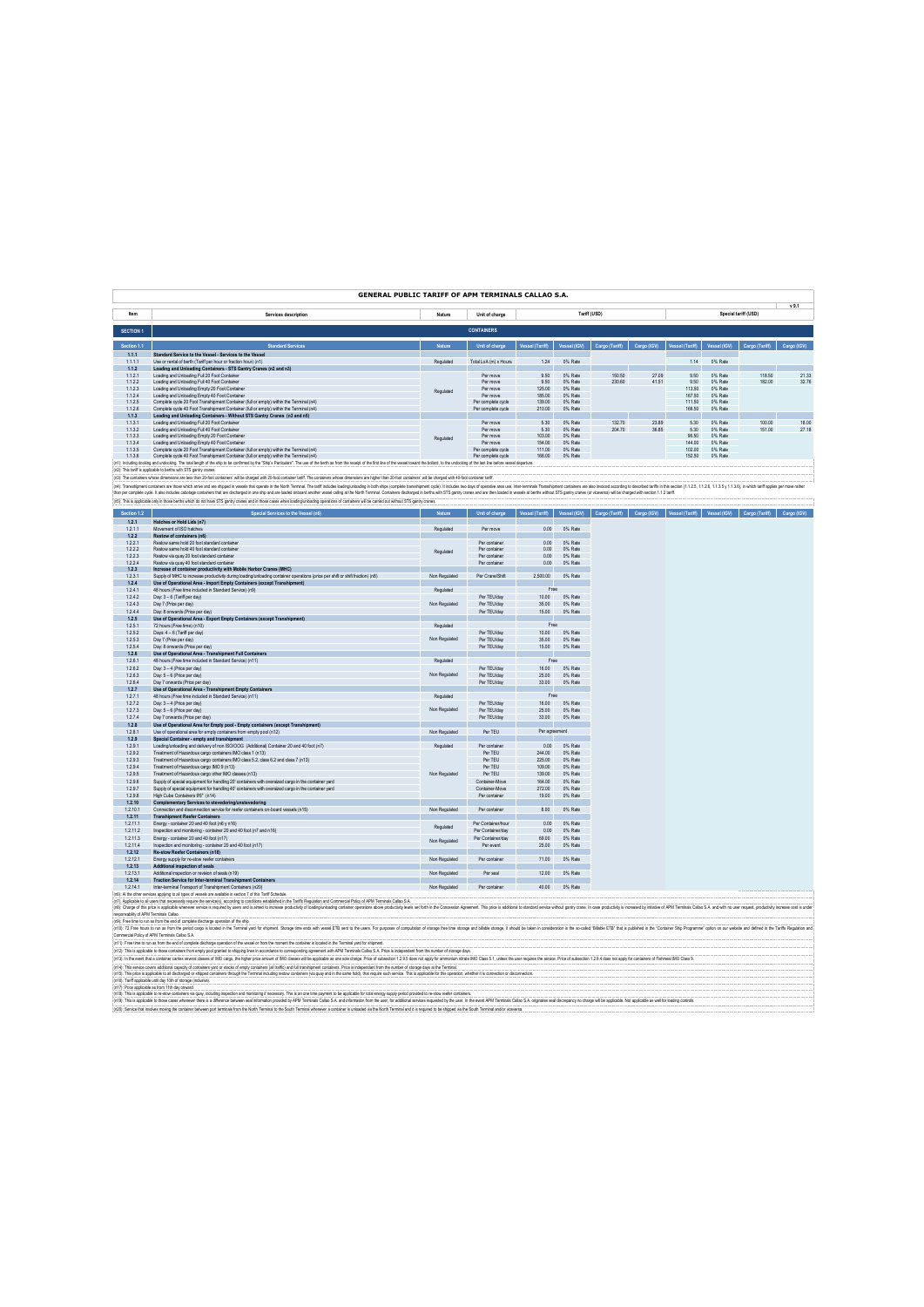## **GENERAL PUBLIC TARIFF OF APM TERMINALS CALLAO S.A.**

|             |                                                                                                                                                                                                                                |               |                       |                 |              |                |             |                 |              |                      | $v$ 9.1     |
|-------------|--------------------------------------------------------------------------------------------------------------------------------------------------------------------------------------------------------------------------------|---------------|-----------------------|-----------------|--------------|----------------|-------------|-----------------|--------------|----------------------|-------------|
| <b>Item</b> | Services description                                                                                                                                                                                                           | Nature        | Unit of charge        |                 |              | Tariff (USD)   |             |                 |              | Special tariff (USD) |             |
|             |                                                                                                                                                                                                                                |               |                       |                 |              |                |             |                 |              |                      |             |
| SECTION 1   |                                                                                                                                                                                                                                |               | <b>CONTAINERS</b>     |                 |              |                |             |                 |              |                      |             |
|             |                                                                                                                                                                                                                                |               |                       |                 |              |                |             |                 |              |                      |             |
| Section 1.1 | <b>Standard Services</b>                                                                                                                                                                                                       | <b>Nature</b> | Unit of charge        | Vessel (Tariff) | Vessel (IGV) | Cargo (Tariff) | Cargo (IGV) | Vessel (Tariff) | Vessel (IGV) | Cargo (Tariff)       | Cargo (IGV) |
| 1.1.1       | Standard Service to the Vessel - Services to the Vessel                                                                                                                                                                        |               |                       |                 |              |                |             |                 |              |                      |             |
| 1.1.1.1     | Use or rental of berth (Tariff per hour or fraction hour) (n1)                                                                                                                                                                 | Requisited    | Total LoA (m) x Hours | 1.24            | 0% Rate      |                |             | 1.14            | 0% Rate      |                      |             |
| 1.1.2       | Loading and Unloading Containers - STS Gantry Cranes (n2 and n3)                                                                                                                                                               |               |                       |                 |              |                |             |                 |              |                      |             |
| 1.1.2.1     | Loading and Unloading Full 20 Foot Container                                                                                                                                                                                   |               | Per move              | 9.50            | 0% Rate      | 150.50         | 27.09       | 9.50            | 0% Rate      | 118.50               | 21.33       |
| 1.1.2.2     | Loading and Unbading Full 40 Foot Container                                                                                                                                                                                    |               | Per move              | 9.50            | 0% Rate      | 230.60         | 41.51       | 9.50            | 0% Rate      | 182.00               | 32.76       |
| 1.1.2.3     | Loading and Unloading Empty 20 Foot Container                                                                                                                                                                                  | Regulated     | Per move              | 125.00          | 0% Rate      |                |             | 113.50          | 0% Rate      |                      |             |
| 1.1.2.4     | Loading and Unipading Empty 40 Egot Container                                                                                                                                                                                  |               | Per move              | 185.00          | 0% Rate      |                |             | 167.50          | 0% Rate      |                      |             |
| 1.1.2.5     | Complete cycle 20 Foot Transhipment Container (full or empty) within the Terminal (n4)                                                                                                                                         |               | Per complete cycle    | 139.00          | 0% Rate      |                |             | 111.50          | 0% Rate      |                      |             |
| 1.1.26      | Complete cycle 40 Foot Transhipment Container (full or empty) within the Terminal (n4)                                                                                                                                         |               | Per complete cycle    | 210.00          | 0% Rate      |                |             | 166.50          | 0% Rate      |                      |             |
| 1.1.3       | Loading and Unloading Containers - Without STS Gantry Cranes (n3 and n5)                                                                                                                                                       |               |                       |                 |              |                |             |                 |              |                      |             |
| 1.1.3.1     | Loading and Unipading Full 20 Foot Container                                                                                                                                                                                   |               | Per move              | 5.30            | 0% Rate      | 132.70         | 23.89       | 5.30            | 0% Rate      | 100.00               | 18.00       |
| 1.1.3.2     | Loading and Unloading Full 40 Foot Container                                                                                                                                                                                   |               | Per move              | 5.30            | 0% Rate      | 204.70         | 36.85       | 5.30            | 0% Rate      | 151.00               | 27.18       |
| 1.1.3.3     | Loading and Unloading Empty 20 Foot Container                                                                                                                                                                                  | Regulated     | Per move              | 103.00          | 0% Rate      |                |             | 96.50           | 0% Rate      |                      |             |
| 1.1.3.4     | Loading and Unloading Empty 40 Foot Container                                                                                                                                                                                  |               | Per move              | 154.00          | 0% Rate      |                |             | 144.00          | 0% Rate      |                      |             |
| 1.1.3.5     | Complete cycle 20 Eont Transhipment Container (full or empty) within the Terminal (n4)                                                                                                                                         |               | Per complete cycle    | 111.00          | 0% Rate      |                |             | 102.00          | 0% Rate      |                      |             |
| 1136        | Complete cycle 40 Foot Transhipment Container (full or empty) within the Terminal (n4)                                                                                                                                         |               | Per complete cycle    | 166.00          | 0% Rate      |                |             | 152.50          | 0% Rate      |                      |             |
|             | (n1): Induding docking and undocking. The total length of the ship to be confirmed by the "Ship's Particulars". The use of the berth as from the receipt of the first line of the vessel doward the bolard, to the undocking o |               |                       |                 |              |                |             |                 |              |                      |             |

(iQ). The strapical technology are interest the depth of the company of the main of the main of the main of the main of the main of the main of the main of the main of the main of the main of the main of the main of the ma

| Cargo (IGV) Vessel (Tariff)<br>Cargo (IGV)<br>1.2.1<br>Hatches or Hold Lids (n7)<br>1.2.1.1<br>Requiated<br>0% Rate<br>Movement of ISO hatches<br>Per move<br>0.00<br>1.2.2<br>Restow of containers (n6)<br>1.2.2.1<br>Restow same hold 20 foot standard container<br>Per container<br>0.00<br>0% Rate<br>1222<br>Restow same hold 40 foot standard container<br>0% Rate<br>Per mntainer<br>0.00<br>Regulated<br>1.2.2.3<br>Restow via quay 20 foot standard container<br>0.00<br>Per container<br>0% Rate<br>1.2.2.4<br>Restow via quay 40 foot standard container<br>Per container<br>0.00<br>0% Rate<br>1.2.3<br>Increase of container productivity with Mobile Harbor Cranes (MHC)<br>1.2.3.1<br>Supply of MHC to increase productivity during loading/unloading container operations (price per shift or shift fraction) (n8)<br>Non Regulated<br>Per Crane/Shift<br>2,500.00<br>0% Rate<br>1.2.4<br>Use of Operational Area - Import Empty Containers (except Transhipment)<br>Free<br>1.2.4.1<br>48 hours (Free time included in Standard Service) (n9)<br>Requisited<br>1.2.4.2<br>Per TEU/day<br>0% Rate<br>Day: 3 - 6 (Tariff per day)<br>10.00<br>Non Regulated<br>1.2.4.3<br>Day 7 (Price per day)<br>Per TEU/day<br>35.00<br>0% Rate<br>1.2.4.4<br>Day: 8 onwards (Price per day)<br>Per TEU/day<br>15.00<br>0% Rate<br>1.2.5<br>Use of Operational Area - Export Empty Containers (except Transhipment)<br>Free<br>1.2.5.1<br>72 hours (Free time) (n10)<br>Requisited<br>1.2.5.2<br>Per TEU/day<br>Days: 4 - 6 (Tariff per day)<br>10.00<br>0% Rate<br>Non Regulated<br>1.2.5.3<br>Day 7 (Price per day)<br>Per TEU/day<br>35.00<br>0% Rate<br>1.2.5.4<br>15.00<br>0% Rate<br>Day: 8 onwards (Price per day)<br>Per TEU/day<br>Use of Operational Area - Transhipment Full Containers<br>1.2.6<br>Free<br>1.2.6.1<br>48 hours (Free time included in Standard Service) (n11)<br>Requiated<br>1.2.6.2<br>Per TEU/day<br>16.00<br>0% Rate<br>Day: 3-4 (Price per day)<br>1.2.6.3<br>Non Regulated<br>Day: 5 - 6 (Price per day)<br>Per TEU/day<br>25.00<br>0% Rate<br>1.2.6.4<br>Day 7 onwards (Price per day)<br>Per TEU/day<br>33.00<br>0% Rate<br>1.2.7<br>Use of Operational Area - Transhipment Empty Containers<br>Free<br>1.2.7.1<br>48 hours (Free time included in Standard Service) (n11)<br>Requiated<br>Per TEU/day<br>1.2.7.2<br>Day: 3-4 (Price per day)<br>16.00<br>0% Rate<br>1.2.7.3<br>Non Regulated<br>Per TEU/day<br>Day: 5 - 6 (Price per day)<br>25.00<br>0% Rate<br>1.2.7.4<br>Per TEU/day<br>Day 7 onwards (Price per day)<br>33.00<br>0% Rate<br>1.2.8<br>Use of Operational Area for Empty pool - Empty containers (except Transhipment)<br>1.2.8.1<br>Per agreement<br>Use of operational area for empty containers from empty pool (n12)<br>Non Regulated<br>Per TEU<br>1.2.9<br>Special Container - empty and transhipment<br>1.2.9.1<br>Loading/unloading and delivery of non ISO/OOG (Additional) Container 20 and 40 foot (n7)<br>Requiated<br>Per container<br>0.00<br>0% Rate<br>1.2.9.2<br>Per TEU<br>244.00<br>0% Rate<br>Treatment of Hazardous cargo containers IMO class 1 (n13)<br>1.2.9.3<br>Treatment of Hazardous cargo containers IMO class 5.2, class 6.2 and class 7 (n13)<br>Per TEU<br>225.00<br>0% Rate<br>1.2.9.4<br>Treatment of Hazardous cargo IMO 9 (n13)<br>Per TEU<br>0% Rate<br>109.00<br>1.2.9.5<br>Non Regulated<br>Treatment of Hazardous cargo other IMO classes (n13)<br>Per TEU<br>139.00<br>0% Rate<br>1296<br>Supply of special equipment for handling 20' containers with oversized cargo in the container vard<br>Container-Move<br>164,00<br>0% Rate<br>1.2.9.7<br>Supply of special equipment for handling 40' containers with oversized cargo in the container vard<br>Container-Move<br>272.00<br>0% Rate<br>1.2.9.8<br>High Cube Containers 9'6" (n14)<br>Per container<br>19.00<br>0% Rate<br>1.2.10<br>Complementary Services to stevedoring/unstevedoring<br>1.2.10.1<br>Connection and disconnection service for reefer containers on-board vessels (n15)<br>Non Regulated<br>Per container<br>8.00<br>0% Rate<br>1.2.11<br><b>Transhipment Reefer Containers</b><br>0% Rate<br>1.2.11.1<br>Energy - container 20 and 40 foot (n6 y n16)<br>Per Container/hour<br>0.00<br>Regulated<br>1.2.11.2<br>Per Container/day<br>Inspection and monitoring - container 20 and 40 foot (n7 and n16)<br>0.00<br>0% Rate<br>1.2.11.3<br>Energy - container 20 and 40 foot (n17)<br>Per Container/day<br>69.00<br>0% Rate<br>Non Regulated<br>1.2.11.4<br>Inspection and monitoring - container 20 and 40 foot (n17)<br>Per event<br>25.00<br>0% Rate<br>1,2.12<br>Re-stow Reefer Containers (n18)<br>1.2.12.1<br>0% Rate<br>Energy supply for re-stow reefer containers<br>Non Regulated<br>Per container<br>71.00<br>1.2.13<br>Additional inspection of seals<br>1.2.13.1<br>Additional inspection or revision of seals (n19)<br>12.00<br>Non Regulated<br>Per seal<br>0% Rate<br>1.2.14<br><b>Traction Service for Inter-terminal Transhipment Containers</b><br>Inter-terminal Transport of Transhipment Containers (n20)<br>1.2.14.1<br>Non Regulated<br>Per container<br>40.00<br>0% Rate<br>n6): Al the other services applying to all types of vessels are available in section 7 of this Tariff Schedule. |             |                                     |               |                |                 |              |                |              |                |
|------------------------------------------------------------------------------------------------------------------------------------------------------------------------------------------------------------------------------------------------------------------------------------------------------------------------------------------------------------------------------------------------------------------------------------------------------------------------------------------------------------------------------------------------------------------------------------------------------------------------------------------------------------------------------------------------------------------------------------------------------------------------------------------------------------------------------------------------------------------------------------------------------------------------------------------------------------------------------------------------------------------------------------------------------------------------------------------------------------------------------------------------------------------------------------------------------------------------------------------------------------------------------------------------------------------------------------------------------------------------------------------------------------------------------------------------------------------------------------------------------------------------------------------------------------------------------------------------------------------------------------------------------------------------------------------------------------------------------------------------------------------------------------------------------------------------------------------------------------------------------------------------------------------------------------------------------------------------------------------------------------------------------------------------------------------------------------------------------------------------------------------------------------------------------------------------------------------------------------------------------------------------------------------------------------------------------------------------------------------------------------------------------------------------------------------------------------------------------------------------------------------------------------------------------------------------------------------------------------------------------------------------------------------------------------------------------------------------------------------------------------------------------------------------------------------------------------------------------------------------------------------------------------------------------------------------------------------------------------------------------------------------------------------------------------------------------------------------------------------------------------------------------------------------------------------------------------------------------------------------------------------------------------------------------------------------------------------------------------------------------------------------------------------------------------------------------------------------------------------------------------------------------------------------------------------------------------------------------------------------------------------------------------------------------------------------------------------------------------------------------------------------------------------------------------------------------------------------------------------------------------------------------------------------------------------------------------------------------------------------------------------------------------------------------------------------------------------------------------------------------------------------------------------------------------------------------------------------------------------------------------------------------------------------------------------------------------------------------------------------------------------------------------------------------------------------------------------------------------------------------------------------------------------------------------------------------------------------------------------------------------------------------------------------------------------------------------------------------------------------------------------------------------------------------------------------------------------------------------------------------------------------------------------------------------------------------------------------------------------------------------------------------------------------------------------------------------------------------------------------------------------------------------------------------------------------------------------------------------------------------------------------------------------------|-------------|-------------------------------------|---------------|----------------|-----------------|--------------|----------------|--------------|----------------|
|                                                                                                                                                                                                                                                                                                                                                                                                                                                                                                                                                                                                                                                                                                                                                                                                                                                                                                                                                                                                                                                                                                                                                                                                                                                                                                                                                                                                                                                                                                                                                                                                                                                                                                                                                                                                                                                                                                                                                                                                                                                                                                                                                                                                                                                                                                                                                                                                                                                                                                                                                                                                                                                                                                                                                                                                                                                                                                                                                                                                                                                                                                                                                                                                                                                                                                                                                                                                                                                                                                                                                                                                                                                                                                                                                                                                                                                                                                                                                                                                                                                                                                                                                                                                                                                                                                                                                                                                                                                                                                                                                                                                                                                                                                                                                                                                                                                                                                                                                                                                                                                                                                                                                                                                                                                                                                | Section 1.2 | Special Services to the Vessel (n6) | <b>Nature</b> | Unit of charge | Vessel (Tariff) | Vessel (IGV) | Cargo (Tariff) | Vessel (IGV) | Cargo (Tariff) |
|                                                                                                                                                                                                                                                                                                                                                                                                                                                                                                                                                                                                                                                                                                                                                                                                                                                                                                                                                                                                                                                                                                                                                                                                                                                                                                                                                                                                                                                                                                                                                                                                                                                                                                                                                                                                                                                                                                                                                                                                                                                                                                                                                                                                                                                                                                                                                                                                                                                                                                                                                                                                                                                                                                                                                                                                                                                                                                                                                                                                                                                                                                                                                                                                                                                                                                                                                                                                                                                                                                                                                                                                                                                                                                                                                                                                                                                                                                                                                                                                                                                                                                                                                                                                                                                                                                                                                                                                                                                                                                                                                                                                                                                                                                                                                                                                                                                                                                                                                                                                                                                                                                                                                                                                                                                                                                |             |                                     |               |                |                 |              |                |              |                |
|                                                                                                                                                                                                                                                                                                                                                                                                                                                                                                                                                                                                                                                                                                                                                                                                                                                                                                                                                                                                                                                                                                                                                                                                                                                                                                                                                                                                                                                                                                                                                                                                                                                                                                                                                                                                                                                                                                                                                                                                                                                                                                                                                                                                                                                                                                                                                                                                                                                                                                                                                                                                                                                                                                                                                                                                                                                                                                                                                                                                                                                                                                                                                                                                                                                                                                                                                                                                                                                                                                                                                                                                                                                                                                                                                                                                                                                                                                                                                                                                                                                                                                                                                                                                                                                                                                                                                                                                                                                                                                                                                                                                                                                                                                                                                                                                                                                                                                                                                                                                                                                                                                                                                                                                                                                                                                |             |                                     |               |                |                 |              |                |              |                |
|                                                                                                                                                                                                                                                                                                                                                                                                                                                                                                                                                                                                                                                                                                                                                                                                                                                                                                                                                                                                                                                                                                                                                                                                                                                                                                                                                                                                                                                                                                                                                                                                                                                                                                                                                                                                                                                                                                                                                                                                                                                                                                                                                                                                                                                                                                                                                                                                                                                                                                                                                                                                                                                                                                                                                                                                                                                                                                                                                                                                                                                                                                                                                                                                                                                                                                                                                                                                                                                                                                                                                                                                                                                                                                                                                                                                                                                                                                                                                                                                                                                                                                                                                                                                                                                                                                                                                                                                                                                                                                                                                                                                                                                                                                                                                                                                                                                                                                                                                                                                                                                                                                                                                                                                                                                                                                |             |                                     |               |                |                 |              |                |              |                |
|                                                                                                                                                                                                                                                                                                                                                                                                                                                                                                                                                                                                                                                                                                                                                                                                                                                                                                                                                                                                                                                                                                                                                                                                                                                                                                                                                                                                                                                                                                                                                                                                                                                                                                                                                                                                                                                                                                                                                                                                                                                                                                                                                                                                                                                                                                                                                                                                                                                                                                                                                                                                                                                                                                                                                                                                                                                                                                                                                                                                                                                                                                                                                                                                                                                                                                                                                                                                                                                                                                                                                                                                                                                                                                                                                                                                                                                                                                                                                                                                                                                                                                                                                                                                                                                                                                                                                                                                                                                                                                                                                                                                                                                                                                                                                                                                                                                                                                                                                                                                                                                                                                                                                                                                                                                                                                |             |                                     |               |                |                 |              |                |              |                |
|                                                                                                                                                                                                                                                                                                                                                                                                                                                                                                                                                                                                                                                                                                                                                                                                                                                                                                                                                                                                                                                                                                                                                                                                                                                                                                                                                                                                                                                                                                                                                                                                                                                                                                                                                                                                                                                                                                                                                                                                                                                                                                                                                                                                                                                                                                                                                                                                                                                                                                                                                                                                                                                                                                                                                                                                                                                                                                                                                                                                                                                                                                                                                                                                                                                                                                                                                                                                                                                                                                                                                                                                                                                                                                                                                                                                                                                                                                                                                                                                                                                                                                                                                                                                                                                                                                                                                                                                                                                                                                                                                                                                                                                                                                                                                                                                                                                                                                                                                                                                                                                                                                                                                                                                                                                                                                |             |                                     |               |                |                 |              |                |              |                |
|                                                                                                                                                                                                                                                                                                                                                                                                                                                                                                                                                                                                                                                                                                                                                                                                                                                                                                                                                                                                                                                                                                                                                                                                                                                                                                                                                                                                                                                                                                                                                                                                                                                                                                                                                                                                                                                                                                                                                                                                                                                                                                                                                                                                                                                                                                                                                                                                                                                                                                                                                                                                                                                                                                                                                                                                                                                                                                                                                                                                                                                                                                                                                                                                                                                                                                                                                                                                                                                                                                                                                                                                                                                                                                                                                                                                                                                                                                                                                                                                                                                                                                                                                                                                                                                                                                                                                                                                                                                                                                                                                                                                                                                                                                                                                                                                                                                                                                                                                                                                                                                                                                                                                                                                                                                                                                |             |                                     |               |                |                 |              |                |              |                |
|                                                                                                                                                                                                                                                                                                                                                                                                                                                                                                                                                                                                                                                                                                                                                                                                                                                                                                                                                                                                                                                                                                                                                                                                                                                                                                                                                                                                                                                                                                                                                                                                                                                                                                                                                                                                                                                                                                                                                                                                                                                                                                                                                                                                                                                                                                                                                                                                                                                                                                                                                                                                                                                                                                                                                                                                                                                                                                                                                                                                                                                                                                                                                                                                                                                                                                                                                                                                                                                                                                                                                                                                                                                                                                                                                                                                                                                                                                                                                                                                                                                                                                                                                                                                                                                                                                                                                                                                                                                                                                                                                                                                                                                                                                                                                                                                                                                                                                                                                                                                                                                                                                                                                                                                                                                                                                |             |                                     |               |                |                 |              |                |              |                |
|                                                                                                                                                                                                                                                                                                                                                                                                                                                                                                                                                                                                                                                                                                                                                                                                                                                                                                                                                                                                                                                                                                                                                                                                                                                                                                                                                                                                                                                                                                                                                                                                                                                                                                                                                                                                                                                                                                                                                                                                                                                                                                                                                                                                                                                                                                                                                                                                                                                                                                                                                                                                                                                                                                                                                                                                                                                                                                                                                                                                                                                                                                                                                                                                                                                                                                                                                                                                                                                                                                                                                                                                                                                                                                                                                                                                                                                                                                                                                                                                                                                                                                                                                                                                                                                                                                                                                                                                                                                                                                                                                                                                                                                                                                                                                                                                                                                                                                                                                                                                                                                                                                                                                                                                                                                                                                |             |                                     |               |                |                 |              |                |              |                |
|                                                                                                                                                                                                                                                                                                                                                                                                                                                                                                                                                                                                                                                                                                                                                                                                                                                                                                                                                                                                                                                                                                                                                                                                                                                                                                                                                                                                                                                                                                                                                                                                                                                                                                                                                                                                                                                                                                                                                                                                                                                                                                                                                                                                                                                                                                                                                                                                                                                                                                                                                                                                                                                                                                                                                                                                                                                                                                                                                                                                                                                                                                                                                                                                                                                                                                                                                                                                                                                                                                                                                                                                                                                                                                                                                                                                                                                                                                                                                                                                                                                                                                                                                                                                                                                                                                                                                                                                                                                                                                                                                                                                                                                                                                                                                                                                                                                                                                                                                                                                                                                                                                                                                                                                                                                                                                |             |                                     |               |                |                 |              |                |              |                |
|                                                                                                                                                                                                                                                                                                                                                                                                                                                                                                                                                                                                                                                                                                                                                                                                                                                                                                                                                                                                                                                                                                                                                                                                                                                                                                                                                                                                                                                                                                                                                                                                                                                                                                                                                                                                                                                                                                                                                                                                                                                                                                                                                                                                                                                                                                                                                                                                                                                                                                                                                                                                                                                                                                                                                                                                                                                                                                                                                                                                                                                                                                                                                                                                                                                                                                                                                                                                                                                                                                                                                                                                                                                                                                                                                                                                                                                                                                                                                                                                                                                                                                                                                                                                                                                                                                                                                                                                                                                                                                                                                                                                                                                                                                                                                                                                                                                                                                                                                                                                                                                                                                                                                                                                                                                                                                |             |                                     |               |                |                 |              |                |              |                |
|                                                                                                                                                                                                                                                                                                                                                                                                                                                                                                                                                                                                                                                                                                                                                                                                                                                                                                                                                                                                                                                                                                                                                                                                                                                                                                                                                                                                                                                                                                                                                                                                                                                                                                                                                                                                                                                                                                                                                                                                                                                                                                                                                                                                                                                                                                                                                                                                                                                                                                                                                                                                                                                                                                                                                                                                                                                                                                                                                                                                                                                                                                                                                                                                                                                                                                                                                                                                                                                                                                                                                                                                                                                                                                                                                                                                                                                                                                                                                                                                                                                                                                                                                                                                                                                                                                                                                                                                                                                                                                                                                                                                                                                                                                                                                                                                                                                                                                                                                                                                                                                                                                                                                                                                                                                                                                |             |                                     |               |                |                 |              |                |              |                |
|                                                                                                                                                                                                                                                                                                                                                                                                                                                                                                                                                                                                                                                                                                                                                                                                                                                                                                                                                                                                                                                                                                                                                                                                                                                                                                                                                                                                                                                                                                                                                                                                                                                                                                                                                                                                                                                                                                                                                                                                                                                                                                                                                                                                                                                                                                                                                                                                                                                                                                                                                                                                                                                                                                                                                                                                                                                                                                                                                                                                                                                                                                                                                                                                                                                                                                                                                                                                                                                                                                                                                                                                                                                                                                                                                                                                                                                                                                                                                                                                                                                                                                                                                                                                                                                                                                                                                                                                                                                                                                                                                                                                                                                                                                                                                                                                                                                                                                                                                                                                                                                                                                                                                                                                                                                                                                |             |                                     |               |                |                 |              |                |              |                |
|                                                                                                                                                                                                                                                                                                                                                                                                                                                                                                                                                                                                                                                                                                                                                                                                                                                                                                                                                                                                                                                                                                                                                                                                                                                                                                                                                                                                                                                                                                                                                                                                                                                                                                                                                                                                                                                                                                                                                                                                                                                                                                                                                                                                                                                                                                                                                                                                                                                                                                                                                                                                                                                                                                                                                                                                                                                                                                                                                                                                                                                                                                                                                                                                                                                                                                                                                                                                                                                                                                                                                                                                                                                                                                                                                                                                                                                                                                                                                                                                                                                                                                                                                                                                                                                                                                                                                                                                                                                                                                                                                                                                                                                                                                                                                                                                                                                                                                                                                                                                                                                                                                                                                                                                                                                                                                |             |                                     |               |                |                 |              |                |              |                |
|                                                                                                                                                                                                                                                                                                                                                                                                                                                                                                                                                                                                                                                                                                                                                                                                                                                                                                                                                                                                                                                                                                                                                                                                                                                                                                                                                                                                                                                                                                                                                                                                                                                                                                                                                                                                                                                                                                                                                                                                                                                                                                                                                                                                                                                                                                                                                                                                                                                                                                                                                                                                                                                                                                                                                                                                                                                                                                                                                                                                                                                                                                                                                                                                                                                                                                                                                                                                                                                                                                                                                                                                                                                                                                                                                                                                                                                                                                                                                                                                                                                                                                                                                                                                                                                                                                                                                                                                                                                                                                                                                                                                                                                                                                                                                                                                                                                                                                                                                                                                                                                                                                                                                                                                                                                                                                |             |                                     |               |                |                 |              |                |              |                |
|                                                                                                                                                                                                                                                                                                                                                                                                                                                                                                                                                                                                                                                                                                                                                                                                                                                                                                                                                                                                                                                                                                                                                                                                                                                                                                                                                                                                                                                                                                                                                                                                                                                                                                                                                                                                                                                                                                                                                                                                                                                                                                                                                                                                                                                                                                                                                                                                                                                                                                                                                                                                                                                                                                                                                                                                                                                                                                                                                                                                                                                                                                                                                                                                                                                                                                                                                                                                                                                                                                                                                                                                                                                                                                                                                                                                                                                                                                                                                                                                                                                                                                                                                                                                                                                                                                                                                                                                                                                                                                                                                                                                                                                                                                                                                                                                                                                                                                                                                                                                                                                                                                                                                                                                                                                                                                |             |                                     |               |                |                 |              |                |              |                |
|                                                                                                                                                                                                                                                                                                                                                                                                                                                                                                                                                                                                                                                                                                                                                                                                                                                                                                                                                                                                                                                                                                                                                                                                                                                                                                                                                                                                                                                                                                                                                                                                                                                                                                                                                                                                                                                                                                                                                                                                                                                                                                                                                                                                                                                                                                                                                                                                                                                                                                                                                                                                                                                                                                                                                                                                                                                                                                                                                                                                                                                                                                                                                                                                                                                                                                                                                                                                                                                                                                                                                                                                                                                                                                                                                                                                                                                                                                                                                                                                                                                                                                                                                                                                                                                                                                                                                                                                                                                                                                                                                                                                                                                                                                                                                                                                                                                                                                                                                                                                                                                                                                                                                                                                                                                                                                |             |                                     |               |                |                 |              |                |              |                |
|                                                                                                                                                                                                                                                                                                                                                                                                                                                                                                                                                                                                                                                                                                                                                                                                                                                                                                                                                                                                                                                                                                                                                                                                                                                                                                                                                                                                                                                                                                                                                                                                                                                                                                                                                                                                                                                                                                                                                                                                                                                                                                                                                                                                                                                                                                                                                                                                                                                                                                                                                                                                                                                                                                                                                                                                                                                                                                                                                                                                                                                                                                                                                                                                                                                                                                                                                                                                                                                                                                                                                                                                                                                                                                                                                                                                                                                                                                                                                                                                                                                                                                                                                                                                                                                                                                                                                                                                                                                                                                                                                                                                                                                                                                                                                                                                                                                                                                                                                                                                                                                                                                                                                                                                                                                                                                |             |                                     |               |                |                 |              |                |              |                |
|                                                                                                                                                                                                                                                                                                                                                                                                                                                                                                                                                                                                                                                                                                                                                                                                                                                                                                                                                                                                                                                                                                                                                                                                                                                                                                                                                                                                                                                                                                                                                                                                                                                                                                                                                                                                                                                                                                                                                                                                                                                                                                                                                                                                                                                                                                                                                                                                                                                                                                                                                                                                                                                                                                                                                                                                                                                                                                                                                                                                                                                                                                                                                                                                                                                                                                                                                                                                                                                                                                                                                                                                                                                                                                                                                                                                                                                                                                                                                                                                                                                                                                                                                                                                                                                                                                                                                                                                                                                                                                                                                                                                                                                                                                                                                                                                                                                                                                                                                                                                                                                                                                                                                                                                                                                                                                |             |                                     |               |                |                 |              |                |              |                |
|                                                                                                                                                                                                                                                                                                                                                                                                                                                                                                                                                                                                                                                                                                                                                                                                                                                                                                                                                                                                                                                                                                                                                                                                                                                                                                                                                                                                                                                                                                                                                                                                                                                                                                                                                                                                                                                                                                                                                                                                                                                                                                                                                                                                                                                                                                                                                                                                                                                                                                                                                                                                                                                                                                                                                                                                                                                                                                                                                                                                                                                                                                                                                                                                                                                                                                                                                                                                                                                                                                                                                                                                                                                                                                                                                                                                                                                                                                                                                                                                                                                                                                                                                                                                                                                                                                                                                                                                                                                                                                                                                                                                                                                                                                                                                                                                                                                                                                                                                                                                                                                                                                                                                                                                                                                                                                |             |                                     |               |                |                 |              |                |              |                |
|                                                                                                                                                                                                                                                                                                                                                                                                                                                                                                                                                                                                                                                                                                                                                                                                                                                                                                                                                                                                                                                                                                                                                                                                                                                                                                                                                                                                                                                                                                                                                                                                                                                                                                                                                                                                                                                                                                                                                                                                                                                                                                                                                                                                                                                                                                                                                                                                                                                                                                                                                                                                                                                                                                                                                                                                                                                                                                                                                                                                                                                                                                                                                                                                                                                                                                                                                                                                                                                                                                                                                                                                                                                                                                                                                                                                                                                                                                                                                                                                                                                                                                                                                                                                                                                                                                                                                                                                                                                                                                                                                                                                                                                                                                                                                                                                                                                                                                                                                                                                                                                                                                                                                                                                                                                                                                |             |                                     |               |                |                 |              |                |              |                |
|                                                                                                                                                                                                                                                                                                                                                                                                                                                                                                                                                                                                                                                                                                                                                                                                                                                                                                                                                                                                                                                                                                                                                                                                                                                                                                                                                                                                                                                                                                                                                                                                                                                                                                                                                                                                                                                                                                                                                                                                                                                                                                                                                                                                                                                                                                                                                                                                                                                                                                                                                                                                                                                                                                                                                                                                                                                                                                                                                                                                                                                                                                                                                                                                                                                                                                                                                                                                                                                                                                                                                                                                                                                                                                                                                                                                                                                                                                                                                                                                                                                                                                                                                                                                                                                                                                                                                                                                                                                                                                                                                                                                                                                                                                                                                                                                                                                                                                                                                                                                                                                                                                                                                                                                                                                                                                |             |                                     |               |                |                 |              |                |              |                |
|                                                                                                                                                                                                                                                                                                                                                                                                                                                                                                                                                                                                                                                                                                                                                                                                                                                                                                                                                                                                                                                                                                                                                                                                                                                                                                                                                                                                                                                                                                                                                                                                                                                                                                                                                                                                                                                                                                                                                                                                                                                                                                                                                                                                                                                                                                                                                                                                                                                                                                                                                                                                                                                                                                                                                                                                                                                                                                                                                                                                                                                                                                                                                                                                                                                                                                                                                                                                                                                                                                                                                                                                                                                                                                                                                                                                                                                                                                                                                                                                                                                                                                                                                                                                                                                                                                                                                                                                                                                                                                                                                                                                                                                                                                                                                                                                                                                                                                                                                                                                                                                                                                                                                                                                                                                                                                |             |                                     |               |                |                 |              |                |              |                |
|                                                                                                                                                                                                                                                                                                                                                                                                                                                                                                                                                                                                                                                                                                                                                                                                                                                                                                                                                                                                                                                                                                                                                                                                                                                                                                                                                                                                                                                                                                                                                                                                                                                                                                                                                                                                                                                                                                                                                                                                                                                                                                                                                                                                                                                                                                                                                                                                                                                                                                                                                                                                                                                                                                                                                                                                                                                                                                                                                                                                                                                                                                                                                                                                                                                                                                                                                                                                                                                                                                                                                                                                                                                                                                                                                                                                                                                                                                                                                                                                                                                                                                                                                                                                                                                                                                                                                                                                                                                                                                                                                                                                                                                                                                                                                                                                                                                                                                                                                                                                                                                                                                                                                                                                                                                                                                |             |                                     |               |                |                 |              |                |              |                |
|                                                                                                                                                                                                                                                                                                                                                                                                                                                                                                                                                                                                                                                                                                                                                                                                                                                                                                                                                                                                                                                                                                                                                                                                                                                                                                                                                                                                                                                                                                                                                                                                                                                                                                                                                                                                                                                                                                                                                                                                                                                                                                                                                                                                                                                                                                                                                                                                                                                                                                                                                                                                                                                                                                                                                                                                                                                                                                                                                                                                                                                                                                                                                                                                                                                                                                                                                                                                                                                                                                                                                                                                                                                                                                                                                                                                                                                                                                                                                                                                                                                                                                                                                                                                                                                                                                                                                                                                                                                                                                                                                                                                                                                                                                                                                                                                                                                                                                                                                                                                                                                                                                                                                                                                                                                                                                |             |                                     |               |                |                 |              |                |              |                |
|                                                                                                                                                                                                                                                                                                                                                                                                                                                                                                                                                                                                                                                                                                                                                                                                                                                                                                                                                                                                                                                                                                                                                                                                                                                                                                                                                                                                                                                                                                                                                                                                                                                                                                                                                                                                                                                                                                                                                                                                                                                                                                                                                                                                                                                                                                                                                                                                                                                                                                                                                                                                                                                                                                                                                                                                                                                                                                                                                                                                                                                                                                                                                                                                                                                                                                                                                                                                                                                                                                                                                                                                                                                                                                                                                                                                                                                                                                                                                                                                                                                                                                                                                                                                                                                                                                                                                                                                                                                                                                                                                                                                                                                                                                                                                                                                                                                                                                                                                                                                                                                                                                                                                                                                                                                                                                |             |                                     |               |                |                 |              |                |              |                |
|                                                                                                                                                                                                                                                                                                                                                                                                                                                                                                                                                                                                                                                                                                                                                                                                                                                                                                                                                                                                                                                                                                                                                                                                                                                                                                                                                                                                                                                                                                                                                                                                                                                                                                                                                                                                                                                                                                                                                                                                                                                                                                                                                                                                                                                                                                                                                                                                                                                                                                                                                                                                                                                                                                                                                                                                                                                                                                                                                                                                                                                                                                                                                                                                                                                                                                                                                                                                                                                                                                                                                                                                                                                                                                                                                                                                                                                                                                                                                                                                                                                                                                                                                                                                                                                                                                                                                                                                                                                                                                                                                                                                                                                                                                                                                                                                                                                                                                                                                                                                                                                                                                                                                                                                                                                                                                |             |                                     |               |                |                 |              |                |              |                |
|                                                                                                                                                                                                                                                                                                                                                                                                                                                                                                                                                                                                                                                                                                                                                                                                                                                                                                                                                                                                                                                                                                                                                                                                                                                                                                                                                                                                                                                                                                                                                                                                                                                                                                                                                                                                                                                                                                                                                                                                                                                                                                                                                                                                                                                                                                                                                                                                                                                                                                                                                                                                                                                                                                                                                                                                                                                                                                                                                                                                                                                                                                                                                                                                                                                                                                                                                                                                                                                                                                                                                                                                                                                                                                                                                                                                                                                                                                                                                                                                                                                                                                                                                                                                                                                                                                                                                                                                                                                                                                                                                                                                                                                                                                                                                                                                                                                                                                                                                                                                                                                                                                                                                                                                                                                                                                |             |                                     |               |                |                 |              |                |              |                |
|                                                                                                                                                                                                                                                                                                                                                                                                                                                                                                                                                                                                                                                                                                                                                                                                                                                                                                                                                                                                                                                                                                                                                                                                                                                                                                                                                                                                                                                                                                                                                                                                                                                                                                                                                                                                                                                                                                                                                                                                                                                                                                                                                                                                                                                                                                                                                                                                                                                                                                                                                                                                                                                                                                                                                                                                                                                                                                                                                                                                                                                                                                                                                                                                                                                                                                                                                                                                                                                                                                                                                                                                                                                                                                                                                                                                                                                                                                                                                                                                                                                                                                                                                                                                                                                                                                                                                                                                                                                                                                                                                                                                                                                                                                                                                                                                                                                                                                                                                                                                                                                                                                                                                                                                                                                                                                |             |                                     |               |                |                 |              |                |              |                |
|                                                                                                                                                                                                                                                                                                                                                                                                                                                                                                                                                                                                                                                                                                                                                                                                                                                                                                                                                                                                                                                                                                                                                                                                                                                                                                                                                                                                                                                                                                                                                                                                                                                                                                                                                                                                                                                                                                                                                                                                                                                                                                                                                                                                                                                                                                                                                                                                                                                                                                                                                                                                                                                                                                                                                                                                                                                                                                                                                                                                                                                                                                                                                                                                                                                                                                                                                                                                                                                                                                                                                                                                                                                                                                                                                                                                                                                                                                                                                                                                                                                                                                                                                                                                                                                                                                                                                                                                                                                                                                                                                                                                                                                                                                                                                                                                                                                                                                                                                                                                                                                                                                                                                                                                                                                                                                |             |                                     |               |                |                 |              |                |              |                |
|                                                                                                                                                                                                                                                                                                                                                                                                                                                                                                                                                                                                                                                                                                                                                                                                                                                                                                                                                                                                                                                                                                                                                                                                                                                                                                                                                                                                                                                                                                                                                                                                                                                                                                                                                                                                                                                                                                                                                                                                                                                                                                                                                                                                                                                                                                                                                                                                                                                                                                                                                                                                                                                                                                                                                                                                                                                                                                                                                                                                                                                                                                                                                                                                                                                                                                                                                                                                                                                                                                                                                                                                                                                                                                                                                                                                                                                                                                                                                                                                                                                                                                                                                                                                                                                                                                                                                                                                                                                                                                                                                                                                                                                                                                                                                                                                                                                                                                                                                                                                                                                                                                                                                                                                                                                                                                |             |                                     |               |                |                 |              |                |              |                |
|                                                                                                                                                                                                                                                                                                                                                                                                                                                                                                                                                                                                                                                                                                                                                                                                                                                                                                                                                                                                                                                                                                                                                                                                                                                                                                                                                                                                                                                                                                                                                                                                                                                                                                                                                                                                                                                                                                                                                                                                                                                                                                                                                                                                                                                                                                                                                                                                                                                                                                                                                                                                                                                                                                                                                                                                                                                                                                                                                                                                                                                                                                                                                                                                                                                                                                                                                                                                                                                                                                                                                                                                                                                                                                                                                                                                                                                                                                                                                                                                                                                                                                                                                                                                                                                                                                                                                                                                                                                                                                                                                                                                                                                                                                                                                                                                                                                                                                                                                                                                                                                                                                                                                                                                                                                                                                |             |                                     |               |                |                 |              |                |              |                |
|                                                                                                                                                                                                                                                                                                                                                                                                                                                                                                                                                                                                                                                                                                                                                                                                                                                                                                                                                                                                                                                                                                                                                                                                                                                                                                                                                                                                                                                                                                                                                                                                                                                                                                                                                                                                                                                                                                                                                                                                                                                                                                                                                                                                                                                                                                                                                                                                                                                                                                                                                                                                                                                                                                                                                                                                                                                                                                                                                                                                                                                                                                                                                                                                                                                                                                                                                                                                                                                                                                                                                                                                                                                                                                                                                                                                                                                                                                                                                                                                                                                                                                                                                                                                                                                                                                                                                                                                                                                                                                                                                                                                                                                                                                                                                                                                                                                                                                                                                                                                                                                                                                                                                                                                                                                                                                |             |                                     |               |                |                 |              |                |              |                |
|                                                                                                                                                                                                                                                                                                                                                                                                                                                                                                                                                                                                                                                                                                                                                                                                                                                                                                                                                                                                                                                                                                                                                                                                                                                                                                                                                                                                                                                                                                                                                                                                                                                                                                                                                                                                                                                                                                                                                                                                                                                                                                                                                                                                                                                                                                                                                                                                                                                                                                                                                                                                                                                                                                                                                                                                                                                                                                                                                                                                                                                                                                                                                                                                                                                                                                                                                                                                                                                                                                                                                                                                                                                                                                                                                                                                                                                                                                                                                                                                                                                                                                                                                                                                                                                                                                                                                                                                                                                                                                                                                                                                                                                                                                                                                                                                                                                                                                                                                                                                                                                                                                                                                                                                                                                                                                |             |                                     |               |                |                 |              |                |              |                |
|                                                                                                                                                                                                                                                                                                                                                                                                                                                                                                                                                                                                                                                                                                                                                                                                                                                                                                                                                                                                                                                                                                                                                                                                                                                                                                                                                                                                                                                                                                                                                                                                                                                                                                                                                                                                                                                                                                                                                                                                                                                                                                                                                                                                                                                                                                                                                                                                                                                                                                                                                                                                                                                                                                                                                                                                                                                                                                                                                                                                                                                                                                                                                                                                                                                                                                                                                                                                                                                                                                                                                                                                                                                                                                                                                                                                                                                                                                                                                                                                                                                                                                                                                                                                                                                                                                                                                                                                                                                                                                                                                                                                                                                                                                                                                                                                                                                                                                                                                                                                                                                                                                                                                                                                                                                                                                |             |                                     |               |                |                 |              |                |              |                |
|                                                                                                                                                                                                                                                                                                                                                                                                                                                                                                                                                                                                                                                                                                                                                                                                                                                                                                                                                                                                                                                                                                                                                                                                                                                                                                                                                                                                                                                                                                                                                                                                                                                                                                                                                                                                                                                                                                                                                                                                                                                                                                                                                                                                                                                                                                                                                                                                                                                                                                                                                                                                                                                                                                                                                                                                                                                                                                                                                                                                                                                                                                                                                                                                                                                                                                                                                                                                                                                                                                                                                                                                                                                                                                                                                                                                                                                                                                                                                                                                                                                                                                                                                                                                                                                                                                                                                                                                                                                                                                                                                                                                                                                                                                                                                                                                                                                                                                                                                                                                                                                                                                                                                                                                                                                                                                |             |                                     |               |                |                 |              |                |              |                |
|                                                                                                                                                                                                                                                                                                                                                                                                                                                                                                                                                                                                                                                                                                                                                                                                                                                                                                                                                                                                                                                                                                                                                                                                                                                                                                                                                                                                                                                                                                                                                                                                                                                                                                                                                                                                                                                                                                                                                                                                                                                                                                                                                                                                                                                                                                                                                                                                                                                                                                                                                                                                                                                                                                                                                                                                                                                                                                                                                                                                                                                                                                                                                                                                                                                                                                                                                                                                                                                                                                                                                                                                                                                                                                                                                                                                                                                                                                                                                                                                                                                                                                                                                                                                                                                                                                                                                                                                                                                                                                                                                                                                                                                                                                                                                                                                                                                                                                                                                                                                                                                                                                                                                                                                                                                                                                |             |                                     |               |                |                 |              |                |              |                |
|                                                                                                                                                                                                                                                                                                                                                                                                                                                                                                                                                                                                                                                                                                                                                                                                                                                                                                                                                                                                                                                                                                                                                                                                                                                                                                                                                                                                                                                                                                                                                                                                                                                                                                                                                                                                                                                                                                                                                                                                                                                                                                                                                                                                                                                                                                                                                                                                                                                                                                                                                                                                                                                                                                                                                                                                                                                                                                                                                                                                                                                                                                                                                                                                                                                                                                                                                                                                                                                                                                                                                                                                                                                                                                                                                                                                                                                                                                                                                                                                                                                                                                                                                                                                                                                                                                                                                                                                                                                                                                                                                                                                                                                                                                                                                                                                                                                                                                                                                                                                                                                                                                                                                                                                                                                                                                |             |                                     |               |                |                 |              |                |              |                |
|                                                                                                                                                                                                                                                                                                                                                                                                                                                                                                                                                                                                                                                                                                                                                                                                                                                                                                                                                                                                                                                                                                                                                                                                                                                                                                                                                                                                                                                                                                                                                                                                                                                                                                                                                                                                                                                                                                                                                                                                                                                                                                                                                                                                                                                                                                                                                                                                                                                                                                                                                                                                                                                                                                                                                                                                                                                                                                                                                                                                                                                                                                                                                                                                                                                                                                                                                                                                                                                                                                                                                                                                                                                                                                                                                                                                                                                                                                                                                                                                                                                                                                                                                                                                                                                                                                                                                                                                                                                                                                                                                                                                                                                                                                                                                                                                                                                                                                                                                                                                                                                                                                                                                                                                                                                                                                |             |                                     |               |                |                 |              |                |              |                |
|                                                                                                                                                                                                                                                                                                                                                                                                                                                                                                                                                                                                                                                                                                                                                                                                                                                                                                                                                                                                                                                                                                                                                                                                                                                                                                                                                                                                                                                                                                                                                                                                                                                                                                                                                                                                                                                                                                                                                                                                                                                                                                                                                                                                                                                                                                                                                                                                                                                                                                                                                                                                                                                                                                                                                                                                                                                                                                                                                                                                                                                                                                                                                                                                                                                                                                                                                                                                                                                                                                                                                                                                                                                                                                                                                                                                                                                                                                                                                                                                                                                                                                                                                                                                                                                                                                                                                                                                                                                                                                                                                                                                                                                                                                                                                                                                                                                                                                                                                                                                                                                                                                                                                                                                                                                                                                |             |                                     |               |                |                 |              |                |              |                |
|                                                                                                                                                                                                                                                                                                                                                                                                                                                                                                                                                                                                                                                                                                                                                                                                                                                                                                                                                                                                                                                                                                                                                                                                                                                                                                                                                                                                                                                                                                                                                                                                                                                                                                                                                                                                                                                                                                                                                                                                                                                                                                                                                                                                                                                                                                                                                                                                                                                                                                                                                                                                                                                                                                                                                                                                                                                                                                                                                                                                                                                                                                                                                                                                                                                                                                                                                                                                                                                                                                                                                                                                                                                                                                                                                                                                                                                                                                                                                                                                                                                                                                                                                                                                                                                                                                                                                                                                                                                                                                                                                                                                                                                                                                                                                                                                                                                                                                                                                                                                                                                                                                                                                                                                                                                                                                |             |                                     |               |                |                 |              |                |              |                |
|                                                                                                                                                                                                                                                                                                                                                                                                                                                                                                                                                                                                                                                                                                                                                                                                                                                                                                                                                                                                                                                                                                                                                                                                                                                                                                                                                                                                                                                                                                                                                                                                                                                                                                                                                                                                                                                                                                                                                                                                                                                                                                                                                                                                                                                                                                                                                                                                                                                                                                                                                                                                                                                                                                                                                                                                                                                                                                                                                                                                                                                                                                                                                                                                                                                                                                                                                                                                                                                                                                                                                                                                                                                                                                                                                                                                                                                                                                                                                                                                                                                                                                                                                                                                                                                                                                                                                                                                                                                                                                                                                                                                                                                                                                                                                                                                                                                                                                                                                                                                                                                                                                                                                                                                                                                                                                |             |                                     |               |                |                 |              |                |              |                |
|                                                                                                                                                                                                                                                                                                                                                                                                                                                                                                                                                                                                                                                                                                                                                                                                                                                                                                                                                                                                                                                                                                                                                                                                                                                                                                                                                                                                                                                                                                                                                                                                                                                                                                                                                                                                                                                                                                                                                                                                                                                                                                                                                                                                                                                                                                                                                                                                                                                                                                                                                                                                                                                                                                                                                                                                                                                                                                                                                                                                                                                                                                                                                                                                                                                                                                                                                                                                                                                                                                                                                                                                                                                                                                                                                                                                                                                                                                                                                                                                                                                                                                                                                                                                                                                                                                                                                                                                                                                                                                                                                                                                                                                                                                                                                                                                                                                                                                                                                                                                                                                                                                                                                                                                                                                                                                |             |                                     |               |                |                 |              |                |              |                |
|                                                                                                                                                                                                                                                                                                                                                                                                                                                                                                                                                                                                                                                                                                                                                                                                                                                                                                                                                                                                                                                                                                                                                                                                                                                                                                                                                                                                                                                                                                                                                                                                                                                                                                                                                                                                                                                                                                                                                                                                                                                                                                                                                                                                                                                                                                                                                                                                                                                                                                                                                                                                                                                                                                                                                                                                                                                                                                                                                                                                                                                                                                                                                                                                                                                                                                                                                                                                                                                                                                                                                                                                                                                                                                                                                                                                                                                                                                                                                                                                                                                                                                                                                                                                                                                                                                                                                                                                                                                                                                                                                                                                                                                                                                                                                                                                                                                                                                                                                                                                                                                                                                                                                                                                                                                                                                |             |                                     |               |                |                 |              |                |              |                |
|                                                                                                                                                                                                                                                                                                                                                                                                                                                                                                                                                                                                                                                                                                                                                                                                                                                                                                                                                                                                                                                                                                                                                                                                                                                                                                                                                                                                                                                                                                                                                                                                                                                                                                                                                                                                                                                                                                                                                                                                                                                                                                                                                                                                                                                                                                                                                                                                                                                                                                                                                                                                                                                                                                                                                                                                                                                                                                                                                                                                                                                                                                                                                                                                                                                                                                                                                                                                                                                                                                                                                                                                                                                                                                                                                                                                                                                                                                                                                                                                                                                                                                                                                                                                                                                                                                                                                                                                                                                                                                                                                                                                                                                                                                                                                                                                                                                                                                                                                                                                                                                                                                                                                                                                                                                                                                |             |                                     |               |                |                 |              |                |              |                |
|                                                                                                                                                                                                                                                                                                                                                                                                                                                                                                                                                                                                                                                                                                                                                                                                                                                                                                                                                                                                                                                                                                                                                                                                                                                                                                                                                                                                                                                                                                                                                                                                                                                                                                                                                                                                                                                                                                                                                                                                                                                                                                                                                                                                                                                                                                                                                                                                                                                                                                                                                                                                                                                                                                                                                                                                                                                                                                                                                                                                                                                                                                                                                                                                                                                                                                                                                                                                                                                                                                                                                                                                                                                                                                                                                                                                                                                                                                                                                                                                                                                                                                                                                                                                                                                                                                                                                                                                                                                                                                                                                                                                                                                                                                                                                                                                                                                                                                                                                                                                                                                                                                                                                                                                                                                                                                |             |                                     |               |                |                 |              |                |              |                |
|                                                                                                                                                                                                                                                                                                                                                                                                                                                                                                                                                                                                                                                                                                                                                                                                                                                                                                                                                                                                                                                                                                                                                                                                                                                                                                                                                                                                                                                                                                                                                                                                                                                                                                                                                                                                                                                                                                                                                                                                                                                                                                                                                                                                                                                                                                                                                                                                                                                                                                                                                                                                                                                                                                                                                                                                                                                                                                                                                                                                                                                                                                                                                                                                                                                                                                                                                                                                                                                                                                                                                                                                                                                                                                                                                                                                                                                                                                                                                                                                                                                                                                                                                                                                                                                                                                                                                                                                                                                                                                                                                                                                                                                                                                                                                                                                                                                                                                                                                                                                                                                                                                                                                                                                                                                                                                |             |                                     |               |                |                 |              |                |              |                |
|                                                                                                                                                                                                                                                                                                                                                                                                                                                                                                                                                                                                                                                                                                                                                                                                                                                                                                                                                                                                                                                                                                                                                                                                                                                                                                                                                                                                                                                                                                                                                                                                                                                                                                                                                                                                                                                                                                                                                                                                                                                                                                                                                                                                                                                                                                                                                                                                                                                                                                                                                                                                                                                                                                                                                                                                                                                                                                                                                                                                                                                                                                                                                                                                                                                                                                                                                                                                                                                                                                                                                                                                                                                                                                                                                                                                                                                                                                                                                                                                                                                                                                                                                                                                                                                                                                                                                                                                                                                                                                                                                                                                                                                                                                                                                                                                                                                                                                                                                                                                                                                                                                                                                                                                                                                                                                |             |                                     |               |                |                 |              |                |              |                |
|                                                                                                                                                                                                                                                                                                                                                                                                                                                                                                                                                                                                                                                                                                                                                                                                                                                                                                                                                                                                                                                                                                                                                                                                                                                                                                                                                                                                                                                                                                                                                                                                                                                                                                                                                                                                                                                                                                                                                                                                                                                                                                                                                                                                                                                                                                                                                                                                                                                                                                                                                                                                                                                                                                                                                                                                                                                                                                                                                                                                                                                                                                                                                                                                                                                                                                                                                                                                                                                                                                                                                                                                                                                                                                                                                                                                                                                                                                                                                                                                                                                                                                                                                                                                                                                                                                                                                                                                                                                                                                                                                                                                                                                                                                                                                                                                                                                                                                                                                                                                                                                                                                                                                                                                                                                                                                |             |                                     |               |                |                 |              |                |              |                |
|                                                                                                                                                                                                                                                                                                                                                                                                                                                                                                                                                                                                                                                                                                                                                                                                                                                                                                                                                                                                                                                                                                                                                                                                                                                                                                                                                                                                                                                                                                                                                                                                                                                                                                                                                                                                                                                                                                                                                                                                                                                                                                                                                                                                                                                                                                                                                                                                                                                                                                                                                                                                                                                                                                                                                                                                                                                                                                                                                                                                                                                                                                                                                                                                                                                                                                                                                                                                                                                                                                                                                                                                                                                                                                                                                                                                                                                                                                                                                                                                                                                                                                                                                                                                                                                                                                                                                                                                                                                                                                                                                                                                                                                                                                                                                                                                                                                                                                                                                                                                                                                                                                                                                                                                                                                                                                |             |                                     |               |                |                 |              |                |              |                |
|                                                                                                                                                                                                                                                                                                                                                                                                                                                                                                                                                                                                                                                                                                                                                                                                                                                                                                                                                                                                                                                                                                                                                                                                                                                                                                                                                                                                                                                                                                                                                                                                                                                                                                                                                                                                                                                                                                                                                                                                                                                                                                                                                                                                                                                                                                                                                                                                                                                                                                                                                                                                                                                                                                                                                                                                                                                                                                                                                                                                                                                                                                                                                                                                                                                                                                                                                                                                                                                                                                                                                                                                                                                                                                                                                                                                                                                                                                                                                                                                                                                                                                                                                                                                                                                                                                                                                                                                                                                                                                                                                                                                                                                                                                                                                                                                                                                                                                                                                                                                                                                                                                                                                                                                                                                                                                |             |                                     |               |                |                 |              |                |              |                |
|                                                                                                                                                                                                                                                                                                                                                                                                                                                                                                                                                                                                                                                                                                                                                                                                                                                                                                                                                                                                                                                                                                                                                                                                                                                                                                                                                                                                                                                                                                                                                                                                                                                                                                                                                                                                                                                                                                                                                                                                                                                                                                                                                                                                                                                                                                                                                                                                                                                                                                                                                                                                                                                                                                                                                                                                                                                                                                                                                                                                                                                                                                                                                                                                                                                                                                                                                                                                                                                                                                                                                                                                                                                                                                                                                                                                                                                                                                                                                                                                                                                                                                                                                                                                                                                                                                                                                                                                                                                                                                                                                                                                                                                                                                                                                                                                                                                                                                                                                                                                                                                                                                                                                                                                                                                                                                |             |                                     |               |                |                 |              |                |              |                |
|                                                                                                                                                                                                                                                                                                                                                                                                                                                                                                                                                                                                                                                                                                                                                                                                                                                                                                                                                                                                                                                                                                                                                                                                                                                                                                                                                                                                                                                                                                                                                                                                                                                                                                                                                                                                                                                                                                                                                                                                                                                                                                                                                                                                                                                                                                                                                                                                                                                                                                                                                                                                                                                                                                                                                                                                                                                                                                                                                                                                                                                                                                                                                                                                                                                                                                                                                                                                                                                                                                                                                                                                                                                                                                                                                                                                                                                                                                                                                                                                                                                                                                                                                                                                                                                                                                                                                                                                                                                                                                                                                                                                                                                                                                                                                                                                                                                                                                                                                                                                                                                                                                                                                                                                                                                                                                |             |                                     |               |                |                 |              |                |              |                |
|                                                                                                                                                                                                                                                                                                                                                                                                                                                                                                                                                                                                                                                                                                                                                                                                                                                                                                                                                                                                                                                                                                                                                                                                                                                                                                                                                                                                                                                                                                                                                                                                                                                                                                                                                                                                                                                                                                                                                                                                                                                                                                                                                                                                                                                                                                                                                                                                                                                                                                                                                                                                                                                                                                                                                                                                                                                                                                                                                                                                                                                                                                                                                                                                                                                                                                                                                                                                                                                                                                                                                                                                                                                                                                                                                                                                                                                                                                                                                                                                                                                                                                                                                                                                                                                                                                                                                                                                                                                                                                                                                                                                                                                                                                                                                                                                                                                                                                                                                                                                                                                                                                                                                                                                                                                                                                |             |                                     |               |                |                 |              |                |              |                |

(@) For the sun shown be edd comple doluge operator disc the site. Sun profession and the sun for apparent computer of the sun for apparent discuss for entergy and the sun in sun of the sun in sun or sun and the sun in sun (@.Weddrewinkanying the feed reader and and in the The The Stade and The Theodor and The Stade of Manual Photomas Class As and the Creates Class Agency and the Creates Agency and the Creates of the Creates Agency in the St

 $\begin{array}{c} \hline \end{array}$ 

(n)S. In you syded to a discipent of a play to the form in duty esteroid by and its sen tot, the respects, the implement in a sydeble this consider the consider of consider the consider.<br>(n)S, The sydeble the fit of grand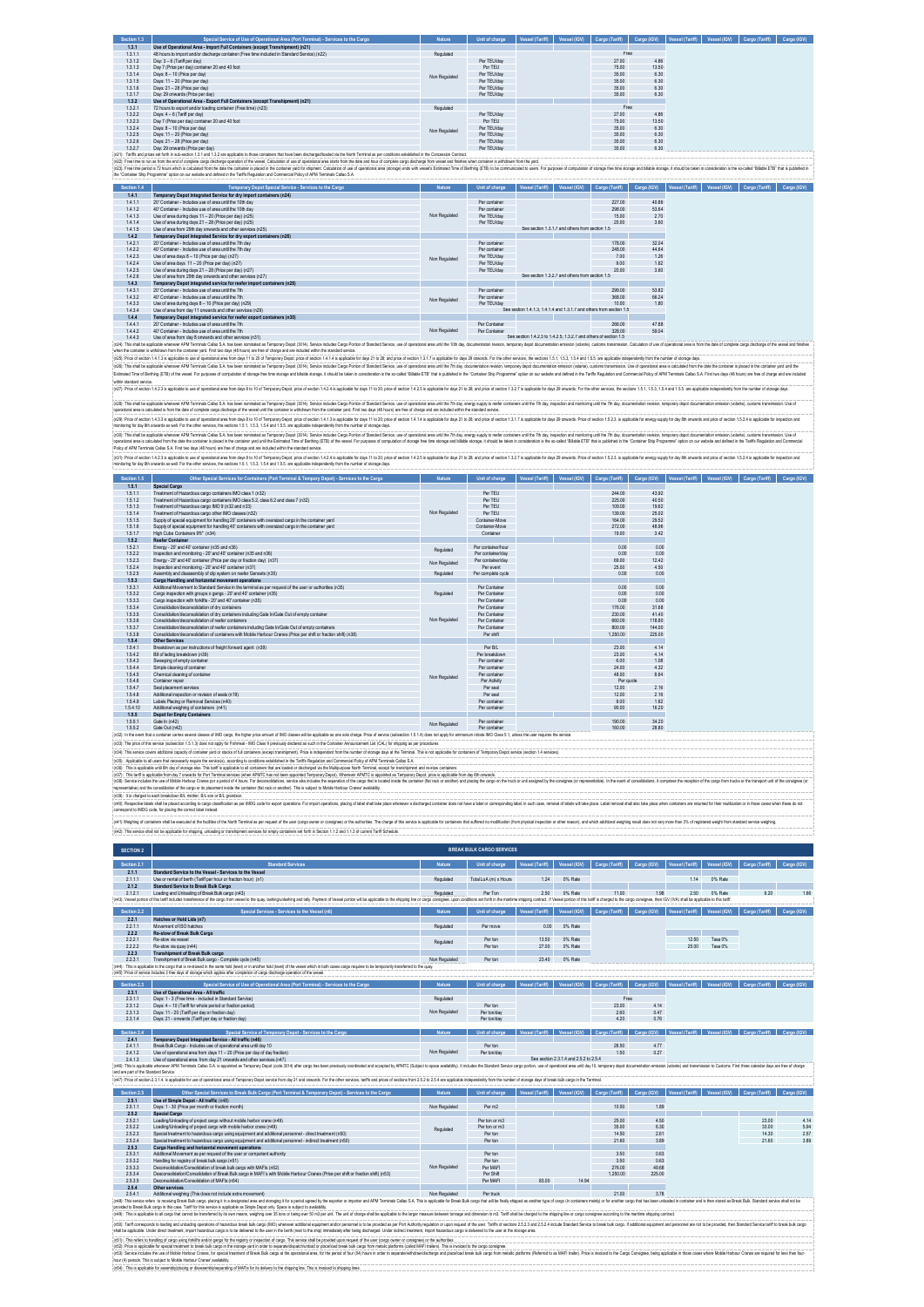| 1.3.1<br>Use of Operational Area - Import Full Containers (except Transhipment) (n21)<br>Free<br>48 hours to import and/or discharge container (Free time included in Standard Service) (n22)<br>Requisied<br>1.3.1.1<br>Day: 3 - 6 (Tariff per day)<br>Per TEU/day<br>27.00<br>4.86<br>1.3.1.2<br>1.3.1.3<br>Day 7 (Price ner day) container 20 and 40 foot<br>Por TEU<br>75.00<br>13.50<br>Per TEU/day<br>1.3.1.4<br>Days: 8 - 10 (Price per day)<br>3500<br>6.30<br>Non Regulated<br>Days: 11 - 20 (Price per day)<br>Per TEU/Hay<br>1.3.1.5<br>3500<br>6.30<br>1316<br>Days: 21 - 28 (Price ner day)<br>Par TFI IMay<br>35.00<br>6.30<br>1317<br>Day 29 onwards (Price ner day)<br>Per TFU/day<br>3500<br>6.30<br>Use of Operational Area - Export Full Containers (except Transhipment) (n21)<br>1.3.2<br>Requiated<br>Free<br>72 hours to export and/or loading container (Free time) (n23)<br>1.3.2.1<br>1.3.2.2<br>Days: 4 - 6 (Tariff per day)<br>Per TEU/day<br>27.00<br>4.86<br>1.3.2.3<br>Day 7 (Price per day) container 20 and 40 foot<br>Por TEU<br>75.00<br>13.50<br>Per TEU/day<br>1.3.2.4<br>Days: 8 - 10 (Price per day)<br>35.00<br>6.30<br>Non Regulated<br>1.3.2.5<br>Days: 11 - 20 (Price per day)<br>Per TEU/day<br>3500<br>6.30<br>1326<br>Days: 21 - 28 (Price ner day)<br>Par TFI IMay<br>35.00<br>6.30<br>1327<br>Day: 29 onwards (Price per day)<br>Per TFU/day<br>3500<br>6.30<br>(n21): Tariffs and prices set forth in sub-section 1.3.1 and 1.3.2 are applicable to those containers that have been discharged/coded via the North Terminal as per conditions established in the Concession Contract.<br>(n22): Free time to run as from the end of complete cargo discharge operation of the vessel. Calculation of use of operational area starts from the date and hour of complete cargo discharge from wessel and finishes when co<br>(n2): Free time period is 72 hours which is cabulated from the date the container is placed in the container as for the change for a whymeri. Cabulation of use of operational area (storage) ends with research ETER (The int<br>the "Container Ship Programme" option on our website and defined in the Tariffs Regulation and Commercial Policy of APM Terminals Callao S.A.<br>Unit of charge   Vessel (Tariff)   Vessel (IGV)   Cargo (Tariff)   Cargo (IGV)   Vessel (Tariff)   Vessel (IGV)   Cargo (Tariff)   Cargo (IGV)   Cargo (IGV)   Cargo (IGV)   Cargo (IGV)   Cargo (IGV)   Cargo (IGV)   Cargo (<br>Section 1.4<br>Temporary Depot Special Service - Services to the Carg<br>1.4.1<br>Temporary Depot Integrated Service for dry import containers (n24)<br>227.00<br>40.86<br>1.4.1.1<br>20' Container - Includes use of area until the 10th da<br>Per container<br>40" Container - Indudes use of area until the 10th day<br>Per container<br>298.00<br>53.64<br>1.4.1.2<br>Non Regulated<br>1413<br>Use of area during days 11 - 20 (Price ner day) (n25)<br>Per TFU/day<br>15.00<br>2.70<br>1414<br>Use of area during days 21 - 28 (Price per day) (n25)<br>Per TFU/day<br>20.00<br>3.60<br>See section 1.3.1.7 and others from section 1.5<br>Use of area from 29th day onwards and other services (n25)<br>1.4.1.5<br>Temporary Depot Integrated Service for dry export containers (n26)<br>1.4.2<br>178.00<br>32.04<br>Per container<br>1.4.2.1<br>20" Container - Indudes use of area until the 7th day<br>1.4.2.2<br>40' Container - Includes use of area until the 7th day<br>248.00<br>44.64<br>Per container<br>1.4.2.3<br>Use of area days 8 - 10 (Price ner day) (n27)<br>Per TEU/day<br>7.00<br>1.26<br>Non Regulated<br>1.4.2.4<br>Use of area days 11 - 20 (Price per day) (n27)<br>Per TEU/day<br>9.00<br>1.62<br>1.4.2.5<br>Use of area during days 21 - 28 (Price per day) (n27)<br>Per TEU/day<br>20.00<br>3.60<br>See section 1.3.2.7 and others from section 1.5<br>1426<br>Use of area from 29th day onwards and other services (n27).<br>1.4.3<br>Temporary Depot integrated service for reefer import containers (n28)<br>1431<br>20" Container - Indudes use of area until the 7th<br>Per mntainer<br>299.00<br>53.82<br>1432<br>40° Container - Indudes use of area until the 7th<br>Per mntainer<br>368.00<br>66.24<br>Non Regulated<br>Per TEU/day<br>1.4.3.3<br>Use of area during days 8 - 10 (Price per day) (n29)<br>10.00<br>1.80<br>See section 1.4.1.3, 1.4.1.4 and 1.3.1.7 and others from section 1.5<br>1.4.3.4<br>Use of area from day 11 onwards and other services (n29)<br>Temporary Depot integrated service for reefer export containers (n30)<br>1.4.4<br>1.4.4.1<br>20' Container - Indudes use of area until the 7th<br>Per Container<br>266.00<br>47.88<br>1.4.4.2<br>40' Container - Indudes use of area until the 7th<br>Non Regulated<br>Per Container<br>328.00<br>59.04<br>See section 1.4.2.3 to 1.4.2.5, 1.3.2.7 and others of section 1.5<br>1.4.4.3<br>Use of area from day 8 onwards and other services (n31)<br>(n24): This shall be applicable whenever APM Terminals Callao S.A. has been nominated as Temporary Depot (3014). Service includes Cargo Portion of Standard Service, use of operational area until the 10th day, door<br>sporary depot documentation emission (volante), customs transmission. Calculation of use of operational area is from the date of complete cargo discharge of the vessel and finishes<br>when the container is withdrawn from the container yard. First two days (48 hours) are free of charge and are included within the standard service.<br>(n25): Price of section 1.4.1.3 is applicable to use of operational area from days 11 to 20 of Temporary Depot; price of section 1.4.1.4 is applicable for days 21 to 28; and price of section 1.3.1.7 is applicable for days<br>(n26): This shall be acceliable whenever APM Terminals Callao S.A has been nominated as Temporary Decot (3014). Service includes Caroo Portion of Standard Service, use of coerational area until the 7th day, documentation r<br>Estimated Time of Berthina (ETB) of the vessel. For curocoes of corroutation of storage free storage and pilable storage, it should be taken in consideration is the so-called 'Bilable ETB' that is uddished in the "Containe<br>within standard service<br>(n27): Price of section 1.4.2.3 is applicable to use of operational area from days 8 to 10 of Temporary Depot, price of section 1.4.2.4 is applicable for day 11 to 20, price of section 1.4.2.5 is applicable for days 21 to<br>(n28). This shall be applicable whenever APM Terminals Callao S.A has been nominated as Temporary Depot (3014). Service includes Cargo Portion of Standard Service, use of operational area until the 7th day, energy supply t<br>operational area is calculated is from the date of complete cargo discharge of the vessel until the container is withdrawn from the container yard. First two days (48 hours) are free of charge and are included within the s<br>(n29): Price of section 1.4.3.3 is applicable to use of operational area from days 8 to 10 of Temporary Depot; price of section 1.4.1.3 is applicable for days 11 to 20; price of exction 1.4.1.4 is applicable of days 21 to<br>monitoring for day 8th onwards as well. For the other services, the sections 1.5.1, 1.5.3, 1.5.4 and 1.5.5. are applicable independently from the number of storage days.<br>(n30): This shall be applicable whenever APM Terminals Callao S.A. has been nominated as Temporary Depot (3014). Service includes Cargo Portion of Standard Service, use of operational area until the 7th day, recepy supply<br>operational area is calculated from the date the container is paced in the container yard until the Estimated Time of Berthing (ETB) of the reseal. For purposes of computation of storage free time storage and bladele stora<br>Policy of APM Terminals Callao S.A. First two days (48 hours) are free of charge and are included within the standard service.<br>(n31) Price of section 14.23 is applicable to use of constituted asset from dese 8 to 10 of Termonau Read: price of section 14.24 is applicable for deset to 11.22 is applicable for deset from 14.25 is applicable for deset<br>monitoring for day 8th onwards as well. For the other services, the sections 1.5.1, 1.5.3, 1.5.4 and 1.5.5, are applicable independently from the number of storage days.<br>Unit of charge Vessel (Tariff) Vessel (IGV) Cargo (Tariff) Cargo (IGV) Vessel (Tariff) Vessel (IGV) Cargo (Tariff) Cargo (IGV)<br>Section 1.5<br>Other Special Services for Containers (Port Terminal & Tempory Depot) - Services to the Cargo<br>1.5.1<br>Special Cargo<br>1.5.1.1<br>Treatment of Hazardous cargo containers IMO class 1 (n32)<br>Per TFII<br>244.00<br>43.92<br>1512<br>Treatment of Hazardous cargo containers IMO class 5.2, class 6.2 and class 7 (n32)<br>Per TFU<br>225.00<br>40.50<br>1513<br>Treatment of Hazardous cargo IMO 9 (n32 and n33)<br>Per TFU<br>109.00<br>19.62<br>Non Regulated<br>1.5.1.4<br>Treatment of Hazardous cargo other IMO classes (n32)<br>Per TEU<br>139,00<br>25.02<br>164.00<br>1.5.1.5<br>Supply of special equipment for handling 20' containers with oversized cargo in the container vard<br>Container-Move<br>29.52<br>1.5.1.6<br>Supply of special equipment for handling 40' containers with oversized cargo in the container yard<br>Container-Move<br>272.00<br>48.96<br>1.5.1.7<br>High Cube Containers 9'6" (n34)<br>Container<br>19.00<br>3.42<br>1.5.2<br><b>Reefer Container</b><br>Energy - 20' and 40' container (n35 and n36)<br>0.00<br>0.00<br>1.5.2.1<br>Per container/hour<br>Regulated<br>Inspection and monitoring - 20' and 40' container (n35 and n36).<br>1522<br>Per container/day<br>0.00<br>0.00<br>1523<br>Energy - 20' and 40' container (Price ner day or fraction day) (n37)<br>Per container/day<br>69.00<br>12.42<br>Non Regulated<br>1524<br>Inspection and monitoring - 20" and 40" container (n37)<br>Per event<br>2500<br>450<br>Per complete cycle<br>Assembly and disassembly of dip system on reefer Gensets (n35)<br>Requiated<br>1.5.2.5<br>0.00<br>0.00<br>Cargo Handling and horizontal movement operations<br>1.5.3<br>1.5.3.1<br>Additional Movement to Standard Service in the terminal as per request of the user or authorities (n35)<br>Per Container<br>0.00<br>0.00<br>Requiated<br>1.5.3.2<br>Carco inspection with groups o gangs - 20' and 40' container (n35)<br>Per Container<br>0.00<br>0.00<br>1.5.3.3<br>Cargo inspection with forklifts - 20' and 40' container (n35)<br>Per Container<br>0.00<br>0.00<br>1.5.34<br>Consolidation/deconsolidation of dry containers<br>Per Container<br>176.00<br>31.68<br>1535<br>Consolidation/deconsolidation of dry containers including Gate In/Gate Out of empty container<br>Per Container<br>230.00<br>41.40<br>Non Regulated<br>1536<br>Consolidation/deconsolidation of reefer containers.<br>Per Container<br>660.00<br>118.80<br>Consolidation/deconsolidation of reefer containers including Gate In/Gate Out of empty containers<br>1.5.3.7<br>Per Container<br>800.00<br>144.00<br>Consolidation/deconsolidation of containers with Mobile Harbour Cranes (Price per shift or fraction shift) (n38)<br>1,250.00<br>1.5.3.8<br>225.00<br>Per shift<br>1.5.4<br><b>Other Services</b><br>Breakdown as per instructions of freight forward agent (n39)<br>1.5.4.1<br>Per B/L<br>23.00<br>4.14<br>1.5.4.2<br>Bill of lading breakdown (n39)<br>Per breakdown<br>23.00<br>4.14<br>1.5.4.3<br>Sweeping of empty container<br>Per container<br>1.08<br>6.00<br>1544<br>Simple cleaning of container<br>Per mntainer<br>24.00<br>432<br>1545<br>Chemical cleaning of container<br>Per mntainer<br>48.00<br>8.64<br>Non Regulated<br>Per quote<br>Per Activity<br>1.5.4.6<br>Container repair<br>12.00<br>2.16<br>1.5.4.7<br>Seal placement services<br>Per seal<br>1.5.4.8<br>Additional inspection or revision of seals (n19)<br>12.00<br>2.16<br>Per seal<br>1.5.4.9<br>Labels Placing or Removal Services (n40)<br>Per container<br>9.00<br>1.62<br>1.5.4.10<br>Additional weighing of containers (n41)<br>Per containe<br>90.00<br>16.20<br>1.5.5<br><b>Depot for Empty Containers</b><br>Per container<br>190.00<br>34.20<br>1.5.5.1<br>Gate In (n42)<br>Non Regulated<br>1552<br>Gate Out (n42)<br>Per mntainer<br>160.00<br>28.80<br>In the e<br>trate IMO Class 5<br>(n33): The price of this service (subsection 1.5.1.3) does not apply for Fishmeal - IMO Class 9 previously declared as such in the Container Announcement List (CAL) for shipping as per procedures.<br>(n34): This service covers additional capacity of container yard or stacks of full containers (except transhipment). Price is independant from the number of storage days at the Terminal. This is not applicable for containe<br>(n35): Applicable to all users that necessarily require the service(s), according to conditions established in the Tariffs Regulation and Commercial Policy of APM Terminals Callao S.A.<br>(n36): This is applicable until 6th day of storage also. This tariff is applicable to all containers that are loaded or discharged via the Multipurpose North Terminal, except for transhipment and re-stow containers<br>(n37): This tariff is applicable from day 7 onwards for Port Terminal services (when APMTC has not been appointed Temporary Depd). Whenever APMTC is appointed as Temporary Depot, price is applicable from day 8th onwards<br>(n38): Senice includes the use of Mobile Harbour Cranes por a geniod of 4 hours. For deconsidations, senice abo includes the exporation of the caspo that is constel includes and present includes and paid paid paid paid pai<br>recresentative) and the consolidation of the cargo or its placement inside the container (flat rack or another). This is subject to Mobile Harbour Cranes' availability<br>(n39): It is charged to each breakdown B/L mother, B/L son or B/L grandson<br>(n40): Respective tebels shall be placed according to cargo classification as per IMDG code for export operations. For import operations, excitor of behind to accord tabels shall bake place when move a discharged containe<br>correspond to IMDG code, for placing the correct label instead.<br>(n41) Weighing of containers shall be executed at the facilities of the North Terminal as per request of the user (cargo owner or consignee) or the authorities. The change of this service is applicable for containers that<br>(n42): This service shall not be applicable for shipping, unloading or transhipment services for empty containers set forth in Section 1.1.2 and 1.1.3 of current Tariff Schedule.<br><b>BREAK BULK CARGO SERVICES</b><br><b>SECTION 2</b><br>Section 2.1<br>Unit of charge<br><b>Vessel (Tariff</b><br>Vessel (IGV)<br>essel (Tariff)<br>Vessel (IGV)<br>2.1.1<br>Standard Service to the Vessel - Services to the Vessel<br>2111<br>Use or rental of berth (Tariff ner hour or fraction hour) (n1)<br>Requisied<br>Total LoA (m) x Hours<br>124<br>0% Rate<br>1 1 4<br>0% Rate<br>2.1.2<br>Standard Service to Break Bulk Cargo<br>2121<br>Loading and Unloading of Break Bulk cargo (n43)<br>Requisied<br>Per Ton<br>2.50 0% Rate<br>11.00<br>1.98<br>2.50 0% Rate<br>9.20<br>(n43): Vessel partian of this tariff indudes transference of the cargo from vessel to the quay, techniquristeting and tally. Payment of Vessel partian will be applicable to the shipping line or cargo consignee, upon condit<br>Vessel (IGV)<br>Cargo (Tariff) Cargo (IGV)<br>Section 2.2<br>Special Services - Services to the Vessel (n)<br><b>Nature</b><br>Unit of charge<br>Vessel (Tariff)<br>Vessel (Tariff)<br>Vessel (IGV)<br>Cargo (Tariff)<br>2.2.1<br>Hatches or Hold Lids (n7)<br>Movement of ISO hatches<br>Reculated<br>0% Rate<br>2.2.1.1<br>Per move<br>0.00<br>2.2.2<br><b>Re-stow of Break Bulk Carno</b><br>2221<br>Re-stow via vessel<br>Per ton<br>13.50<br>0% Rate<br>12.50<br>Tasa 0%<br>Regulated<br>Re-stow via quay (n44)<br>25.00<br>2.2.2.2<br>Per ton<br>27.00<br>0% Rate<br>Tasa 0%<br>2.2.3<br><b>Transhipment of Break Bulk cargo</b><br>Transhipment of Break Bulk cargo - Complete cycle (n45)<br>Per ton<br>23.40<br>0% Rate<br>2.2.3.1<br>Non Regula<br>(n44): This is appli<br>ble to the cargo that is re-stowed in the same hold (level) or in another hold (level) of the vessel which in both cases cargo requires to be temporarily tra<br>(n45): Price of service includes 3 free days of storage which applies after completion of cargo discharge operation of the vesse<br>Section 2.3<br><b>Special Service of Use of Operatio</b><br>Cargo (Tariff)<br>2.3.1<br>Use of Operational Area - All traffic<br>2.3.1.1<br>Days: 1 - 3 (Free time - included in Standard Service)<br>Regulated<br>Free<br>Days: 4 - 10 (Tariff for whole period or fraction period)<br>23.00<br>4.14<br>2.3.1.2<br>Per ton<br>Non Regulated<br>Days: 11 - 20 (Tariff per day or fraction day)<br>0.47<br>2.3.1.3<br>Per ton/day<br>2.60<br>2.3.1.4<br>Days: 21 - onwards (Tariff per day or fraction day)<br>Per ton/day<br>420<br>0.76<br>Unit of charge Vessel (Tariff) Vessel (IGV) Cargo (Tariff) Cargo (IGV) Vessel (Tariff) Vessel (IGV) Cargo (Tariff) Cargo (IGV)<br>Section 2.4<br>Special Service of Temporary Depot - Services to the Caro<br>Nature<br>Temporary Depot Integrated Service - All traffic (n46)<br>2.4.1<br>2.4.1.1<br>Break Bulk Cargo - Includes use of operational area until day 10<br>26.50<br>4.77<br>Per ton |
|------------------------------------------------------------------------------------------------------------------------------------------------------------------------------------------------------------------------------------------------------------------------------------------------------------------------------------------------------------------------------------------------------------------------------------------------------------------------------------------------------------------------------------------------------------------------------------------------------------------------------------------------------------------------------------------------------------------------------------------------------------------------------------------------------------------------------------------------------------------------------------------------------------------------------------------------------------------------------------------------------------------------------------------------------------------------------------------------------------------------------------------------------------------------------------------------------------------------------------------------------------------------------------------------------------------------------------------------------------------------------------------------------------------------------------------------------------------------------------------------------------------------------------------------------------------------------------------------------------------------------------------------------------------------------------------------------------------------------------------------------------------------------------------------------------------------------------------------------------------------------------------------------------------------------------------------------------------------------------------------------------------------------------------------------------------------------------------------------------------------------------------------------------------------------------------------------------------------------------------------------------------------------------------------------------------------------------------------------------------------------------------------------------------------------------------------------------------------------------------------------------------------------------------------------------------------------------------------------------------------------------------------------------------------------------------------------------------------------------------------------------------------------------------------------------------------------------------------------------------------------------------------------------------------------------------------------------------------------------------------------------------------------------------------------------------------------------------------------------------------------------------------------------------------------------------------------------------------------------------------------------------------------------------------------------------------------------------------------------------------------------------------------------------------------------------------------------------------------------------------------------------------------------------------------------------------------------------------------------------------------------------------------------------------------------------------------------------------------------------------------------------------------------------------------------------------------------------------------------------------------------------------------------------------------------------------------------------------------------------------------------------------------------------------------------------------------------------------------------------------------------------------------------------------------------------------------------------------------------------------------------------------------------------------------------------------------------------------------------------------------------------------------------------------------------------------------------------------------------------------------------------------------------------------------------------------------------------------------------------------------------------------------------------------------------------------------------------------------------------------------------------------------------------------------------------------------------------------------------------------------------------------------------------------------------------------------------------------------------------------------------------------------------------------------------------------------------------------------------------------------------------------------------------------------------------------------------------------------------------------------------------------------------------------------------------------------------------------------------------------------------------------------------------------------------------------------------------------------------------------------------------------------------------------------------------------------------------------------------------------------------------------------------------------------------------------------------------------------------------------------------------------------------------------------------------------------------------------------------------------------------------------------------------------------------------------------------------------------------------------------------------------------------------------------------------------------------------------------------------------------------------------------------------------------------------------------------------------------------------------------------------------------------------------------------------------------------------------------------------------------------------------------------------------------------------------------------------------------------------------------------------------------------------------------------------------------------------------------------------------------------------------------------------------------------------------------------------------------------------------------------------------------------------------------------------------------------------------------------------------------------------------------------------------------------------------------------------------------------------------------------------------------------------------------------------------------------------------------------------------------------------------------------------------------------------------------------------------------------------------------------------------------------------------------------------------------------------------------------------------------------------------------------------------------------------------------------------------------------------------------------------------------------------------------------------------------------------------------------------------------------------------------------------------------------------------------------------------------------------------------------------------------------------------------------------------------------------------------------------------------------------------------------------------------------------------------------------------------------------------------------------------------------------------------------------------------------------------------------------------------------------------------------------------------------------------------------------------------------------------------------------------------------------------------------------------------------------------------------------------------------------------------------------------------------------------------------------------------------------------------------------------------------------------------------------------------------------------------------------------------------------------------------------------------------------------------------------------------------------------------------------------------------------------------------------------------------------------------------------------------------------------------------------------------------------------------------------------------------------------------------------------------------------------------------------------------------------------------------------------------------------------------------------------------------------------------------------------------------------------------------------------------------------------------------------------------------------------------------------------------------------------------------------------------------------------------------------------------------------------------------------------------------------------------------------------------------------------------------------------------------------------------------------------------------------------------------------------------------------------------------------------------------------------------------------------------------------------------------------------------------------------------------------------------------------------------------------------------------------------------------------------------------------------------------------------------------------------------------------------------------------------------------------------------------------------------------------------------------------------------------------------------------------------------------------------------------------------------------------------------------------------------------------------------------------------------------------------------------------------------------------------------------------------------------------------------------------------------------------------------------------------------------------------------------------------------------------------------------------------------------------------------------------------------------------------------------------------------------------------------------------------------------------------------------------------------------------------------------------------------------------------------------------------------------------------------------------------------------------------------------------------------------------------------------------------------------------------------------------------------------------------------------------------------------------------------------------------------------------------------------------------------------------------------------------------------------------------------------------------------------------------------------------------------------------------------------------------------------------------------------------------------------------------------------------------------------------------------------------------------------------------------------------------------------------------------------------------------------------------------------------------------------------------------------------------------------------------------------------------------------------------------------------------------------------------------------------------------------------------------------------------------------------------------------------------------------------------------------------------------------------------------------------------------------------------------------------------------------------------------------------------------------------------------------------------------------------------------------------------------------------------------------------------------------------------------------------------------------------------------------------------------------------------------------------------------------------------------------------------------------------------------------------------------------------------------------------------------------------------------------------------------------------------------------------------------------------------------------------------------------------------------------------------------------------------------------------------------------------------------------------------------------------------------------------------------------------------------------------------------------------------------------------------------------------------------------------------------------------------------------------------------------------------------------------------------------------------------------------------------------------------------------------------------------------------------------------------------------------------------------------------------------------------------------------------------------------------------------------------------------------------------------------------------------------------------------------------------------------------------------------------------------------------------------------------------------------------------------------------------------------------------------------------------------------------------------------------------------------------------------------------------------------------------------------------------------------------------------------------------------------------------------------------------------------------------------------------------------------------------------------------------------------------------------------------------------------------------------------------------------------------------------------------------------------------------------------------------------------------------------------------------------------------------------------------------------------------------------------------------------------------------------------------------------------------------------------------------------------------------------------------------------------------------------------------------------------------------------------------------------------------------------------------------------------------------------------------------------------------------------------------------------------------------------------------------------------------------------------------------------------------------------------------------------------------------------------------------------------------------------------------------------------------------------------------------------------------------------------------------------------------------------------------------------------------------------------------------------------------------------------------------------------------------------------------------------------------------------------------------------------------------------------------------------------------------------------------------------------------------------------------------------------------------------------------------------------------------------------------------------------------------------------------------------------------------------------------------------------------------------------------------------------------------------------------------------------------------------------------------------------------------------------------------------------------------------------------------------------------------------------------------------------------------------------------------------------------------------------------------------------------------------------------------------------------------------------------------------------------------------------------------------------------------------------------------------------------------------------------------------------------------------------------------------------------------------------------------------------------------------------------------------------------------------------------------------------------------------------------------------------------------------------------------------------------------------------------------------------------------------------------------------------------------------------------------------------------------------------------------------------------------------------------------------------------------------------------------------------------------------------------------------------------------------------------------------------------------------------------------------------------------------------------------------------------------------------------------------------------------------------------------------|
|                                                                                                                                                                                                                                                                                                                                                                                                                                                                                                                                                                                                                                                                                                                                                                                                                                                                                                                                                                                                                                                                                                                                                                                                                                                                                                                                                                                                                                                                                                                                                                                                                                                                                                                                                                                                                                                                                                                                                                                                                                                                                                                                                                                                                                                                                                                                                                                                                                                                                                                                                                                                                                                                                                                                                                                                                                                                                                                                                                                                                                                                                                                                                                                                                                                                                                                                                                                                                                                                                                                                                                                                                                                                                                                                                                                                                                                                                                                                                                                                                                                                                                                                                                                                                                                                                                                                                                                                                                                                                                                                                                                                                                                                                                                                                                                                                                                                                                                                                                                                                                                                                                                                                                                                                                                                                                                                                                                                                                                                                                                                                                                                                                                                                                                                                                                                                                                                                                                                                                                                                                                                                                                                                                                                                                                                                                                                                                                                                                                                                                                                                                                                                                                                                                                                                                                                                                                                                                                                                                                                                                                                                                                                                                                                                                                                                                                                                                                                                                                                                                                                                                                                                                                                                                                                                                                                                                                                                                                                                                                                                                                                                                                                                                                                                                                                                                                                                                                                                                                                                                                                                                                                                                                                                                                                                                                                                                                                                                                                                                                                                                                                                                                                                                                                                                                                                                                                                                                                                                                                                                                                                                                                                                                                                                                                                                                                                                                                                                                                                                                                                                                                                                                                                                                                                                                                                                                                                                                                                                                                                                                                                                                                                                                                                                                                                                                                                                                                                                                                                                                                                                                                                                                                                                                                                                                                                                                                                                                                                                                                                                                                                                                                                                                                                                                                                                                                                                                                                                                                                                                                                                                                                                                                                                                                                                                                                                                                                                                                                                                                                                                                                                                                                                                                                                                                                                                                                                                                                                                                                                                                                                                                                                                                                                                                                                                                                                                                                                                                                                                                                                                                                                                                                                                                                                                                                                                                                                                                                                                                                                                                                                                                                                                                                                                                                                                                                                                                                                                                                                                                                                                                                                                                                                                                                                                                                                                                                                                                                                                                                                                                                                                                                                                                                                                                                                                                                                                                                                                                                                                                                                                                                                                                                                                                                                                                                                                                                                                                                                                                                                                                                                                                                                                                                                                                                                                                                                                                                                                                                                                                                                                                                                                                                                                                                                                                                                                                                                                                                                                                                                                                                                                                                                                                                                                                                                                                                                                                                                                                                                                                                                                                                                                                                                                            |
|                                                                                                                                                                                                                                                                                                                                                                                                                                                                                                                                                                                                                                                                                                                                                                                                                                                                                                                                                                                                                                                                                                                                                                                                                                                                                                                                                                                                                                                                                                                                                                                                                                                                                                                                                                                                                                                                                                                                                                                                                                                                                                                                                                                                                                                                                                                                                                                                                                                                                                                                                                                                                                                                                                                                                                                                                                                                                                                                                                                                                                                                                                                                                                                                                                                                                                                                                                                                                                                                                                                                                                                                                                                                                                                                                                                                                                                                                                                                                                                                                                                                                                                                                                                                                                                                                                                                                                                                                                                                                                                                                                                                                                                                                                                                                                                                                                                                                                                                                                                                                                                                                                                                                                                                                                                                                                                                                                                                                                                                                                                                                                                                                                                                                                                                                                                                                                                                                                                                                                                                                                                                                                                                                                                                                                                                                                                                                                                                                                                                                                                                                                                                                                                                                                                                                                                                                                                                                                                                                                                                                                                                                                                                                                                                                                                                                                                                                                                                                                                                                                                                                                                                                                                                                                                                                                                                                                                                                                                                                                                                                                                                                                                                                                                                                                                                                                                                                                                                                                                                                                                                                                                                                                                                                                                                                                                                                                                                                                                                                                                                                                                                                                                                                                                                                                                                                                                                                                                                                                                                                                                                                                                                                                                                                                                                                                                                                                                                                                                                                                                                                                                                                                                                                                                                                                                                                                                                                                                                                                                                                                                                                                                                                                                                                                                                                                                                                                                                                                                                                                                                                                                                                                                                                                                                                                                                                                                                                                                                                                                                                                                                                                                                                                                                                                                                                                                                                                                                                                                                                                                                                                                                                                                                                                                                                                                                                                                                                                                                                                                                                                                                                                                                                                                                                                                                                                                                                                                                                                                                                                                                                                                                                                                                                                                                                                                                                                                                                                                                                                                                                                                                                                                                                                                                                                                                                                                                                                                                                                                                                                                                                                                                                                                                                                                                                                                                                                                                                                                                                                                                                                                                                                                                                                                                                                                                                                                                                                                                                                                                                                                                                                                                                                                                                                                                                                                                                                                                                                                                                                                                                                                                                                                                                                                                                                                                                                                                                                                                                                                                                                                                                                                                                                                                                                                                                                                                                                                                                                                                                                                                                                                                                                                                                                                                                                                                                                                                                                                                                                                                                                                                                                                                                                                                                                                                                                                                                                                                                                                                                                                                                                                                                                                                                                                            |
|                                                                                                                                                                                                                                                                                                                                                                                                                                                                                                                                                                                                                                                                                                                                                                                                                                                                                                                                                                                                                                                                                                                                                                                                                                                                                                                                                                                                                                                                                                                                                                                                                                                                                                                                                                                                                                                                                                                                                                                                                                                                                                                                                                                                                                                                                                                                                                                                                                                                                                                                                                                                                                                                                                                                                                                                                                                                                                                                                                                                                                                                                                                                                                                                                                                                                                                                                                                                                                                                                                                                                                                                                                                                                                                                                                                                                                                                                                                                                                                                                                                                                                                                                                                                                                                                                                                                                                                                                                                                                                                                                                                                                                                                                                                                                                                                                                                                                                                                                                                                                                                                                                                                                                                                                                                                                                                                                                                                                                                                                                                                                                                                                                                                                                                                                                                                                                                                                                                                                                                                                                                                                                                                                                                                                                                                                                                                                                                                                                                                                                                                                                                                                                                                                                                                                                                                                                                                                                                                                                                                                                                                                                                                                                                                                                                                                                                                                                                                                                                                                                                                                                                                                                                                                                                                                                                                                                                                                                                                                                                                                                                                                                                                                                                                                                                                                                                                                                                                                                                                                                                                                                                                                                                                                                                                                                                                                                                                                                                                                                                                                                                                                                                                                                                                                                                                                                                                                                                                                                                                                                                                                                                                                                                                                                                                                                                                                                                                                                                                                                                                                                                                                                                                                                                                                                                                                                                                                                                                                                                                                                                                                                                                                                                                                                                                                                                                                                                                                                                                                                                                                                                                                                                                                                                                                                                                                                                                                                                                                                                                                                                                                                                                                                                                                                                                                                                                                                                                                                                                                                                                                                                                                                                                                                                                                                                                                                                                                                                                                                                                                                                                                                                                                                                                                                                                                                                                                                                                                                                                                                                                                                                                                                                                                                                                                                                                                                                                                                                                                                                                                                                                                                                                                                                                                                                                                                                                                                                                                                                                                                                                                                                                                                                                                                                                                                                                                                                                                                                                                                                                                                                                                                                                                                                                                                                                                                                                                                                                                                                                                                                                                                                                                                                                                                                                                                                                                                                                                                                                                                                                                                                                                                                                                                                                                                                                                                                                                                                                                                                                                                                                                                                                                                                                                                                                                                                                                                                                                                                                                                                                                                                                                                                                                                                                                                                                                                                                                                                                                                                                                                                                                                                                                                                                                                                                                                                                                                                                                                                                                                                                                                                                                                                                                                                            |
|                                                                                                                                                                                                                                                                                                                                                                                                                                                                                                                                                                                                                                                                                                                                                                                                                                                                                                                                                                                                                                                                                                                                                                                                                                                                                                                                                                                                                                                                                                                                                                                                                                                                                                                                                                                                                                                                                                                                                                                                                                                                                                                                                                                                                                                                                                                                                                                                                                                                                                                                                                                                                                                                                                                                                                                                                                                                                                                                                                                                                                                                                                                                                                                                                                                                                                                                                                                                                                                                                                                                                                                                                                                                                                                                                                                                                                                                                                                                                                                                                                                                                                                                                                                                                                                                                                                                                                                                                                                                                                                                                                                                                                                                                                                                                                                                                                                                                                                                                                                                                                                                                                                                                                                                                                                                                                                                                                                                                                                                                                                                                                                                                                                                                                                                                                                                                                                                                                                                                                                                                                                                                                                                                                                                                                                                                                                                                                                                                                                                                                                                                                                                                                                                                                                                                                                                                                                                                                                                                                                                                                                                                                                                                                                                                                                                                                                                                                                                                                                                                                                                                                                                                                                                                                                                                                                                                                                                                                                                                                                                                                                                                                                                                                                                                                                                                                                                                                                                                                                                                                                                                                                                                                                                                                                                                                                                                                                                                                                                                                                                                                                                                                                                                                                                                                                                                                                                                                                                                                                                                                                                                                                                                                                                                                                                                                                                                                                                                                                                                                                                                                                                                                                                                                                                                                                                                                                                                                                                                                                                                                                                                                                                                                                                                                                                                                                                                                                                                                                                                                                                                                                                                                                                                                                                                                                                                                                                                                                                                                                                                                                                                                                                                                                                                                                                                                                                                                                                                                                                                                                                                                                                                                                                                                                                                                                                                                                                                                                                                                                                                                                                                                                                                                                                                                                                                                                                                                                                                                                                                                                                                                                                                                                                                                                                                                                                                                                                                                                                                                                                                                                                                                                                                                                                                                                                                                                                                                                                                                                                                                                                                                                                                                                                                                                                                                                                                                                                                                                                                                                                                                                                                                                                                                                                                                                                                                                                                                                                                                                                                                                                                                                                                                                                                                                                                                                                                                                                                                                                                                                                                                                                                                                                                                                                                                                                                                                                                                                                                                                                                                                                                                                                                                                                                                                                                                                                                                                                                                                                                                                                                                                                                                                                                                                                                                                                                                                                                                                                                                                                                                                                                                                                                                                                                                                                                                                                                                                                                                                                                                                                                                                                                                                                                                                            |
|                                                                                                                                                                                                                                                                                                                                                                                                                                                                                                                                                                                                                                                                                                                                                                                                                                                                                                                                                                                                                                                                                                                                                                                                                                                                                                                                                                                                                                                                                                                                                                                                                                                                                                                                                                                                                                                                                                                                                                                                                                                                                                                                                                                                                                                                                                                                                                                                                                                                                                                                                                                                                                                                                                                                                                                                                                                                                                                                                                                                                                                                                                                                                                                                                                                                                                                                                                                                                                                                                                                                                                                                                                                                                                                                                                                                                                                                                                                                                                                                                                                                                                                                                                                                                                                                                                                                                                                                                                                                                                                                                                                                                                                                                                                                                                                                                                                                                                                                                                                                                                                                                                                                                                                                                                                                                                                                                                                                                                                                                                                                                                                                                                                                                                                                                                                                                                                                                                                                                                                                                                                                                                                                                                                                                                                                                                                                                                                                                                                                                                                                                                                                                                                                                                                                                                                                                                                                                                                                                                                                                                                                                                                                                                                                                                                                                                                                                                                                                                                                                                                                                                                                                                                                                                                                                                                                                                                                                                                                                                                                                                                                                                                                                                                                                                                                                                                                                                                                                                                                                                                                                                                                                                                                                                                                                                                                                                                                                                                                                                                                                                                                                                                                                                                                                                                                                                                                                                                                                                                                                                                                                                                                                                                                                                                                                                                                                                                                                                                                                                                                                                                                                                                                                                                                                                                                                                                                                                                                                                                                                                                                                                                                                                                                                                                                                                                                                                                                                                                                                                                                                                                                                                                                                                                                                                                                                                                                                                                                                                                                                                                                                                                                                                                                                                                                                                                                                                                                                                                                                                                                                                                                                                                                                                                                                                                                                                                                                                                                                                                                                                                                                                                                                                                                                                                                                                                                                                                                                                                                                                                                                                                                                                                                                                                                                                                                                                                                                                                                                                                                                                                                                                                                                                                                                                                                                                                                                                                                                                                                                                                                                                                                                                                                                                                                                                                                                                                                                                                                                                                                                                                                                                                                                                                                                                                                                                                                                                                                                                                                                                                                                                                                                                                                                                                                                                                                                                                                                                                                                                                                                                                                                                                                                                                                                                                                                                                                                                                                                                                                                                                                                                                                                                                                                                                                                                                                                                                                                                                                                                                                                                                                                                                                                                                                                                                                                                                                                                                                                                                                                                                                                                                                                                                                                                                                                                                                                                                                                                                                                                                                                                                                                                                                                                                            |
|                                                                                                                                                                                                                                                                                                                                                                                                                                                                                                                                                                                                                                                                                                                                                                                                                                                                                                                                                                                                                                                                                                                                                                                                                                                                                                                                                                                                                                                                                                                                                                                                                                                                                                                                                                                                                                                                                                                                                                                                                                                                                                                                                                                                                                                                                                                                                                                                                                                                                                                                                                                                                                                                                                                                                                                                                                                                                                                                                                                                                                                                                                                                                                                                                                                                                                                                                                                                                                                                                                                                                                                                                                                                                                                                                                                                                                                                                                                                                                                                                                                                                                                                                                                                                                                                                                                                                                                                                                                                                                                                                                                                                                                                                                                                                                                                                                                                                                                                                                                                                                                                                                                                                                                                                                                                                                                                                                                                                                                                                                                                                                                                                                                                                                                                                                                                                                                                                                                                                                                                                                                                                                                                                                                                                                                                                                                                                                                                                                                                                                                                                                                                                                                                                                                                                                                                                                                                                                                                                                                                                                                                                                                                                                                                                                                                                                                                                                                                                                                                                                                                                                                                                                                                                                                                                                                                                                                                                                                                                                                                                                                                                                                                                                                                                                                                                                                                                                                                                                                                                                                                                                                                                                                                                                                                                                                                                                                                                                                                                                                                                                                                                                                                                                                                                                                                                                                                                                                                                                                                                                                                                                                                                                                                                                                                                                                                                                                                                                                                                                                                                                                                                                                                                                                                                                                                                                                                                                                                                                                                                                                                                                                                                                                                                                                                                                                                                                                                                                                                                                                                                                                                                                                                                                                                                                                                                                                                                                                                                                                                                                                                                                                                                                                                                                                                                                                                                                                                                                                                                                                                                                                                                                                                                                                                                                                                                                                                                                                                                                                                                                                                                                                                                                                                                                                                                                                                                                                                                                                                                                                                                                                                                                                                                                                                                                                                                                                                                                                                                                                                                                                                                                                                                                                                                                                                                                                                                                                                                                                                                                                                                                                                                                                                                                                                                                                                                                                                                                                                                                                                                                                                                                                                                                                                                                                                                                                                                                                                                                                                                                                                                                                                                                                                                                                                                                                                                                                                                                                                                                                                                                                                                                                                                                                                                                                                                                                                                                                                                                                                                                                                                                                                                                                                                                                                                                                                                                                                                                                                                                                                                                                                                                                                                                                                                                                                                                                                                                                                                                                                                                                                                                                                                                                                                                                                                                                                                                                                                                                                                                                                                                                                                                                                                                                            |
|                                                                                                                                                                                                                                                                                                                                                                                                                                                                                                                                                                                                                                                                                                                                                                                                                                                                                                                                                                                                                                                                                                                                                                                                                                                                                                                                                                                                                                                                                                                                                                                                                                                                                                                                                                                                                                                                                                                                                                                                                                                                                                                                                                                                                                                                                                                                                                                                                                                                                                                                                                                                                                                                                                                                                                                                                                                                                                                                                                                                                                                                                                                                                                                                                                                                                                                                                                                                                                                                                                                                                                                                                                                                                                                                                                                                                                                                                                                                                                                                                                                                                                                                                                                                                                                                                                                                                                                                                                                                                                                                                                                                                                                                                                                                                                                                                                                                                                                                                                                                                                                                                                                                                                                                                                                                                                                                                                                                                                                                                                                                                                                                                                                                                                                                                                                                                                                                                                                                                                                                                                                                                                                                                                                                                                                                                                                                                                                                                                                                                                                                                                                                                                                                                                                                                                                                                                                                                                                                                                                                                                                                                                                                                                                                                                                                                                                                                                                                                                                                                                                                                                                                                                                                                                                                                                                                                                                                                                                                                                                                                                                                                                                                                                                                                                                                                                                                                                                                                                                                                                                                                                                                                                                                                                                                                                                                                                                                                                                                                                                                                                                                                                                                                                                                                                                                                                                                                                                                                                                                                                                                                                                                                                                                                                                                                                                                                                                                                                                                                                                                                                                                                                                                                                                                                                                                                                                                                                                                                                                                                                                                                                                                                                                                                                                                                                                                                                                                                                                                                                                                                                                                                                                                                                                                                                                                                                                                                                                                                                                                                                                                                                                                                                                                                                                                                                                                                                                                                                                                                                                                                                                                                                                                                                                                                                                                                                                                                                                                                                                                                                                                                                                                                                                                                                                                                                                                                                                                                                                                                                                                                                                                                                                                                                                                                                                                                                                                                                                                                                                                                                                                                                                                                                                                                                                                                                                                                                                                                                                                                                                                                                                                                                                                                                                                                                                                                                                                                                                                                                                                                                                                                                                                                                                                                                                                                                                                                                                                                                                                                                                                                                                                                                                                                                                                                                                                                                                                                                                                                                                                                                                                                                                                                                                                                                                                                                                                                                                                                                                                                                                                                                                                                                                                                                                                                                                                                                                                                                                                                                                                                                                                                                                                                                                                                                                                                                                                                                                                                                                                                                                                                                                                                                                                                                                                                                                                                                                                                                                                                                                                                                                                                                                                                                                            |
|                                                                                                                                                                                                                                                                                                                                                                                                                                                                                                                                                                                                                                                                                                                                                                                                                                                                                                                                                                                                                                                                                                                                                                                                                                                                                                                                                                                                                                                                                                                                                                                                                                                                                                                                                                                                                                                                                                                                                                                                                                                                                                                                                                                                                                                                                                                                                                                                                                                                                                                                                                                                                                                                                                                                                                                                                                                                                                                                                                                                                                                                                                                                                                                                                                                                                                                                                                                                                                                                                                                                                                                                                                                                                                                                                                                                                                                                                                                                                                                                                                                                                                                                                                                                                                                                                                                                                                                                                                                                                                                                                                                                                                                                                                                                                                                                                                                                                                                                                                                                                                                                                                                                                                                                                                                                                                                                                                                                                                                                                                                                                                                                                                                                                                                                                                                                                                                                                                                                                                                                                                                                                                                                                                                                                                                                                                                                                                                                                                                                                                                                                                                                                                                                                                                                                                                                                                                                                                                                                                                                                                                                                                                                                                                                                                                                                                                                                                                                                                                                                                                                                                                                                                                                                                                                                                                                                                                                                                                                                                                                                                                                                                                                                                                                                                                                                                                                                                                                                                                                                                                                                                                                                                                                                                                                                                                                                                                                                                                                                                                                                                                                                                                                                                                                                                                                                                                                                                                                                                                                                                                                                                                                                                                                                                                                                                                                                                                                                                                                                                                                                                                                                                                                                                                                                                                                                                                                                                                                                                                                                                                                                                                                                                                                                                                                                                                                                                                                                                                                                                                                                                                                                                                                                                                                                                                                                                                                                                                                                                                                                                                                                                                                                                                                                                                                                                                                                                                                                                                                                                                                                                                                                                                                                                                                                                                                                                                                                                                                                                                                                                                                                                                                                                                                                                                                                                                                                                                                                                                                                                                                                                                                                                                                                                                                                                                                                                                                                                                                                                                                                                                                                                                                                                                                                                                                                                                                                                                                                                                                                                                                                                                                                                                                                                                                                                                                                                                                                                                                                                                                                                                                                                                                                                                                                                                                                                                                                                                                                                                                                                                                                                                                                                                                                                                                                                                                                                                                                                                                                                                                                                                                                                                                                                                                                                                                                                                                                                                                                                                                                                                                                                                                                                                                                                                                                                                                                                                                                                                                                                                                                                                                                                                                                                                                                                                                                                                                                                                                                                                                                                                                                                                                                                                                                                                                                                                                                                                                                                                                                                                                                                                                                                                                                                                            |
|                                                                                                                                                                                                                                                                                                                                                                                                                                                                                                                                                                                                                                                                                                                                                                                                                                                                                                                                                                                                                                                                                                                                                                                                                                                                                                                                                                                                                                                                                                                                                                                                                                                                                                                                                                                                                                                                                                                                                                                                                                                                                                                                                                                                                                                                                                                                                                                                                                                                                                                                                                                                                                                                                                                                                                                                                                                                                                                                                                                                                                                                                                                                                                                                                                                                                                                                                                                                                                                                                                                                                                                                                                                                                                                                                                                                                                                                                                                                                                                                                                                                                                                                                                                                                                                                                                                                                                                                                                                                                                                                                                                                                                                                                                                                                                                                                                                                                                                                                                                                                                                                                                                                                                                                                                                                                                                                                                                                                                                                                                                                                                                                                                                                                                                                                                                                                                                                                                                                                                                                                                                                                                                                                                                                                                                                                                                                                                                                                                                                                                                                                                                                                                                                                                                                                                                                                                                                                                                                                                                                                                                                                                                                                                                                                                                                                                                                                                                                                                                                                                                                                                                                                                                                                                                                                                                                                                                                                                                                                                                                                                                                                                                                                                                                                                                                                                                                                                                                                                                                                                                                                                                                                                                                                                                                                                                                                                                                                                                                                                                                                                                                                                                                                                                                                                                                                                                                                                                                                                                                                                                                                                                                                                                                                                                                                                                                                                                                                                                                                                                                                                                                                                                                                                                                                                                                                                                                                                                                                                                                                                                                                                                                                                                                                                                                                                                                                                                                                                                                                                                                                                                                                                                                                                                                                                                                                                                                                                                                                                                                                                                                                                                                                                                                                                                                                                                                                                                                                                                                                                                                                                                                                                                                                                                                                                                                                                                                                                                                                                                                                                                                                                                                                                                                                                                                                                                                                                                                                                                                                                                                                                                                                                                                                                                                                                                                                                                                                                                                                                                                                                                                                                                                                                                                                                                                                                                                                                                                                                                                                                                                                                                                                                                                                                                                                                                                                                                                                                                                                                                                                                                                                                                                                                                                                                                                                                                                                                                                                                                                                                                                                                                                                                                                                                                                                                                                                                                                                                                                                                                                                                                                                                                                                                                                                                                                                                                                                                                                                                                                                                                                                                                                                                                                                                                                                                                                                                                                                                                                                                                                                                                                                                                                                                                                                                                                                                                                                                                                                                                                                                                                                                                                                                                                                                                                                                                                                                                                                                                                                                                                                                                                                                                                                                                            |
|                                                                                                                                                                                                                                                                                                                                                                                                                                                                                                                                                                                                                                                                                                                                                                                                                                                                                                                                                                                                                                                                                                                                                                                                                                                                                                                                                                                                                                                                                                                                                                                                                                                                                                                                                                                                                                                                                                                                                                                                                                                                                                                                                                                                                                                                                                                                                                                                                                                                                                                                                                                                                                                                                                                                                                                                                                                                                                                                                                                                                                                                                                                                                                                                                                                                                                                                                                                                                                                                                                                                                                                                                                                                                                                                                                                                                                                                                                                                                                                                                                                                                                                                                                                                                                                                                                                                                                                                                                                                                                                                                                                                                                                                                                                                                                                                                                                                                                                                                                                                                                                                                                                                                                                                                                                                                                                                                                                                                                                                                                                                                                                                                                                                                                                                                                                                                                                                                                                                                                                                                                                                                                                                                                                                                                                                                                                                                                                                                                                                                                                                                                                                                                                                                                                                                                                                                                                                                                                                                                                                                                                                                                                                                                                                                                                                                                                                                                                                                                                                                                                                                                                                                                                                                                                                                                                                                                                                                                                                                                                                                                                                                                                                                                                                                                                                                                                                                                                                                                                                                                                                                                                                                                                                                                                                                                                                                                                                                                                                                                                                                                                                                                                                                                                                                                                                                                                                                                                                                                                                                                                                                                                                                                                                                                                                                                                                                                                                                                                                                                                                                                                                                                                                                                                                                                                                                                                                                                                                                                                                                                                                                                                                                                                                                                                                                                                                                                                                                                                                                                                                                                                                                                                                                                                                                                                                                                                                                                                                                                                                                                                                                                                                                                                                                                                                                                                                                                                                                                                                                                                                                                                                                                                                                                                                                                                                                                                                                                                                                                                                                                                                                                                                                                                                                                                                                                                                                                                                                                                                                                                                                                                                                                                                                                                                                                                                                                                                                                                                                                                                                                                                                                                                                                                                                                                                                                                                                                                                                                                                                                                                                                                                                                                                                                                                                                                                                                                                                                                                                                                                                                                                                                                                                                                                                                                                                                                                                                                                                                                                                                                                                                                                                                                                                                                                                                                                                                                                                                                                                                                                                                                                                                                                                                                                                                                                                                                                                                                                                                                                                                                                                                                                                                                                                                                                                                                                                                                                                                                                                                                                                                                                                                                                                                                                                                                                                                                                                                                                                                                                                                                                                                                                                                                                                                                                                                                                                                                                                                                                                                                                                                                                                                                                                                                            |
|                                                                                                                                                                                                                                                                                                                                                                                                                                                                                                                                                                                                                                                                                                                                                                                                                                                                                                                                                                                                                                                                                                                                                                                                                                                                                                                                                                                                                                                                                                                                                                                                                                                                                                                                                                                                                                                                                                                                                                                                                                                                                                                                                                                                                                                                                                                                                                                                                                                                                                                                                                                                                                                                                                                                                                                                                                                                                                                                                                                                                                                                                                                                                                                                                                                                                                                                                                                                                                                                                                                                                                                                                                                                                                                                                                                                                                                                                                                                                                                                                                                                                                                                                                                                                                                                                                                                                                                                                                                                                                                                                                                                                                                                                                                                                                                                                                                                                                                                                                                                                                                                                                                                                                                                                                                                                                                                                                                                                                                                                                                                                                                                                                                                                                                                                                                                                                                                                                                                                                                                                                                                                                                                                                                                                                                                                                                                                                                                                                                                                                                                                                                                                                                                                                                                                                                                                                                                                                                                                                                                                                                                                                                                                                                                                                                                                                                                                                                                                                                                                                                                                                                                                                                                                                                                                                                                                                                                                                                                                                                                                                                                                                                                                                                                                                                                                                                                                                                                                                                                                                                                                                                                                                                                                                                                                                                                                                                                                                                                                                                                                                                                                                                                                                                                                                                                                                                                                                                                                                                                                                                                                                                                                                                                                                                                                                                                                                                                                                                                                                                                                                                                                                                                                                                                                                                                                                                                                                                                                                                                                                                                                                                                                                                                                                                                                                                                                                                                                                                                                                                                                                                                                                                                                                                                                                                                                                                                                                                                                                                                                                                                                                                                                                                                                                                                                                                                                                                                                                                                                                                                                                                                                                                                                                                                                                                                                                                                                                                                                                                                                                                                                                                                                                                                                                                                                                                                                                                                                                                                                                                                                                                                                                                                                                                                                                                                                                                                                                                                                                                                                                                                                                                                                                                                                                                                                                                                                                                                                                                                                                                                                                                                                                                                                                                                                                                                                                                                                                                                                                                                                                                                                                                                                                                                                                                                                                                                                                                                                                                                                                                                                                                                                                                                                                                                                                                                                                                                                                                                                                                                                                                                                                                                                                                                                                                                                                                                                                                                                                                                                                                                                                                                                                                                                                                                                                                                                                                                                                                                                                                                                                                                                                                                                                                                                                                                                                                                                                                                                                                                                                                                                                                                                                                                                                                                                                                                                                                                                                                                                                                                                                                                                                                                                                                            |
|                                                                                                                                                                                                                                                                                                                                                                                                                                                                                                                                                                                                                                                                                                                                                                                                                                                                                                                                                                                                                                                                                                                                                                                                                                                                                                                                                                                                                                                                                                                                                                                                                                                                                                                                                                                                                                                                                                                                                                                                                                                                                                                                                                                                                                                                                                                                                                                                                                                                                                                                                                                                                                                                                                                                                                                                                                                                                                                                                                                                                                                                                                                                                                                                                                                                                                                                                                                                                                                                                                                                                                                                                                                                                                                                                                                                                                                                                                                                                                                                                                                                                                                                                                                                                                                                                                                                                                                                                                                                                                                                                                                                                                                                                                                                                                                                                                                                                                                                                                                                                                                                                                                                                                                                                                                                                                                                                                                                                                                                                                                                                                                                                                                                                                                                                                                                                                                                                                                                                                                                                                                                                                                                                                                                                                                                                                                                                                                                                                                                                                                                                                                                                                                                                                                                                                                                                                                                                                                                                                                                                                                                                                                                                                                                                                                                                                                                                                                                                                                                                                                                                                                                                                                                                                                                                                                                                                                                                                                                                                                                                                                                                                                                                                                                                                                                                                                                                                                                                                                                                                                                                                                                                                                                                                                                                                                                                                                                                                                                                                                                                                                                                                                                                                                                                                                                                                                                                                                                                                                                                                                                                                                                                                                                                                                                                                                                                                                                                                                                                                                                                                                                                                                                                                                                                                                                                                                                                                                                                                                                                                                                                                                                                                                                                                                                                                                                                                                                                                                                                                                                                                                                                                                                                                                                                                                                                                                                                                                                                                                                                                                                                                                                                                                                                                                                                                                                                                                                                                                                                                                                                                                                                                                                                                                                                                                                                                                                                                                                                                                                                                                                                                                                                                                                                                                                                                                                                                                                                                                                                                                                                                                                                                                                                                                                                                                                                                                                                                                                                                                                                                                                                                                                                                                                                                                                                                                                                                                                                                                                                                                                                                                                                                                                                                                                                                                                                                                                                                                                                                                                                                                                                                                                                                                                                                                                                                                                                                                                                                                                                                                                                                                                                                                                                                                                                                                                                                                                                                                                                                                                                                                                                                                                                                                                                                                                                                                                                                                                                                                                                                                                                                                                                                                                                                                                                                                                                                                                                                                                                                                                                                                                                                                                                                                                                                                                                                                                                                                                                                                                                                                                                                                                                                                                                                                                                                                                                                                                                                                                                                                                                                                                                                                                                                                            |
|                                                                                                                                                                                                                                                                                                                                                                                                                                                                                                                                                                                                                                                                                                                                                                                                                                                                                                                                                                                                                                                                                                                                                                                                                                                                                                                                                                                                                                                                                                                                                                                                                                                                                                                                                                                                                                                                                                                                                                                                                                                                                                                                                                                                                                                                                                                                                                                                                                                                                                                                                                                                                                                                                                                                                                                                                                                                                                                                                                                                                                                                                                                                                                                                                                                                                                                                                                                                                                                                                                                                                                                                                                                                                                                                                                                                                                                                                                                                                                                                                                                                                                                                                                                                                                                                                                                                                                                                                                                                                                                                                                                                                                                                                                                                                                                                                                                                                                                                                                                                                                                                                                                                                                                                                                                                                                                                                                                                                                                                                                                                                                                                                                                                                                                                                                                                                                                                                                                                                                                                                                                                                                                                                                                                                                                                                                                                                                                                                                                                                                                                                                                                                                                                                                                                                                                                                                                                                                                                                                                                                                                                                                                                                                                                                                                                                                                                                                                                                                                                                                                                                                                                                                                                                                                                                                                                                                                                                                                                                                                                                                                                                                                                                                                                                                                                                                                                                                                                                                                                                                                                                                                                                                                                                                                                                                                                                                                                                                                                                                                                                                                                                                                                                                                                                                                                                                                                                                                                                                                                                                                                                                                                                                                                                                                                                                                                                                                                                                                                                                                                                                                                                                                                                                                                                                                                                                                                                                                                                                                                                                                                                                                                                                                                                                                                                                                                                                                                                                                                                                                                                                                                                                                                                                                                                                                                                                                                                                                                                                                                                                                                                                                                                                                                                                                                                                                                                                                                                                                                                                                                                                                                                                                                                                                                                                                                                                                                                                                                                                                                                                                                                                                                                                                                                                                                                                                                                                                                                                                                                                                                                                                                                                                                                                                                                                                                                                                                                                                                                                                                                                                                                                                                                                                                                                                                                                                                                                                                                                                                                                                                                                                                                                                                                                                                                                                                                                                                                                                                                                                                                                                                                                                                                                                                                                                                                                                                                                                                                                                                                                                                                                                                                                                                                                                                                                                                                                                                                                                                                                                                                                                                                                                                                                                                                                                                                                                                                                                                                                                                                                                                                                                                                                                                                                                                                                                                                                                                                                                                                                                                                                                                                                                                                                                                                                                                                                                                                                                                                                                                                                                                                                                                                                                                                                                                                                                                                                                                                                                                                                                                                                                                                                                                                                                            |
|                                                                                                                                                                                                                                                                                                                                                                                                                                                                                                                                                                                                                                                                                                                                                                                                                                                                                                                                                                                                                                                                                                                                                                                                                                                                                                                                                                                                                                                                                                                                                                                                                                                                                                                                                                                                                                                                                                                                                                                                                                                                                                                                                                                                                                                                                                                                                                                                                                                                                                                                                                                                                                                                                                                                                                                                                                                                                                                                                                                                                                                                                                                                                                                                                                                                                                                                                                                                                                                                                                                                                                                                                                                                                                                                                                                                                                                                                                                                                                                                                                                                                                                                                                                                                                                                                                                                                                                                                                                                                                                                                                                                                                                                                                                                                                                                                                                                                                                                                                                                                                                                                                                                                                                                                                                                                                                                                                                                                                                                                                                                                                                                                                                                                                                                                                                                                                                                                                                                                                                                                                                                                                                                                                                                                                                                                                                                                                                                                                                                                                                                                                                                                                                                                                                                                                                                                                                                                                                                                                                                                                                                                                                                                                                                                                                                                                                                                                                                                                                                                                                                                                                                                                                                                                                                                                                                                                                                                                                                                                                                                                                                                                                                                                                                                                                                                                                                                                                                                                                                                                                                                                                                                                                                                                                                                                                                                                                                                                                                                                                                                                                                                                                                                                                                                                                                                                                                                                                                                                                                                                                                                                                                                                                                                                                                                                                                                                                                                                                                                                                                                                                                                                                                                                                                                                                                                                                                                                                                                                                                                                                                                                                                                                                                                                                                                                                                                                                                                                                                                                                                                                                                                                                                                                                                                                                                                                                                                                                                                                                                                                                                                                                                                                                                                                                                                                                                                                                                                                                                                                                                                                                                                                                                                                                                                                                                                                                                                                                                                                                                                                                                                                                                                                                                                                                                                                                                                                                                                                                                                                                                                                                                                                                                                                                                                                                                                                                                                                                                                                                                                                                                                                                                                                                                                                                                                                                                                                                                                                                                                                                                                                                                                                                                                                                                                                                                                                                                                                                                                                                                                                                                                                                                                                                                                                                                                                                                                                                                                                                                                                                                                                                                                                                                                                                                                                                                                                                                                                                                                                                                                                                                                                                                                                                                                                                                                                                                                                                                                                                                                                                                                                                                                                                                                                                                                                                                                                                                                                                                                                                                                                                                                                                                                                                                                                                                                                                                                                                                                                                                                                                                                                                                                                                                                                                                                                                                                                                                                                                                                                                                                                                                                                                                                                                            |
|                                                                                                                                                                                                                                                                                                                                                                                                                                                                                                                                                                                                                                                                                                                                                                                                                                                                                                                                                                                                                                                                                                                                                                                                                                                                                                                                                                                                                                                                                                                                                                                                                                                                                                                                                                                                                                                                                                                                                                                                                                                                                                                                                                                                                                                                                                                                                                                                                                                                                                                                                                                                                                                                                                                                                                                                                                                                                                                                                                                                                                                                                                                                                                                                                                                                                                                                                                                                                                                                                                                                                                                                                                                                                                                                                                                                                                                                                                                                                                                                                                                                                                                                                                                                                                                                                                                                                                                                                                                                                                                                                                                                                                                                                                                                                                                                                                                                                                                                                                                                                                                                                                                                                                                                                                                                                                                                                                                                                                                                                                                                                                                                                                                                                                                                                                                                                                                                                                                                                                                                                                                                                                                                                                                                                                                                                                                                                                                                                                                                                                                                                                                                                                                                                                                                                                                                                                                                                                                                                                                                                                                                                                                                                                                                                                                                                                                                                                                                                                                                                                                                                                                                                                                                                                                                                                                                                                                                                                                                                                                                                                                                                                                                                                                                                                                                                                                                                                                                                                                                                                                                                                                                                                                                                                                                                                                                                                                                                                                                                                                                                                                                                                                                                                                                                                                                                                                                                                                                                                                                                                                                                                                                                                                                                                                                                                                                                                                                                                                                                                                                                                                                                                                                                                                                                                                                                                                                                                                                                                                                                                                                                                                                                                                                                                                                                                                                                                                                                                                                                                                                                                                                                                                                                                                                                                                                                                                                                                                                                                                                                                                                                                                                                                                                                                                                                                                                                                                                                                                                                                                                                                                                                                                                                                                                                                                                                                                                                                                                                                                                                                                                                                                                                                                                                                                                                                                                                                                                                                                                                                                                                                                                                                                                                                                                                                                                                                                                                                                                                                                                                                                                                                                                                                                                                                                                                                                                                                                                                                                                                                                                                                                                                                                                                                                                                                                                                                                                                                                                                                                                                                                                                                                                                                                                                                                                                                                                                                                                                                                                                                                                                                                                                                                                                                                                                                                                                                                                                                                                                                                                                                                                                                                                                                                                                                                                                                                                                                                                                                                                                                                                                                                                                                                                                                                                                                                                                                                                                                                                                                                                                                                                                                                                                                                                                                                                                                                                                                                                                                                                                                                                                                                                                                                                                                                                                                                                                                                                                                                                                                                                                                                                                                                                                                                            |
|                                                                                                                                                                                                                                                                                                                                                                                                                                                                                                                                                                                                                                                                                                                                                                                                                                                                                                                                                                                                                                                                                                                                                                                                                                                                                                                                                                                                                                                                                                                                                                                                                                                                                                                                                                                                                                                                                                                                                                                                                                                                                                                                                                                                                                                                                                                                                                                                                                                                                                                                                                                                                                                                                                                                                                                                                                                                                                                                                                                                                                                                                                                                                                                                                                                                                                                                                                                                                                                                                                                                                                                                                                                                                                                                                                                                                                                                                                                                                                                                                                                                                                                                                                                                                                                                                                                                                                                                                                                                                                                                                                                                                                                                                                                                                                                                                                                                                                                                                                                                                                                                                                                                                                                                                                                                                                                                                                                                                                                                                                                                                                                                                                                                                                                                                                                                                                                                                                                                                                                                                                                                                                                                                                                                                                                                                                                                                                                                                                                                                                                                                                                                                                                                                                                                                                                                                                                                                                                                                                                                                                                                                                                                                                                                                                                                                                                                                                                                                                                                                                                                                                                                                                                                                                                                                                                                                                                                                                                                                                                                                                                                                                                                                                                                                                                                                                                                                                                                                                                                                                                                                                                                                                                                                                                                                                                                                                                                                                                                                                                                                                                                                                                                                                                                                                                                                                                                                                                                                                                                                                                                                                                                                                                                                                                                                                                                                                                                                                                                                                                                                                                                                                                                                                                                                                                                                                                                                                                                                                                                                                                                                                                                                                                                                                                                                                                                                                                                                                                                                                                                                                                                                                                                                                                                                                                                                                                                                                                                                                                                                                                                                                                                                                                                                                                                                                                                                                                                                                                                                                                                                                                                                                                                                                                                                                                                                                                                                                                                                                                                                                                                                                                                                                                                                                                                                                                                                                                                                                                                                                                                                                                                                                                                                                                                                                                                                                                                                                                                                                                                                                                                                                                                                                                                                                                                                                                                                                                                                                                                                                                                                                                                                                                                                                                                                                                                                                                                                                                                                                                                                                                                                                                                                                                                                                                                                                                                                                                                                                                                                                                                                                                                                                                                                                                                                                                                                                                                                                                                                                                                                                                                                                                                                                                                                                                                                                                                                                                                                                                                                                                                                                                                                                                                                                                                                                                                                                                                                                                                                                                                                                                                                                                                                                                                                                                                                                                                                                                                                                                                                                                                                                                                                                                                                                                                                                                                                                                                                                                                                                                                                                                                                                                                                                                            |
|                                                                                                                                                                                                                                                                                                                                                                                                                                                                                                                                                                                                                                                                                                                                                                                                                                                                                                                                                                                                                                                                                                                                                                                                                                                                                                                                                                                                                                                                                                                                                                                                                                                                                                                                                                                                                                                                                                                                                                                                                                                                                                                                                                                                                                                                                                                                                                                                                                                                                                                                                                                                                                                                                                                                                                                                                                                                                                                                                                                                                                                                                                                                                                                                                                                                                                                                                                                                                                                                                                                                                                                                                                                                                                                                                                                                                                                                                                                                                                                                                                                                                                                                                                                                                                                                                                                                                                                                                                                                                                                                                                                                                                                                                                                                                                                                                                                                                                                                                                                                                                                                                                                                                                                                                                                                                                                                                                                                                                                                                                                                                                                                                                                                                                                                                                                                                                                                                                                                                                                                                                                                                                                                                                                                                                                                                                                                                                                                                                                                                                                                                                                                                                                                                                                                                                                                                                                                                                                                                                                                                                                                                                                                                                                                                                                                                                                                                                                                                                                                                                                                                                                                                                                                                                                                                                                                                                                                                                                                                                                                                                                                                                                                                                                                                                                                                                                                                                                                                                                                                                                                                                                                                                                                                                                                                                                                                                                                                                                                                                                                                                                                                                                                                                                                                                                                                                                                                                                                                                                                                                                                                                                                                                                                                                                                                                                                                                                                                                                                                                                                                                                                                                                                                                                                                                                                                                                                                                                                                                                                                                                                                                                                                                                                                                                                                                                                                                                                                                                                                                                                                                                                                                                                                                                                                                                                                                                                                                                                                                                                                                                                                                                                                                                                                                                                                                                                                                                                                                                                                                                                                                                                                                                                                                                                                                                                                                                                                                                                                                                                                                                                                                                                                                                                                                                                                                                                                                                                                                                                                                                                                                                                                                                                                                                                                                                                                                                                                                                                                                                                                                                                                                                                                                                                                                                                                                                                                                                                                                                                                                                                                                                                                                                                                                                                                                                                                                                                                                                                                                                                                                                                                                                                                                                                                                                                                                                                                                                                                                                                                                                                                                                                                                                                                                                                                                                                                                                                                                                                                                                                                                                                                                                                                                                                                                                                                                                                                                                                                                                                                                                                                                                                                                                                                                                                                                                                                                                                                                                                                                                                                                                                                                                                                                                                                                                                                                                                                                                                                                                                                                                                                                                                                                                                                                                                                                                                                                                                                                                                                                                                                                                                                                                                                                                            |
|                                                                                                                                                                                                                                                                                                                                                                                                                                                                                                                                                                                                                                                                                                                                                                                                                                                                                                                                                                                                                                                                                                                                                                                                                                                                                                                                                                                                                                                                                                                                                                                                                                                                                                                                                                                                                                                                                                                                                                                                                                                                                                                                                                                                                                                                                                                                                                                                                                                                                                                                                                                                                                                                                                                                                                                                                                                                                                                                                                                                                                                                                                                                                                                                                                                                                                                                                                                                                                                                                                                                                                                                                                                                                                                                                                                                                                                                                                                                                                                                                                                                                                                                                                                                                                                                                                                                                                                                                                                                                                                                                                                                                                                                                                                                                                                                                                                                                                                                                                                                                                                                                                                                                                                                                                                                                                                                                                                                                                                                                                                                                                                                                                                                                                                                                                                                                                                                                                                                                                                                                                                                                                                                                                                                                                                                                                                                                                                                                                                                                                                                                                                                                                                                                                                                                                                                                                                                                                                                                                                                                                                                                                                                                                                                                                                                                                                                                                                                                                                                                                                                                                                                                                                                                                                                                                                                                                                                                                                                                                                                                                                                                                                                                                                                                                                                                                                                                                                                                                                                                                                                                                                                                                                                                                                                                                                                                                                                                                                                                                                                                                                                                                                                                                                                                                                                                                                                                                                                                                                                                                                                                                                                                                                                                                                                                                                                                                                                                                                                                                                                                                                                                                                                                                                                                                                                                                                                                                                                                                                                                                                                                                                                                                                                                                                                                                                                                                                                                                                                                                                                                                                                                                                                                                                                                                                                                                                                                                                                                                                                                                                                                                                                                                                                                                                                                                                                                                                                                                                                                                                                                                                                                                                                                                                                                                                                                                                                                                                                                                                                                                                                                                                                                                                                                                                                                                                                                                                                                                                                                                                                                                                                                                                                                                                                                                                                                                                                                                                                                                                                                                                                                                                                                                                                                                                                                                                                                                                                                                                                                                                                                                                                                                                                                                                                                                                                                                                                                                                                                                                                                                                                                                                                                                                                                                                                                                                                                                                                                                                                                                                                                                                                                                                                                                                                                                                                                                                                                                                                                                                                                                                                                                                                                                                                                                                                                                                                                                                                                                                                                                                                                                                                                                                                                                                                                                                                                                                                                                                                                                                                                                                                                                                                                                                                                                                                                                                                                                                                                                                                                                                                                                                                                                                                                                                                                                                                                                                                                                                                                                                                                                                                                                                                                                                            |
|                                                                                                                                                                                                                                                                                                                                                                                                                                                                                                                                                                                                                                                                                                                                                                                                                                                                                                                                                                                                                                                                                                                                                                                                                                                                                                                                                                                                                                                                                                                                                                                                                                                                                                                                                                                                                                                                                                                                                                                                                                                                                                                                                                                                                                                                                                                                                                                                                                                                                                                                                                                                                                                                                                                                                                                                                                                                                                                                                                                                                                                                                                                                                                                                                                                                                                                                                                                                                                                                                                                                                                                                                                                                                                                                                                                                                                                                                                                                                                                                                                                                                                                                                                                                                                                                                                                                                                                                                                                                                                                                                                                                                                                                                                                                                                                                                                                                                                                                                                                                                                                                                                                                                                                                                                                                                                                                                                                                                                                                                                                                                                                                                                                                                                                                                                                                                                                                                                                                                                                                                                                                                                                                                                                                                                                                                                                                                                                                                                                                                                                                                                                                                                                                                                                                                                                                                                                                                                                                                                                                                                                                                                                                                                                                                                                                                                                                                                                                                                                                                                                                                                                                                                                                                                                                                                                                                                                                                                                                                                                                                                                                                                                                                                                                                                                                                                                                                                                                                                                                                                                                                                                                                                                                                                                                                                                                                                                                                                                                                                                                                                                                                                                                                                                                                                                                                                                                                                                                                                                                                                                                                                                                                                                                                                                                                                                                                                                                                                                                                                                                                                                                                                                                                                                                                                                                                                                                                                                                                                                                                                                                                                                                                                                                                                                                                                                                                                                                                                                                                                                                                                                                                                                                                                                                                                                                                                                                                                                                                                                                                                                                                                                                                                                                                                                                                                                                                                                                                                                                                                                                                                                                                                                                                                                                                                                                                                                                                                                                                                                                                                                                                                                                                                                                                                                                                                                                                                                                                                                                                                                                                                                                                                                                                                                                                                                                                                                                                                                                                                                                                                                                                                                                                                                                                                                                                                                                                                                                                                                                                                                                                                                                                                                                                                                                                                                                                                                                                                                                                                                                                                                                                                                                                                                                                                                                                                                                                                                                                                                                                                                                                                                                                                                                                                                                                                                                                                                                                                                                                                                                                                                                                                                                                                                                                                                                                                                                                                                                                                                                                                                                                                                                                                                                                                                                                                                                                                                                                                                                                                                                                                                                                                                                                                                                                                                                                                                                                                                                                                                                                                                                                                                                                                                                                                                                                                                                                                                                                                                                                                                                                                                                                                                                                                                            |
|                                                                                                                                                                                                                                                                                                                                                                                                                                                                                                                                                                                                                                                                                                                                                                                                                                                                                                                                                                                                                                                                                                                                                                                                                                                                                                                                                                                                                                                                                                                                                                                                                                                                                                                                                                                                                                                                                                                                                                                                                                                                                                                                                                                                                                                                                                                                                                                                                                                                                                                                                                                                                                                                                                                                                                                                                                                                                                                                                                                                                                                                                                                                                                                                                                                                                                                                                                                                                                                                                                                                                                                                                                                                                                                                                                                                                                                                                                                                                                                                                                                                                                                                                                                                                                                                                                                                                                                                                                                                                                                                                                                                                                                                                                                                                                                                                                                                                                                                                                                                                                                                                                                                                                                                                                                                                                                                                                                                                                                                                                                                                                                                                                                                                                                                                                                                                                                                                                                                                                                                                                                                                                                                                                                                                                                                                                                                                                                                                                                                                                                                                                                                                                                                                                                                                                                                                                                                                                                                                                                                                                                                                                                                                                                                                                                                                                                                                                                                                                                                                                                                                                                                                                                                                                                                                                                                                                                                                                                                                                                                                                                                                                                                                                                                                                                                                                                                                                                                                                                                                                                                                                                                                                                                                                                                                                                                                                                                                                                                                                                                                                                                                                                                                                                                                                                                                                                                                                                                                                                                                                                                                                                                                                                                                                                                                                                                                                                                                                                                                                                                                                                                                                                                                                                                                                                                                                                                                                                                                                                                                                                                                                                                                                                                                                                                                                                                                                                                                                                                                                                                                                                                                                                                                                                                                                                                                                                                                                                                                                                                                                                                                                                                                                                                                                                                                                                                                                                                                                                                                                                                                                                                                                                                                                                                                                                                                                                                                                                                                                                                                                                                                                                                                                                                                                                                                                                                                                                                                                                                                                                                                                                                                                                                                                                                                                                                                                                                                                                                                                                                                                                                                                                                                                                                                                                                                                                                                                                                                                                                                                                                                                                                                                                                                                                                                                                                                                                                                                                                                                                                                                                                                                                                                                                                                                                                                                                                                                                                                                                                                                                                                                                                                                                                                                                                                                                                                                                                                                                                                                                                                                                                                                                                                                                                                                                                                                                                                                                                                                                                                                                                                                                                                                                                                                                                                                                                                                                                                                                                                                                                                                                                                                                                                                                                                                                                                                                                                                                                                                                                                                                                                                                                                                                                                                                                                                                                                                                                                                                                                                                                                                                                                                                                                                                            |
|                                                                                                                                                                                                                                                                                                                                                                                                                                                                                                                                                                                                                                                                                                                                                                                                                                                                                                                                                                                                                                                                                                                                                                                                                                                                                                                                                                                                                                                                                                                                                                                                                                                                                                                                                                                                                                                                                                                                                                                                                                                                                                                                                                                                                                                                                                                                                                                                                                                                                                                                                                                                                                                                                                                                                                                                                                                                                                                                                                                                                                                                                                                                                                                                                                                                                                                                                                                                                                                                                                                                                                                                                                                                                                                                                                                                                                                                                                                                                                                                                                                                                                                                                                                                                                                                                                                                                                                                                                                                                                                                                                                                                                                                                                                                                                                                                                                                                                                                                                                                                                                                                                                                                                                                                                                                                                                                                                                                                                                                                                                                                                                                                                                                                                                                                                                                                                                                                                                                                                                                                                                                                                                                                                                                                                                                                                                                                                                                                                                                                                                                                                                                                                                                                                                                                                                                                                                                                                                                                                                                                                                                                                                                                                                                                                                                                                                                                                                                                                                                                                                                                                                                                                                                                                                                                                                                                                                                                                                                                                                                                                                                                                                                                                                                                                                                                                                                                                                                                                                                                                                                                                                                                                                                                                                                                                                                                                                                                                                                                                                                                                                                                                                                                                                                                                                                                                                                                                                                                                                                                                                                                                                                                                                                                                                                                                                                                                                                                                                                                                                                                                                                                                                                                                                                                                                                                                                                                                                                                                                                                                                                                                                                                                                                                                                                                                                                                                                                                                                                                                                                                                                                                                                                                                                                                                                                                                                                                                                                                                                                                                                                                                                                                                                                                                                                                                                                                                                                                                                                                                                                                                                                                                                                                                                                                                                                                                                                                                                                                                                                                                                                                                                                                                                                                                                                                                                                                                                                                                                                                                                                                                                                                                                                                                                                                                                                                                                                                                                                                                                                                                                                                                                                                                                                                                                                                                                                                                                                                                                                                                                                                                                                                                                                                                                                                                                                                                                                                                                                                                                                                                                                                                                                                                                                                                                                                                                                                                                                                                                                                                                                                                                                                                                                                                                                                                                                                                                                                                                                                                                                                                                                                                                                                                                                                                                                                                                                                                                                                                                                                                                                                                                                                                                                                                                                                                                                                                                                                                                                                                                                                                                                                                                                                                                                                                                                                                                                                                                                                                                                                                                                                                                                                                                                                                                                                                                                                                                                                                                                                                                                                                                                                                                                                                                            |
|                                                                                                                                                                                                                                                                                                                                                                                                                                                                                                                                                                                                                                                                                                                                                                                                                                                                                                                                                                                                                                                                                                                                                                                                                                                                                                                                                                                                                                                                                                                                                                                                                                                                                                                                                                                                                                                                                                                                                                                                                                                                                                                                                                                                                                                                                                                                                                                                                                                                                                                                                                                                                                                                                                                                                                                                                                                                                                                                                                                                                                                                                                                                                                                                                                                                                                                                                                                                                                                                                                                                                                                                                                                                                                                                                                                                                                                                                                                                                                                                                                                                                                                                                                                                                                                                                                                                                                                                                                                                                                                                                                                                                                                                                                                                                                                                                                                                                                                                                                                                                                                                                                                                                                                                                                                                                                                                                                                                                                                                                                                                                                                                                                                                                                                                                                                                                                                                                                                                                                                                                                                                                                                                                                                                                                                                                                                                                                                                                                                                                                                                                                                                                                                                                                                                                                                                                                                                                                                                                                                                                                                                                                                                                                                                                                                                                                                                                                                                                                                                                                                                                                                                                                                                                                                                                                                                                                                                                                                                                                                                                                                                                                                                                                                                                                                                                                                                                                                                                                                                                                                                                                                                                                                                                                                                                                                                                                                                                                                                                                                                                                                                                                                                                                                                                                                                                                                                                                                                                                                                                                                                                                                                                                                                                                                                                                                                                                                                                                                                                                                                                                                                                                                                                                                                                                                                                                                                                                                                                                                                                                                                                                                                                                                                                                                                                                                                                                                                                                                                                                                                                                                                                                                                                                                                                                                                                                                                                                                                                                                                                                                                                                                                                                                                                                                                                                                                                                                                                                                                                                                                                                                                                                                                                                                                                                                                                                                                                                                                                                                                                                                                                                                                                                                                                                                                                                                                                                                                                                                                                                                                                                                                                                                                                                                                                                                                                                                                                                                                                                                                                                                                                                                                                                                                                                                                                                                                                                                                                                                                                                                                                                                                                                                                                                                                                                                                                                                                                                                                                                                                                                                                                                                                                                                                                                                                                                                                                                                                                                                                                                                                                                                                                                                                                                                                                                                                                                                                                                                                                                                                                                                                                                                                                                                                                                                                                                                                                                                                                                                                                                                                                                                                                                                                                                                                                                                                                                                                                                                                                                                                                                                                                                                                                                                                                                                                                                                                                                                                                                                                                                                                                                                                                                                                                                                                                                                                                                                                                                                                                                                                                                                                                                                                                                                            |
|                                                                                                                                                                                                                                                                                                                                                                                                                                                                                                                                                                                                                                                                                                                                                                                                                                                                                                                                                                                                                                                                                                                                                                                                                                                                                                                                                                                                                                                                                                                                                                                                                                                                                                                                                                                                                                                                                                                                                                                                                                                                                                                                                                                                                                                                                                                                                                                                                                                                                                                                                                                                                                                                                                                                                                                                                                                                                                                                                                                                                                                                                                                                                                                                                                                                                                                                                                                                                                                                                                                                                                                                                                                                                                                                                                                                                                                                                                                                                                                                                                                                                                                                                                                                                                                                                                                                                                                                                                                                                                                                                                                                                                                                                                                                                                                                                                                                                                                                                                                                                                                                                                                                                                                                                                                                                                                                                                                                                                                                                                                                                                                                                                                                                                                                                                                                                                                                                                                                                                                                                                                                                                                                                                                                                                                                                                                                                                                                                                                                                                                                                                                                                                                                                                                                                                                                                                                                                                                                                                                                                                                                                                                                                                                                                                                                                                                                                                                                                                                                                                                                                                                                                                                                                                                                                                                                                                                                                                                                                                                                                                                                                                                                                                                                                                                                                                                                                                                                                                                                                                                                                                                                                                                                                                                                                                                                                                                                                                                                                                                                                                                                                                                                                                                                                                                                                                                                                                                                                                                                                                                                                                                                                                                                                                                                                                                                                                                                                                                                                                                                                                                                                                                                                                                                                                                                                                                                                                                                                                                                                                                                                                                                                                                                                                                                                                                                                                                                                                                                                                                                                                                                                                                                                                                                                                                                                                                                                                                                                                                                                                                                                                                                                                                                                                                                                                                                                                                                                                                                                                                                                                                                                                                                                                                                                                                                                                                                                                                                                                                                                                                                                                                                                                                                                                                                                                                                                                                                                                                                                                                                                                                                                                                                                                                                                                                                                                                                                                                                                                                                                                                                                                                                                                                                                                                                                                                                                                                                                                                                                                                                                                                                                                                                                                                                                                                                                                                                                                                                                                                                                                                                                                                                                                                                                                                                                                                                                                                                                                                                                                                                                                                                                                                                                                                                                                                                                                                                                                                                                                                                                                                                                                                                                                                                                                                                                                                                                                                                                                                                                                                                                                                                                                                                                                                                                                                                                                                                                                                                                                                                                                                                                                                                                                                                                                                                                                                                                                                                                                                                                                                                                                                                                                                                                                                                                                                                                                                                                                                                                                                                                                                                                                                                                                                            |
|                                                                                                                                                                                                                                                                                                                                                                                                                                                                                                                                                                                                                                                                                                                                                                                                                                                                                                                                                                                                                                                                                                                                                                                                                                                                                                                                                                                                                                                                                                                                                                                                                                                                                                                                                                                                                                                                                                                                                                                                                                                                                                                                                                                                                                                                                                                                                                                                                                                                                                                                                                                                                                                                                                                                                                                                                                                                                                                                                                                                                                                                                                                                                                                                                                                                                                                                                                                                                                                                                                                                                                                                                                                                                                                                                                                                                                                                                                                                                                                                                                                                                                                                                                                                                                                                                                                                                                                                                                                                                                                                                                                                                                                                                                                                                                                                                                                                                                                                                                                                                                                                                                                                                                                                                                                                                                                                                                                                                                                                                                                                                                                                                                                                                                                                                                                                                                                                                                                                                                                                                                                                                                                                                                                                                                                                                                                                                                                                                                                                                                                                                                                                                                                                                                                                                                                                                                                                                                                                                                                                                                                                                                                                                                                                                                                                                                                                                                                                                                                                                                                                                                                                                                                                                                                                                                                                                                                                                                                                                                                                                                                                                                                                                                                                                                                                                                                                                                                                                                                                                                                                                                                                                                                                                                                                                                                                                                                                                                                                                                                                                                                                                                                                                                                                                                                                                                                                                                                                                                                                                                                                                                                                                                                                                                                                                                                                                                                                                                                                                                                                                                                                                                                                                                                                                                                                                                                                                                                                                                                                                                                                                                                                                                                                                                                                                                                                                                                                                                                                                                                                                                                                                                                                                                                                                                                                                                                                                                                                                                                                                                                                                                                                                                                                                                                                                                                                                                                                                                                                                                                                                                                                                                                                                                                                                                                                                                                                                                                                                                                                                                                                                                                                                                                                                                                                                                                                                                                                                                                                                                                                                                                                                                                                                                                                                                                                                                                                                                                                                                                                                                                                                                                                                                                                                                                                                                                                                                                                                                                                                                                                                                                                                                                                                                                                                                                                                                                                                                                                                                                                                                                                                                                                                                                                                                                                                                                                                                                                                                                                                                                                                                                                                                                                                                                                                                                                                                                                                                                                                                                                                                                                                                                                                                                                                                                                                                                                                                                                                                                                                                                                                                                                                                                                                                                                                                                                                                                                                                                                                                                                                                                                                                                                                                                                                                                                                                                                                                                                                                                                                                                                                                                                                                                                                                                                                                                                                                                                                                                                                                                                                                                                                                                                                                                            |
|                                                                                                                                                                                                                                                                                                                                                                                                                                                                                                                                                                                                                                                                                                                                                                                                                                                                                                                                                                                                                                                                                                                                                                                                                                                                                                                                                                                                                                                                                                                                                                                                                                                                                                                                                                                                                                                                                                                                                                                                                                                                                                                                                                                                                                                                                                                                                                                                                                                                                                                                                                                                                                                                                                                                                                                                                                                                                                                                                                                                                                                                                                                                                                                                                                                                                                                                                                                                                                                                                                                                                                                                                                                                                                                                                                                                                                                                                                                                                                                                                                                                                                                                                                                                                                                                                                                                                                                                                                                                                                                                                                                                                                                                                                                                                                                                                                                                                                                                                                                                                                                                                                                                                                                                                                                                                                                                                                                                                                                                                                                                                                                                                                                                                                                                                                                                                                                                                                                                                                                                                                                                                                                                                                                                                                                                                                                                                                                                                                                                                                                                                                                                                                                                                                                                                                                                                                                                                                                                                                                                                                                                                                                                                                                                                                                                                                                                                                                                                                                                                                                                                                                                                                                                                                                                                                                                                                                                                                                                                                                                                                                                                                                                                                                                                                                                                                                                                                                                                                                                                                                                                                                                                                                                                                                                                                                                                                                                                                                                                                                                                                                                                                                                                                                                                                                                                                                                                                                                                                                                                                                                                                                                                                                                                                                                                                                                                                                                                                                                                                                                                                                                                                                                                                                                                                                                                                                                                                                                                                                                                                                                                                                                                                                                                                                                                                                                                                                                                                                                                                                                                                                                                                                                                                                                                                                                                                                                                                                                                                                                                                                                                                                                                                                                                                                                                                                                                                                                                                                                                                                                                                                                                                                                                                                                                                                                                                                                                                                                                                                                                                                                                                                                                                                                                                                                                                                                                                                                                                                                                                                                                                                                                                                                                                                                                                                                                                                                                                                                                                                                                                                                                                                                                                                                                                                                                                                                                                                                                                                                                                                                                                                                                                                                                                                                                                                                                                                                                                                                                                                                                                                                                                                                                                                                                                                                                                                                                                                                                                                                                                                                                                                                                                                                                                                                                                                                                                                                                                                                                                                                                                                                                                                                                                                                                                                                                                                                                                                                                                                                                                                                                                                                                                                                                                                                                                                                                                                                                                                                                                                                                                                                                                                                                                                                                                                                                                                                                                                                                                                                                                                                                                                                                                                                                                                                                                                                                                                                                                                                                                                                                                                                                                                                                                                            |
|                                                                                                                                                                                                                                                                                                                                                                                                                                                                                                                                                                                                                                                                                                                                                                                                                                                                                                                                                                                                                                                                                                                                                                                                                                                                                                                                                                                                                                                                                                                                                                                                                                                                                                                                                                                                                                                                                                                                                                                                                                                                                                                                                                                                                                                                                                                                                                                                                                                                                                                                                                                                                                                                                                                                                                                                                                                                                                                                                                                                                                                                                                                                                                                                                                                                                                                                                                                                                                                                                                                                                                                                                                                                                                                                                                                                                                                                                                                                                                                                                                                                                                                                                                                                                                                                                                                                                                                                                                                                                                                                                                                                                                                                                                                                                                                                                                                                                                                                                                                                                                                                                                                                                                                                                                                                                                                                                                                                                                                                                                                                                                                                                                                                                                                                                                                                                                                                                                                                                                                                                                                                                                                                                                                                                                                                                                                                                                                                                                                                                                                                                                                                                                                                                                                                                                                                                                                                                                                                                                                                                                                                                                                                                                                                                                                                                                                                                                                                                                                                                                                                                                                                                                                                                                                                                                                                                                                                                                                                                                                                                                                                                                                                                                                                                                                                                                                                                                                                                                                                                                                                                                                                                                                                                                                                                                                                                                                                                                                                                                                                                                                                                                                                                                                                                                                                                                                                                                                                                                                                                                                                                                                                                                                                                                                                                                                                                                                                                                                                                                                                                                                                                                                                                                                                                                                                                                                                                                                                                                                                                                                                                                                                                                                                                                                                                                                                                                                                                                                                                                                                                                                                                                                                                                                                                                                                                                                                                                                                                                                                                                                                                                                                                                                                                                                                                                                                                                                                                                                                                                                                                                                                                                                                                                                                                                                                                                                                                                                                                                                                                                                                                                                                                                                                                                                                                                                                                                                                                                                                                                                                                                                                                                                                                                                                                                                                                                                                                                                                                                                                                                                                                                                                                                                                                                                                                                                                                                                                                                                                                                                                                                                                                                                                                                                                                                                                                                                                                                                                                                                                                                                                                                                                                                                                                                                                                                                                                                                                                                                                                                                                                                                                                                                                                                                                                                                                                                                                                                                                                                                                                                                                                                                                                                                                                                                                                                                                                                                                                                                                                                                                                                                                                                                                                                                                                                                                                                                                                                                                                                                                                                                                                                                                                                                                                                                                                                                                                                                                                                                                                                                                                                                                                                                                                                                                                                                                                                                                                                                                                                                                                                                                                                                                                                                            |
|                                                                                                                                                                                                                                                                                                                                                                                                                                                                                                                                                                                                                                                                                                                                                                                                                                                                                                                                                                                                                                                                                                                                                                                                                                                                                                                                                                                                                                                                                                                                                                                                                                                                                                                                                                                                                                                                                                                                                                                                                                                                                                                                                                                                                                                                                                                                                                                                                                                                                                                                                                                                                                                                                                                                                                                                                                                                                                                                                                                                                                                                                                                                                                                                                                                                                                                                                                                                                                                                                                                                                                                                                                                                                                                                                                                                                                                                                                                                                                                                                                                                                                                                                                                                                                                                                                                                                                                                                                                                                                                                                                                                                                                                                                                                                                                                                                                                                                                                                                                                                                                                                                                                                                                                                                                                                                                                                                                                                                                                                                                                                                                                                                                                                                                                                                                                                                                                                                                                                                                                                                                                                                                                                                                                                                                                                                                                                                                                                                                                                                                                                                                                                                                                                                                                                                                                                                                                                                                                                                                                                                                                                                                                                                                                                                                                                                                                                                                                                                                                                                                                                                                                                                                                                                                                                                                                                                                                                                                                                                                                                                                                                                                                                                                                                                                                                                                                                                                                                                                                                                                                                                                                                                                                                                                                                                                                                                                                                                                                                                                                                                                                                                                                                                                                                                                                                                                                                                                                                                                                                                                                                                                                                                                                                                                                                                                                                                                                                                                                                                                                                                                                                                                                                                                                                                                                                                                                                                                                                                                                                                                                                                                                                                                                                                                                                                                                                                                                                                                                                                                                                                                                                                                                                                                                                                                                                                                                                                                                                                                                                                                                                                                                                                                                                                                                                                                                                                                                                                                                                                                                                                                                                                                                                                                                                                                                                                                                                                                                                                                                                                                                                                                                                                                                                                                                                                                                                                                                                                                                                                                                                                                                                                                                                                                                                                                                                                                                                                                                                                                                                                                                                                                                                                                                                                                                                                                                                                                                                                                                                                                                                                                                                                                                                                                                                                                                                                                                                                                                                                                                                                                                                                                                                                                                                                                                                                                                                                                                                                                                                                                                                                                                                                                                                                                                                                                                                                                                                                                                                                                                                                                                                                                                                                                                                                                                                                                                                                                                                                                                                                                                                                                                                                                                                                                                                                                                                                                                                                                                                                                                                                                                                                                                                                                                                                                                                                                                                                                                                                                                                                                                                                                                                                                                                                                                                                                                                                                                                                                                                                                                                                                                                                                                                                                            |
|                                                                                                                                                                                                                                                                                                                                                                                                                                                                                                                                                                                                                                                                                                                                                                                                                                                                                                                                                                                                                                                                                                                                                                                                                                                                                                                                                                                                                                                                                                                                                                                                                                                                                                                                                                                                                                                                                                                                                                                                                                                                                                                                                                                                                                                                                                                                                                                                                                                                                                                                                                                                                                                                                                                                                                                                                                                                                                                                                                                                                                                                                                                                                                                                                                                                                                                                                                                                                                                                                                                                                                                                                                                                                                                                                                                                                                                                                                                                                                                                                                                                                                                                                                                                                                                                                                                                                                                                                                                                                                                                                                                                                                                                                                                                                                                                                                                                                                                                                                                                                                                                                                                                                                                                                                                                                                                                                                                                                                                                                                                                                                                                                                                                                                                                                                                                                                                                                                                                                                                                                                                                                                                                                                                                                                                                                                                                                                                                                                                                                                                                                                                                                                                                                                                                                                                                                                                                                                                                                                                                                                                                                                                                                                                                                                                                                                                                                                                                                                                                                                                                                                                                                                                                                                                                                                                                                                                                                                                                                                                                                                                                                                                                                                                                                                                                                                                                                                                                                                                                                                                                                                                                                                                                                                                                                                                                                                                                                                                                                                                                                                                                                                                                                                                                                                                                                                                                                                                                                                                                                                                                                                                                                                                                                                                                                                                                                                                                                                                                                                                                                                                                                                                                                                                                                                                                                                                                                                                                                                                                                                                                                                                                                                                                                                                                                                                                                                                                                                                                                                                                                                                                                                                                                                                                                                                                                                                                                                                                                                                                                                                                                                                                                                                                                                                                                                                                                                                                                                                                                                                                                                                                                                                                                                                                                                                                                                                                                                                                                                                                                                                                                                                                                                                                                                                                                                                                                                                                                                                                                                                                                                                                                                                                                                                                                                                                                                                                                                                                                                                                                                                                                                                                                                                                                                                                                                                                                                                                                                                                                                                                                                                                                                                                                                                                                                                                                                                                                                                                                                                                                                                                                                                                                                                                                                                                                                                                                                                                                                                                                                                                                                                                                                                                                                                                                                                                                                                                                                                                                                                                                                                                                                                                                                                                                                                                                                                                                                                                                                                                                                                                                                                                                                                                                                                                                                                                                                                                                                                                                                                                                                                                                                                                                                                                                                                                                                                                                                                                                                                                                                                                                                                                                                                                                                                                                                                                                                                                                                                                                                                                                                                                                                                                                                                            |
|                                                                                                                                                                                                                                                                                                                                                                                                                                                                                                                                                                                                                                                                                                                                                                                                                                                                                                                                                                                                                                                                                                                                                                                                                                                                                                                                                                                                                                                                                                                                                                                                                                                                                                                                                                                                                                                                                                                                                                                                                                                                                                                                                                                                                                                                                                                                                                                                                                                                                                                                                                                                                                                                                                                                                                                                                                                                                                                                                                                                                                                                                                                                                                                                                                                                                                                                                                                                                                                                                                                                                                                                                                                                                                                                                                                                                                                                                                                                                                                                                                                                                                                                                                                                                                                                                                                                                                                                                                                                                                                                                                                                                                                                                                                                                                                                                                                                                                                                                                                                                                                                                                                                                                                                                                                                                                                                                                                                                                                                                                                                                                                                                                                                                                                                                                                                                                                                                                                                                                                                                                                                                                                                                                                                                                                                                                                                                                                                                                                                                                                                                                                                                                                                                                                                                                                                                                                                                                                                                                                                                                                                                                                                                                                                                                                                                                                                                                                                                                                                                                                                                                                                                                                                                                                                                                                                                                                                                                                                                                                                                                                                                                                                                                                                                                                                                                                                                                                                                                                                                                                                                                                                                                                                                                                                                                                                                                                                                                                                                                                                                                                                                                                                                                                                                                                                                                                                                                                                                                                                                                                                                                                                                                                                                                                                                                                                                                                                                                                                                                                                                                                                                                                                                                                                                                                                                                                                                                                                                                                                                                                                                                                                                                                                                                                                                                                                                                                                                                                                                                                                                                                                                                                                                                                                                                                                                                                                                                                                                                                                                                                                                                                                                                                                                                                                                                                                                                                                                                                                                                                                                                                                                                                                                                                                                                                                                                                                                                                                                                                                                                                                                                                                                                                                                                                                                                                                                                                                                                                                                                                                                                                                                                                                                                                                                                                                                                                                                                                                                                                                                                                                                                                                                                                                                                                                                                                                                                                                                                                                                                                                                                                                                                                                                                                                                                                                                                                                                                                                                                                                                                                                                                                                                                                                                                                                                                                                                                                                                                                                                                                                                                                                                                                                                                                                                                                                                                                                                                                                                                                                                                                                                                                                                                                                                                                                                                                                                                                                                                                                                                                                                                                                                                                                                                                                                                                                                                                                                                                                                                                                                                                                                                                                                                                                                                                                                                                                                                                                                                                                                                                                                                                                                                                                                                                                                                                                                                                                                                                                                                                                                                                                                                                                                                                            |
|                                                                                                                                                                                                                                                                                                                                                                                                                                                                                                                                                                                                                                                                                                                                                                                                                                                                                                                                                                                                                                                                                                                                                                                                                                                                                                                                                                                                                                                                                                                                                                                                                                                                                                                                                                                                                                                                                                                                                                                                                                                                                                                                                                                                                                                                                                                                                                                                                                                                                                                                                                                                                                                                                                                                                                                                                                                                                                                                                                                                                                                                                                                                                                                                                                                                                                                                                                                                                                                                                                                                                                                                                                                                                                                                                                                                                                                                                                                                                                                                                                                                                                                                                                                                                                                                                                                                                                                                                                                                                                                                                                                                                                                                                                                                                                                                                                                                                                                                                                                                                                                                                                                                                                                                                                                                                                                                                                                                                                                                                                                                                                                                                                                                                                                                                                                                                                                                                                                                                                                                                                                                                                                                                                                                                                                                                                                                                                                                                                                                                                                                                                                                                                                                                                                                                                                                                                                                                                                                                                                                                                                                                                                                                                                                                                                                                                                                                                                                                                                                                                                                                                                                                                                                                                                                                                                                                                                                                                                                                                                                                                                                                                                                                                                                                                                                                                                                                                                                                                                                                                                                                                                                                                                                                                                                                                                                                                                                                                                                                                                                                                                                                                                                                                                                                                                                                                                                                                                                                                                                                                                                                                                                                                                                                                                                                                                                                                                                                                                                                                                                                                                                                                                                                                                                                                                                                                                                                                                                                                                                                                                                                                                                                                                                                                                                                                                                                                                                                                                                                                                                                                                                                                                                                                                                                                                                                                                                                                                                                                                                                                                                                                                                                                                                                                                                                                                                                                                                                                                                                                                                                                                                                                                                                                                                                                                                                                                                                                                                                                                                                                                                                                                                                                                                                                                                                                                                                                                                                                                                                                                                                                                                                                                                                                                                                                                                                                                                                                                                                                                                                                                                                                                                                                                                                                                                                                                                                                                                                                                                                                                                                                                                                                                                                                                                                                                                                                                                                                                                                                                                                                                                                                                                                                                                                                                                                                                                                                                                                                                                                                                                                                                                                                                                                                                                                                                                                                                                                                                                                                                                                                                                                                                                                                                                                                                                                                                                                                                                                                                                                                                                                                                                                                                                                                                                                                                                                                                                                                                                                                                                                                                                                                                                                                                                                                                                                                                                                                                                                                                                                                                                                                                                                                                                                                                                                                                                                                                                                                                                                                                                                                                                                                                                                                                            |
|                                                                                                                                                                                                                                                                                                                                                                                                                                                                                                                                                                                                                                                                                                                                                                                                                                                                                                                                                                                                                                                                                                                                                                                                                                                                                                                                                                                                                                                                                                                                                                                                                                                                                                                                                                                                                                                                                                                                                                                                                                                                                                                                                                                                                                                                                                                                                                                                                                                                                                                                                                                                                                                                                                                                                                                                                                                                                                                                                                                                                                                                                                                                                                                                                                                                                                                                                                                                                                                                                                                                                                                                                                                                                                                                                                                                                                                                                                                                                                                                                                                                                                                                                                                                                                                                                                                                                                                                                                                                                                                                                                                                                                                                                                                                                                                                                                                                                                                                                                                                                                                                                                                                                                                                                                                                                                                                                                                                                                                                                                                                                                                                                                                                                                                                                                                                                                                                                                                                                                                                                                                                                                                                                                                                                                                                                                                                                                                                                                                                                                                                                                                                                                                                                                                                                                                                                                                                                                                                                                                                                                                                                                                                                                                                                                                                                                                                                                                                                                                                                                                                                                                                                                                                                                                                                                                                                                                                                                                                                                                                                                                                                                                                                                                                                                                                                                                                                                                                                                                                                                                                                                                                                                                                                                                                                                                                                                                                                                                                                                                                                                                                                                                                                                                                                                                                                                                                                                                                                                                                                                                                                                                                                                                                                                                                                                                                                                                                                                                                                                                                                                                                                                                                                                                                                                                                                                                                                                                                                                                                                                                                                                                                                                                                                                                                                                                                                                                                                                                                                                                                                                                                                                                                                                                                                                                                                                                                                                                                                                                                                                                                                                                                                                                                                                                                                                                                                                                                                                                                                                                                                                                                                                                                                                                                                                                                                                                                                                                                                                                                                                                                                                                                                                                                                                                                                                                                                                                                                                                                                                                                                                                                                                                                                                                                                                                                                                                                                                                                                                                                                                                                                                                                                                                                                                                                                                                                                                                                                                                                                                                                                                                                                                                                                                                                                                                                                                                                                                                                                                                                                                                                                                                                                                                                                                                                                                                                                                                                                                                                                                                                                                                                                                                                                                                                                                                                                                                                                                                                                                                                                                                                                                                                                                                                                                                                                                                                                                                                                                                                                                                                                                                                                                                                                                                                                                                                                                                                                                                                                                                                                                                                                                                                                                                                                                                                                                                                                                                                                                                                                                                                                                                                                                                                                                                                                                                                                                                                                                                                                                                                                                                                                                                                                                                            |
|                                                                                                                                                                                                                                                                                                                                                                                                                                                                                                                                                                                                                                                                                                                                                                                                                                                                                                                                                                                                                                                                                                                                                                                                                                                                                                                                                                                                                                                                                                                                                                                                                                                                                                                                                                                                                                                                                                                                                                                                                                                                                                                                                                                                                                                                                                                                                                                                                                                                                                                                                                                                                                                                                                                                                                                                                                                                                                                                                                                                                                                                                                                                                                                                                                                                                                                                                                                                                                                                                                                                                                                                                                                                                                                                                                                                                                                                                                                                                                                                                                                                                                                                                                                                                                                                                                                                                                                                                                                                                                                                                                                                                                                                                                                                                                                                                                                                                                                                                                                                                                                                                                                                                                                                                                                                                                                                                                                                                                                                                                                                                                                                                                                                                                                                                                                                                                                                                                                                                                                                                                                                                                                                                                                                                                                                                                                                                                                                                                                                                                                                                                                                                                                                                                                                                                                                                                                                                                                                                                                                                                                                                                                                                                                                                                                                                                                                                                                                                                                                                                                                                                                                                                                                                                                                                                                                                                                                                                                                                                                                                                                                                                                                                                                                                                                                                                                                                                                                                                                                                                                                                                                                                                                                                                                                                                                                                                                                                                                                                                                                                                                                                                                                                                                                                                                                                                                                                                                                                                                                                                                                                                                                                                                                                                                                                                                                                                                                                                                                                                                                                                                                                                                                                                                                                                                                                                                                                                                                                                                                                                                                                                                                                                                                                                                                                                                                                                                                                                                                                                                                                                                                                                                                                                                                                                                                                                                                                                                                                                                                                                                                                                                                                                                                                                                                                                                                                                                                                                                                                                                                                                                                                                                                                                                                                                                                                                                                                                                                                                                                                                                                                                                                                                                                                                                                                                                                                                                                                                                                                                                                                                                                                                                                                                                                                                                                                                                                                                                                                                                                                                                                                                                                                                                                                                                                                                                                                                                                                                                                                                                                                                                                                                                                                                                                                                                                                                                                                                                                                                                                                                                                                                                                                                                                                                                                                                                                                                                                                                                                                                                                                                                                                                                                                                                                                                                                                                                                                                                                                                                                                                                                                                                                                                                                                                                                                                                                                                                                                                                                                                                                                                                                                                                                                                                                                                                                                                                                                                                                                                                                                                                                                                                                                                                                                                                                                                                                                                                                                                                                                                                                                                                                                                                                                                                                                                                                                                                                                                                                                                                                                                                                                                                                                                                            |
|                                                                                                                                                                                                                                                                                                                                                                                                                                                                                                                                                                                                                                                                                                                                                                                                                                                                                                                                                                                                                                                                                                                                                                                                                                                                                                                                                                                                                                                                                                                                                                                                                                                                                                                                                                                                                                                                                                                                                                                                                                                                                                                                                                                                                                                                                                                                                                                                                                                                                                                                                                                                                                                                                                                                                                                                                                                                                                                                                                                                                                                                                                                                                                                                                                                                                                                                                                                                                                                                                                                                                                                                                                                                                                                                                                                                                                                                                                                                                                                                                                                                                                                                                                                                                                                                                                                                                                                                                                                                                                                                                                                                                                                                                                                                                                                                                                                                                                                                                                                                                                                                                                                                                                                                                                                                                                                                                                                                                                                                                                                                                                                                                                                                                                                                                                                                                                                                                                                                                                                                                                                                                                                                                                                                                                                                                                                                                                                                                                                                                                                                                                                                                                                                                                                                                                                                                                                                                                                                                                                                                                                                                                                                                                                                                                                                                                                                                                                                                                                                                                                                                                                                                                                                                                                                                                                                                                                                                                                                                                                                                                                                                                                                                                                                                                                                                                                                                                                                                                                                                                                                                                                                                                                                                                                                                                                                                                                                                                                                                                                                                                                                                                                                                                                                                                                                                                                                                                                                                                                                                                                                                                                                                                                                                                                                                                                                                                                                                                                                                                                                                                                                                                                                                                                                                                                                                                                                                                                                                                                                                                                                                                                                                                                                                                                                                                                                                                                                                                                                                                                                                                                                                                                                                                                                                                                                                                                                                                                                                                                                                                                                                                                                                                                                                                                                                                                                                                                                                                                                                                                                                                                                                                                                                                                                                                                                                                                                                                                                                                                                                                                                                                                                                                                                                                                                                                                                                                                                                                                                                                                                                                                                                                                                                                                                                                                                                                                                                                                                                                                                                                                                                                                                                                                                                                                                                                                                                                                                                                                                                                                                                                                                                                                                                                                                                                                                                                                                                                                                                                                                                                                                                                                                                                                                                                                                                                                                                                                                                                                                                                                                                                                                                                                                                                                                                                                                                                                                                                                                                                                                                                                                                                                                                                                                                                                                                                                                                                                                                                                                                                                                                                                                                                                                                                                                                                                                                                                                                                                                                                                                                                                                                                                                                                                                                                                                                                                                                                                                                                                                                                                                                                                                                                                                                                                                                                                                                                                                                                                                                                                                                                                                                                                                                                                            |
|                                                                                                                                                                                                                                                                                                                                                                                                                                                                                                                                                                                                                                                                                                                                                                                                                                                                                                                                                                                                                                                                                                                                                                                                                                                                                                                                                                                                                                                                                                                                                                                                                                                                                                                                                                                                                                                                                                                                                                                                                                                                                                                                                                                                                                                                                                                                                                                                                                                                                                                                                                                                                                                                                                                                                                                                                                                                                                                                                                                                                                                                                                                                                                                                                                                                                                                                                                                                                                                                                                                                                                                                                                                                                                                                                                                                                                                                                                                                                                                                                                                                                                                                                                                                                                                                                                                                                                                                                                                                                                                                                                                                                                                                                                                                                                                                                                                                                                                                                                                                                                                                                                                                                                                                                                                                                                                                                                                                                                                                                                                                                                                                                                                                                                                                                                                                                                                                                                                                                                                                                                                                                                                                                                                                                                                                                                                                                                                                                                                                                                                                                                                                                                                                                                                                                                                                                                                                                                                                                                                                                                                                                                                                                                                                                                                                                                                                                                                                                                                                                                                                                                                                                                                                                                                                                                                                                                                                                                                                                                                                                                                                                                                                                                                                                                                                                                                                                                                                                                                                                                                                                                                                                                                                                                                                                                                                                                                                                                                                                                                                                                                                                                                                                                                                                                                                                                                                                                                                                                                                                                                                                                                                                                                                                                                                                                                                                                                                                                                                                                                                                                                                                                                                                                                                                                                                                                                                                                                                                                                                                                                                                                                                                                                                                                                                                                                                                                                                                                                                                                                                                                                                                                                                                                                                                                                                                                                                                                                                                                                                                                                                                                                                                                                                                                                                                                                                                                                                                                                                                                                                                                                                                                                                                                                                                                                                                                                                                                                                                                                                                                                                                                                                                                                                                                                                                                                                                                                                                                                                                                                                                                                                                                                                                                                                                                                                                                                                                                                                                                                                                                                                                                                                                                                                                                                                                                                                                                                                                                                                                                                                                                                                                                                                                                                                                                                                                                                                                                                                                                                                                                                                                                                                                                                                                                                                                                                                                                                                                                                                                                                                                                                                                                                                                                                                                                                                                                                                                                                                                                                                                                                                                                                                                                                                                                                                                                                                                                                                                                                                                                                                                                                                                                                                                                                                                                                                                                                                                                                                                                                                                                                                                                                                                                                                                                                                                                                                                                                                                                                                                                                                                                                                                                                                                                                                                                                                                                                                                                                                                                                                                                                                                                                                                                                            |
|                                                                                                                                                                                                                                                                                                                                                                                                                                                                                                                                                                                                                                                                                                                                                                                                                                                                                                                                                                                                                                                                                                                                                                                                                                                                                                                                                                                                                                                                                                                                                                                                                                                                                                                                                                                                                                                                                                                                                                                                                                                                                                                                                                                                                                                                                                                                                                                                                                                                                                                                                                                                                                                                                                                                                                                                                                                                                                                                                                                                                                                                                                                                                                                                                                                                                                                                                                                                                                                                                                                                                                                                                                                                                                                                                                                                                                                                                                                                                                                                                                                                                                                                                                                                                                                                                                                                                                                                                                                                                                                                                                                                                                                                                                                                                                                                                                                                                                                                                                                                                                                                                                                                                                                                                                                                                                                                                                                                                                                                                                                                                                                                                                                                                                                                                                                                                                                                                                                                                                                                                                                                                                                                                                                                                                                                                                                                                                                                                                                                                                                                                                                                                                                                                                                                                                                                                                                                                                                                                                                                                                                                                                                                                                                                                                                                                                                                                                                                                                                                                                                                                                                                                                                                                                                                                                                                                                                                                                                                                                                                                                                                                                                                                                                                                                                                                                                                                                                                                                                                                                                                                                                                                                                                                                                                                                                                                                                                                                                                                                                                                                                                                                                                                                                                                                                                                                                                                                                                                                                                                                                                                                                                                                                                                                                                                                                                                                                                                                                                                                                                                                                                                                                                                                                                                                                                                                                                                                                                                                                                                                                                                                                                                                                                                                                                                                                                                                                                                                                                                                                                                                                                                                                                                                                                                                                                                                                                                                                                                                                                                                                                                                                                                                                                                                                                                                                                                                                                                                                                                                                                                                                                                                                                                                                                                                                                                                                                                                                                                                                                                                                                                                                                                                                                                                                                                                                                                                                                                                                                                                                                                                                                                                                                                                                                                                                                                                                                                                                                                                                                                                                                                                                                                                                                                                                                                                                                                                                                                                                                                                                                                                                                                                                                                                                                                                                                                                                                                                                                                                                                                                                                                                                                                                                                                                                                                                                                                                                                                                                                                                                                                                                                                                                                                                                                                                                                                                                                                                                                                                                                                                                                                                                                                                                                                                                                                                                                                                                                                                                                                                                                                                                                                                                                                                                                                                                                                                                                                                                                                                                                                                                                                                                                                                                                                                                                                                                                                                                                                                                                                                                                                                                                                                                                                                                                                                                                                                                                                                                                                                                                                                                                                                                                                                                            |
|                                                                                                                                                                                                                                                                                                                                                                                                                                                                                                                                                                                                                                                                                                                                                                                                                                                                                                                                                                                                                                                                                                                                                                                                                                                                                                                                                                                                                                                                                                                                                                                                                                                                                                                                                                                                                                                                                                                                                                                                                                                                                                                                                                                                                                                                                                                                                                                                                                                                                                                                                                                                                                                                                                                                                                                                                                                                                                                                                                                                                                                                                                                                                                                                                                                                                                                                                                                                                                                                                                                                                                                                                                                                                                                                                                                                                                                                                                                                                                                                                                                                                                                                                                                                                                                                                                                                                                                                                                                                                                                                                                                                                                                                                                                                                                                                                                                                                                                                                                                                                                                                                                                                                                                                                                                                                                                                                                                                                                                                                                                                                                                                                                                                                                                                                                                                                                                                                                                                                                                                                                                                                                                                                                                                                                                                                                                                                                                                                                                                                                                                                                                                                                                                                                                                                                                                                                                                                                                                                                                                                                                                                                                                                                                                                                                                                                                                                                                                                                                                                                                                                                                                                                                                                                                                                                                                                                                                                                                                                                                                                                                                                                                                                                                                                                                                                                                                                                                                                                                                                                                                                                                                                                                                                                                                                                                                                                                                                                                                                                                                                                                                                                                                                                                                                                                                                                                                                                                                                                                                                                                                                                                                                                                                                                                                                                                                                                                                                                                                                                                                                                                                                                                                                                                                                                                                                                                                                                                                                                                                                                                                                                                                                                                                                                                                                                                                                                                                                                                                                                                                                                                                                                                                                                                                                                                                                                                                                                                                                                                                                                                                                                                                                                                                                                                                                                                                                                                                                                                                                                                                                                                                                                                                                                                                                                                                                                                                                                                                                                                                                                                                                                                                                                                                                                                                                                                                                                                                                                                                                                                                                                                                                                                                                                                                                                                                                                                                                                                                                                                                                                                                                                                                                                                                                                                                                                                                                                                                                                                                                                                                                                                                                                                                                                                                                                                                                                                                                                                                                                                                                                                                                                                                                                                                                                                                                                                                                                                                                                                                                                                                                                                                                                                                                                                                                                                                                                                                                                                                                                                                                                                                                                                                                                                                                                                                                                                                                                                                                                                                                                                                                                                                                                                                                                                                                                                                                                                                                                                                                                                                                                                                                                                                                                                                                                                                                                                                                                                                                                                                                                                                                                                                                                                                                                                                                                                                                                                                                                                                                                                                                                                                                                                                                                                            |
|                                                                                                                                                                                                                                                                                                                                                                                                                                                                                                                                                                                                                                                                                                                                                                                                                                                                                                                                                                                                                                                                                                                                                                                                                                                                                                                                                                                                                                                                                                                                                                                                                                                                                                                                                                                                                                                                                                                                                                                                                                                                                                                                                                                                                                                                                                                                                                                                                                                                                                                                                                                                                                                                                                                                                                                                                                                                                                                                                                                                                                                                                                                                                                                                                                                                                                                                                                                                                                                                                                                                                                                                                                                                                                                                                                                                                                                                                                                                                                                                                                                                                                                                                                                                                                                                                                                                                                                                                                                                                                                                                                                                                                                                                                                                                                                                                                                                                                                                                                                                                                                                                                                                                                                                                                                                                                                                                                                                                                                                                                                                                                                                                                                                                                                                                                                                                                                                                                                                                                                                                                                                                                                                                                                                                                                                                                                                                                                                                                                                                                                                                                                                                                                                                                                                                                                                                                                                                                                                                                                                                                                                                                                                                                                                                                                                                                                                                                                                                                                                                                                                                                                                                                                                                                                                                                                                                                                                                                                                                                                                                                                                                                                                                                                                                                                                                                                                                                                                                                                                                                                                                                                                                                                                                                                                                                                                                                                                                                                                                                                                                                                                                                                                                                                                                                                                                                                                                                                                                                                                                                                                                                                                                                                                                                                                                                                                                                                                                                                                                                                                                                                                                                                                                                                                                                                                                                                                                                                                                                                                                                                                                                                                                                                                                                                                                                                                                                                                                                                                                                                                                                                                                                                                                                                                                                                                                                                                                                                                                                                                                                                                                                                                                                                                                                                                                                                                                                                                                                                                                                                                                                                                                                                                                                                                                                                                                                                                                                                                                                                                                                                                                                                                                                                                                                                                                                                                                                                                                                                                                                                                                                                                                                                                                                                                                                                                                                                                                                                                                                                                                                                                                                                                                                                                                                                                                                                                                                                                                                                                                                                                                                                                                                                                                                                                                                                                                                                                                                                                                                                                                                                                                                                                                                                                                                                                                                                                                                                                                                                                                                                                                                                                                                                                                                                                                                                                                                                                                                                                                                                                                                                                                                                                                                                                                                                                                                                                                                                                                                                                                                                                                                                                                                                                                                                                                                                                                                                                                                                                                                                                                                                                                                                                                                                                                                                                                                                                                                                                                                                                                                                                                                                                                                                                                                                                                                                                                                                                                                                                                                                                                                                                                                                                                                                            |
|                                                                                                                                                                                                                                                                                                                                                                                                                                                                                                                                                                                                                                                                                                                                                                                                                                                                                                                                                                                                                                                                                                                                                                                                                                                                                                                                                                                                                                                                                                                                                                                                                                                                                                                                                                                                                                                                                                                                                                                                                                                                                                                                                                                                                                                                                                                                                                                                                                                                                                                                                                                                                                                                                                                                                                                                                                                                                                                                                                                                                                                                                                                                                                                                                                                                                                                                                                                                                                                                                                                                                                                                                                                                                                                                                                                                                                                                                                                                                                                                                                                                                                                                                                                                                                                                                                                                                                                                                                                                                                                                                                                                                                                                                                                                                                                                                                                                                                                                                                                                                                                                                                                                                                                                                                                                                                                                                                                                                                                                                                                                                                                                                                                                                                                                                                                                                                                                                                                                                                                                                                                                                                                                                                                                                                                                                                                                                                                                                                                                                                                                                                                                                                                                                                                                                                                                                                                                                                                                                                                                                                                                                                                                                                                                                                                                                                                                                                                                                                                                                                                                                                                                                                                                                                                                                                                                                                                                                                                                                                                                                                                                                                                                                                                                                                                                                                                                                                                                                                                                                                                                                                                                                                                                                                                                                                                                                                                                                                                                                                                                                                                                                                                                                                                                                                                                                                                                                                                                                                                                                                                                                                                                                                                                                                                                                                                                                                                                                                                                                                                                                                                                                                                                                                                                                                                                                                                                                                                                                                                                                                                                                                                                                                                                                                                                                                                                                                                                                                                                                                                                                                                                                                                                                                                                                                                                                                                                                                                                                                                                                                                                                                                                                                                                                                                                                                                                                                                                                                                                                                                                                                                                                                                                                                                                                                                                                                                                                                                                                                                                                                                                                                                                                                                                                                                                                                                                                                                                                                                                                                                                                                                                                                                                                                                                                                                                                                                                                                                                                                                                                                                                                                                                                                                                                                                                                                                                                                                                                                                                                                                                                                                                                                                                                                                                                                                                                                                                                                                                                                                                                                                                                                                                                                                                                                                                                                                                                                                                                                                                                                                                                                                                                                                                                                                                                                                                                                                                                                                                                                                                                                                                                                                                                                                                                                                                                                                                                                                                                                                                                                                                                                                                                                                                                                                                                                                                                                                                                                                                                                                                                                                                                                                                                                                                                                                                                                                                                                                                                                                                                                                                                                                                                                                                                                                                                                                                                                                                                                                                                                                                                                                                                                                                                                                            |
|                                                                                                                                                                                                                                                                                                                                                                                                                                                                                                                                                                                                                                                                                                                                                                                                                                                                                                                                                                                                                                                                                                                                                                                                                                                                                                                                                                                                                                                                                                                                                                                                                                                                                                                                                                                                                                                                                                                                                                                                                                                                                                                                                                                                                                                                                                                                                                                                                                                                                                                                                                                                                                                                                                                                                                                                                                                                                                                                                                                                                                                                                                                                                                                                                                                                                                                                                                                                                                                                                                                                                                                                                                                                                                                                                                                                                                                                                                                                                                                                                                                                                                                                                                                                                                                                                                                                                                                                                                                                                                                                                                                                                                                                                                                                                                                                                                                                                                                                                                                                                                                                                                                                                                                                                                                                                                                                                                                                                                                                                                                                                                                                                                                                                                                                                                                                                                                                                                                                                                                                                                                                                                                                                                                                                                                                                                                                                                                                                                                                                                                                                                                                                                                                                                                                                                                                                                                                                                                                                                                                                                                                                                                                                                                                                                                                                                                                                                                                                                                                                                                                                                                                                                                                                                                                                                                                                                                                                                                                                                                                                                                                                                                                                                                                                                                                                                                                                                                                                                                                                                                                                                                                                                                                                                                                                                                                                                                                                                                                                                                                                                                                                                                                                                                                                                                                                                                                                                                                                                                                                                                                                                                                                                                                                                                                                                                                                                                                                                                                                                                                                                                                                                                                                                                                                                                                                                                                                                                                                                                                                                                                                                                                                                                                                                                                                                                                                                                                                                                                                                                                                                                                                                                                                                                                                                                                                                                                                                                                                                                                                                                                                                                                                                                                                                                                                                                                                                                                                                                                                                                                                                                                                                                                                                                                                                                                                                                                                                                                                                                                                                                                                                                                                                                                                                                                                                                                                                                                                                                                                                                                                                                                                                                                                                                                                                                                                                                                                                                                                                                                                                                                                                                                                                                                                                                                                                                                                                                                                                                                                                                                                                                                                                                                                                                                                                                                                                                                                                                                                                                                                                                                                                                                                                                                                                                                                                                                                                                                                                                                                                                                                                                                                                                                                                                                                                                                                                                                                                                                                                                                                                                                                                                                                                                                                                                                                                                                                                                                                                                                                                                                                                                                                                                                                                                                                                                                                                                                                                                                                                                                                                                                                                                                                                                                                                                                                                                                                                                                                                                                                                                                                                                                                                                                                                                                                                                                                                                                                                                                                                                                                                                                                                                                                                                            |
|                                                                                                                                                                                                                                                                                                                                                                                                                                                                                                                                                                                                                                                                                                                                                                                                                                                                                                                                                                                                                                                                                                                                                                                                                                                                                                                                                                                                                                                                                                                                                                                                                                                                                                                                                                                                                                                                                                                                                                                                                                                                                                                                                                                                                                                                                                                                                                                                                                                                                                                                                                                                                                                                                                                                                                                                                                                                                                                                                                                                                                                                                                                                                                                                                                                                                                                                                                                                                                                                                                                                                                                                                                                                                                                                                                                                                                                                                                                                                                                                                                                                                                                                                                                                                                                                                                                                                                                                                                                                                                                                                                                                                                                                                                                                                                                                                                                                                                                                                                                                                                                                                                                                                                                                                                                                                                                                                                                                                                                                                                                                                                                                                                                                                                                                                                                                                                                                                                                                                                                                                                                                                                                                                                                                                                                                                                                                                                                                                                                                                                                                                                                                                                                                                                                                                                                                                                                                                                                                                                                                                                                                                                                                                                                                                                                                                                                                                                                                                                                                                                                                                                                                                                                                                                                                                                                                                                                                                                                                                                                                                                                                                                                                                                                                                                                                                                                                                                                                                                                                                                                                                                                                                                                                                                                                                                                                                                                                                                                                                                                                                                                                                                                                                                                                                                                                                                                                                                                                                                                                                                                                                                                                                                                                                                                                                                                                                                                                                                                                                                                                                                                                                                                                                                                                                                                                                                                                                                                                                                                                                                                                                                                                                                                                                                                                                                                                                                                                                                                                                                                                                                                                                                                                                                                                                                                                                                                                                                                                                                                                                                                                                                                                                                                                                                                                                                                                                                                                                                                                                                                                                                                                                                                                                                                                                                                                                                                                                                                                                                                                                                                                                                                                                                                                                                                                                                                                                                                                                                                                                                                                                                                                                                                                                                                                                                                                                                                                                                                                                                                                                                                                                                                                                                                                                                                                                                                                                                                                                                                                                                                                                                                                                                                                                                                                                                                                                                                                                                                                                                                                                                                                                                                                                                                                                                                                                                                                                                                                                                                                                                                                                                                                                                                                                                                                                                                                                                                                                                                                                                                                                                                                                                                                                                                                                                                                                                                                                                                                                                                                                                                                                                                                                                                                                                                                                                                                                                                                                                                                                                                                                                                                                                                                                                                                                                                                                                                                                                                                                                                                                                                                                                                                                                                                                                                                                                                                                                                                                                                                                                                                                                                                                                                                                                                            |
|                                                                                                                                                                                                                                                                                                                                                                                                                                                                                                                                                                                                                                                                                                                                                                                                                                                                                                                                                                                                                                                                                                                                                                                                                                                                                                                                                                                                                                                                                                                                                                                                                                                                                                                                                                                                                                                                                                                                                                                                                                                                                                                                                                                                                                                                                                                                                                                                                                                                                                                                                                                                                                                                                                                                                                                                                                                                                                                                                                                                                                                                                                                                                                                                                                                                                                                                                                                                                                                                                                                                                                                                                                                                                                                                                                                                                                                                                                                                                                                                                                                                                                                                                                                                                                                                                                                                                                                                                                                                                                                                                                                                                                                                                                                                                                                                                                                                                                                                                                                                                                                                                                                                                                                                                                                                                                                                                                                                                                                                                                                                                                                                                                                                                                                                                                                                                                                                                                                                                                                                                                                                                                                                                                                                                                                                                                                                                                                                                                                                                                                                                                                                                                                                                                                                                                                                                                                                                                                                                                                                                                                                                                                                                                                                                                                                                                                                                                                                                                                                                                                                                                                                                                                                                                                                                                                                                                                                                                                                                                                                                                                                                                                                                                                                                                                                                                                                                                                                                                                                                                                                                                                                                                                                                                                                                                                                                                                                                                                                                                                                                                                                                                                                                                                                                                                                                                                                                                                                                                                                                                                                                                                                                                                                                                                                                                                                                                                                                                                                                                                                                                                                                                                                                                                                                                                                                                                                                                                                                                                                                                                                                                                                                                                                                                                                                                                                                                                                                                                                                                                                                                                                                                                                                                                                                                                                                                                                                                                                                                                                                                                                                                                                                                                                                                                                                                                                                                                                                                                                                                                                                                                                                                                                                                                                                                                                                                                                                                                                                                                                                                                                                                                                                                                                                                                                                                                                                                                                                                                                                                                                                                                                                                                                                                                                                                                                                                                                                                                                                                                                                                                                                                                                                                                                                                                                                                                                                                                                                                                                                                                                                                                                                                                                                                                                                                                                                                                                                                                                                                                                                                                                                                                                                                                                                                                                                                                                                                                                                                                                                                                                                                                                                                                                                                                                                                                                                                                                                                                                                                                                                                                                                                                                                                                                                                                                                                                                                                                                                                                                                                                                                                                                                                                                                                                                                                                                                                                                                                                                                                                                                                                                                                                                                                                                                                                                                                                                                                                                                                                                                                                                                                                                                                                                                                                                                                                                                                                                                                                                                                                                                                                                                                                                                                                            |
|                                                                                                                                                                                                                                                                                                                                                                                                                                                                                                                                                                                                                                                                                                                                                                                                                                                                                                                                                                                                                                                                                                                                                                                                                                                                                                                                                                                                                                                                                                                                                                                                                                                                                                                                                                                                                                                                                                                                                                                                                                                                                                                                                                                                                                                                                                                                                                                                                                                                                                                                                                                                                                                                                                                                                                                                                                                                                                                                                                                                                                                                                                                                                                                                                                                                                                                                                                                                                                                                                                                                                                                                                                                                                                                                                                                                                                                                                                                                                                                                                                                                                                                                                                                                                                                                                                                                                                                                                                                                                                                                                                                                                                                                                                                                                                                                                                                                                                                                                                                                                                                                                                                                                                                                                                                                                                                                                                                                                                                                                                                                                                                                                                                                                                                                                                                                                                                                                                                                                                                                                                                                                                                                                                                                                                                                                                                                                                                                                                                                                                                                                                                                                                                                                                                                                                                                                                                                                                                                                                                                                                                                                                                                                                                                                                                                                                                                                                                                                                                                                                                                                                                                                                                                                                                                                                                                                                                                                                                                                                                                                                                                                                                                                                                                                                                                                                                                                                                                                                                                                                                                                                                                                                                                                                                                                                                                                                                                                                                                                                                                                                                                                                                                                                                                                                                                                                                                                                                                                                                                                                                                                                                                                                                                                                                                                                                                                                                                                                                                                                                                                                                                                                                                                                                                                                                                                                                                                                                                                                                                                                                                                                                                                                                                                                                                                                                                                                                                                                                                                                                                                                                                                                                                                                                                                                                                                                                                                                                                                                                                                                                                                                                                                                                                                                                                                                                                                                                                                                                                                                                                                                                                                                                                                                                                                                                                                                                                                                                                                                                                                                                                                                                                                                                                                                                                                                                                                                                                                                                                                                                                                                                                                                                                                                                                                                                                                                                                                                                                                                                                                                                                                                                                                                                                                                                                                                                                                                                                                                                                                                                                                                                                                                                                                                                                                                                                                                                                                                                                                                                                                                                                                                                                                                                                                                                                                                                                                                                                                                                                                                                                                                                                                                                                                                                                                                                                                                                                                                                                                                                                                                                                                                                                                                                                                                                                                                                                                                                                                                                                                                                                                                                                                                                                                                                                                                                                                                                                                                                                                                                                                                                                                                                                                                                                                                                                                                                                                                                                                                                                                                                                                                                                                                                                                                                                                                                                                                                                                                                                                                                                                                                                                                                                                                                            |
|                                                                                                                                                                                                                                                                                                                                                                                                                                                                                                                                                                                                                                                                                                                                                                                                                                                                                                                                                                                                                                                                                                                                                                                                                                                                                                                                                                                                                                                                                                                                                                                                                                                                                                                                                                                                                                                                                                                                                                                                                                                                                                                                                                                                                                                                                                                                                                                                                                                                                                                                                                                                                                                                                                                                                                                                                                                                                                                                                                                                                                                                                                                                                                                                                                                                                                                                                                                                                                                                                                                                                                                                                                                                                                                                                                                                                                                                                                                                                                                                                                                                                                                                                                                                                                                                                                                                                                                                                                                                                                                                                                                                                                                                                                                                                                                                                                                                                                                                                                                                                                                                                                                                                                                                                                                                                                                                                                                                                                                                                                                                                                                                                                                                                                                                                                                                                                                                                                                                                                                                                                                                                                                                                                                                                                                                                                                                                                                                                                                                                                                                                                                                                                                                                                                                                                                                                                                                                                                                                                                                                                                                                                                                                                                                                                                                                                                                                                                                                                                                                                                                                                                                                                                                                                                                                                                                                                                                                                                                                                                                                                                                                                                                                                                                                                                                                                                                                                                                                                                                                                                                                                                                                                                                                                                                                                                                                                                                                                                                                                                                                                                                                                                                                                                                                                                                                                                                                                                                                                                                                                                                                                                                                                                                                                                                                                                                                                                                                                                                                                                                                                                                                                                                                                                                                                                                                                                                                                                                                                                                                                                                                                                                                                                                                                                                                                                                                                                                                                                                                                                                                                                                                                                                                                                                                                                                                                                                                                                                                                                                                                                                                                                                                                                                                                                                                                                                                                                                                                                                                                                                                                                                                                                                                                                                                                                                                                                                                                                                                                                                                                                                                                                                                                                                                                                                                                                                                                                                                                                                                                                                                                                                                                                                                                                                                                                                                                                                                                                                                                                                                                                                                                                                                                                                                                                                                                                                                                                                                                                                                                                                                                                                                                                                                                                                                                                                                                                                                                                                                                                                                                                                                                                                                                                                                                                                                                                                                                                                                                                                                                                                                                                                                                                                                                                                                                                                                                                                                                                                                                                                                                                                                                                                                                                                                                                                                                                                                                                                                                                                                                                                                                                                                                                                                                                                                                                                                                                                                                                                                                                                                                                                                                                                                                                                                                                                                                                                                                                                                                                                                                                                                                                                                                                                                                                                                                                                                                                                                                                                                                                                                                                                                                                                                                                            |
|                                                                                                                                                                                                                                                                                                                                                                                                                                                                                                                                                                                                                                                                                                                                                                                                                                                                                                                                                                                                                                                                                                                                                                                                                                                                                                                                                                                                                                                                                                                                                                                                                                                                                                                                                                                                                                                                                                                                                                                                                                                                                                                                                                                                                                                                                                                                                                                                                                                                                                                                                                                                                                                                                                                                                                                                                                                                                                                                                                                                                                                                                                                                                                                                                                                                                                                                                                                                                                                                                                                                                                                                                                                                                                                                                                                                                                                                                                                                                                                                                                                                                                                                                                                                                                                                                                                                                                                                                                                                                                                                                                                                                                                                                                                                                                                                                                                                                                                                                                                                                                                                                                                                                                                                                                                                                                                                                                                                                                                                                                                                                                                                                                                                                                                                                                                                                                                                                                                                                                                                                                                                                                                                                                                                                                                                                                                                                                                                                                                                                                                                                                                                                                                                                                                                                                                                                                                                                                                                                                                                                                                                                                                                                                                                                                                                                                                                                                                                                                                                                                                                                                                                                                                                                                                                                                                                                                                                                                                                                                                                                                                                                                                                                                                                                                                                                                                                                                                                                                                                                                                                                                                                                                                                                                                                                                                                                                                                                                                                                                                                                                                                                                                                                                                                                                                                                                                                                                                                                                                                                                                                                                                                                                                                                                                                                                                                                                                                                                                                                                                                                                                                                                                                                                                                                                                                                                                                                                                                                                                                                                                                                                                                                                                                                                                                                                                                                                                                                                                                                                                                                                                                                                                                                                                                                                                                                                                                                                                                                                                                                                                                                                                                                                                                                                                                                                                                                                                                                                                                                                                                                                                                                                                                                                                                                                                                                                                                                                                                                                                                                                                                                                                                                                                                                                                                                                                                                                                                                                                                                                                                                                                                                                                                                                                                                                                                                                                                                                                                                                                                                                                                                                                                                                                                                                                                                                                                                                                                                                                                                                                                                                                                                                                                                                                                                                                                                                                                                                                                                                                                                                                                                                                                                                                                                                                                                                                                                                                                                                                                                                                                                                                                                                                                                                                                                                                                                                                                                                                                                                                                                                                                                                                                                                                                                                                                                                                                                                                                                                                                                                                                                                                                                                                                                                                                                                                                                                                                                                                                                                                                                                                                                                                                                                                                                                                                                                                                                                                                                                                                                                                                                                                                                                                                                                                                                                                                                                                                                                                                                                                                                                                                                                                                                                                            |
|                                                                                                                                                                                                                                                                                                                                                                                                                                                                                                                                                                                                                                                                                                                                                                                                                                                                                                                                                                                                                                                                                                                                                                                                                                                                                                                                                                                                                                                                                                                                                                                                                                                                                                                                                                                                                                                                                                                                                                                                                                                                                                                                                                                                                                                                                                                                                                                                                                                                                                                                                                                                                                                                                                                                                                                                                                                                                                                                                                                                                                                                                                                                                                                                                                                                                                                                                                                                                                                                                                                                                                                                                                                                                                                                                                                                                                                                                                                                                                                                                                                                                                                                                                                                                                                                                                                                                                                                                                                                                                                                                                                                                                                                                                                                                                                                                                                                                                                                                                                                                                                                                                                                                                                                                                                                                                                                                                                                                                                                                                                                                                                                                                                                                                                                                                                                                                                                                                                                                                                                                                                                                                                                                                                                                                                                                                                                                                                                                                                                                                                                                                                                                                                                                                                                                                                                                                                                                                                                                                                                                                                                                                                                                                                                                                                                                                                                                                                                                                                                                                                                                                                                                                                                                                                                                                                                                                                                                                                                                                                                                                                                                                                                                                                                                                                                                                                                                                                                                                                                                                                                                                                                                                                                                                                                                                                                                                                                                                                                                                                                                                                                                                                                                                                                                                                                                                                                                                                                                                                                                                                                                                                                                                                                                                                                                                                                                                                                                                                                                                                                                                                                                                                                                                                                                                                                                                                                                                                                                                                                                                                                                                                                                                                                                                                                                                                                                                                                                                                                                                                                                                                                                                                                                                                                                                                                                                                                                                                                                                                                                                                                                                                                                                                                                                                                                                                                                                                                                                                                                                                                                                                                                                                                                                                                                                                                                                                                                                                                                                                                                                                                                                                                                                                                                                                                                                                                                                                                                                                                                                                                                                                                                                                                                                                                                                                                                                                                                                                                                                                                                                                                                                                                                                                                                                                                                                                                                                                                                                                                                                                                                                                                                                                                                                                                                                                                                                                                                                                                                                                                                                                                                                                                                                                                                                                                                                                                                                                                                                                                                                                                                                                                                                                                                                                                                                                                                                                                                                                                                                                                                                                                                                                                                                                                                                                                                                                                                                                                                                                                                                                                                                                                                                                                                                                                                                                                                                                                                                                                                                                                                                                                                                                                                                                                                                                                                                                                                                                                                                                                                                                                                                                                                                                                                                                                                                                                                                                                                                                                                                                                                                                                                                                                                                                            |
|                                                                                                                                                                                                                                                                                                                                                                                                                                                                                                                                                                                                                                                                                                                                                                                                                                                                                                                                                                                                                                                                                                                                                                                                                                                                                                                                                                                                                                                                                                                                                                                                                                                                                                                                                                                                                                                                                                                                                                                                                                                                                                                                                                                                                                                                                                                                                                                                                                                                                                                                                                                                                                                                                                                                                                                                                                                                                                                                                                                                                                                                                                                                                                                                                                                                                                                                                                                                                                                                                                                                                                                                                                                                                                                                                                                                                                                                                                                                                                                                                                                                                                                                                                                                                                                                                                                                                                                                                                                                                                                                                                                                                                                                                                                                                                                                                                                                                                                                                                                                                                                                                                                                                                                                                                                                                                                                                                                                                                                                                                                                                                                                                                                                                                                                                                                                                                                                                                                                                                                                                                                                                                                                                                                                                                                                                                                                                                                                                                                                                                                                                                                                                                                                                                                                                                                                                                                                                                                                                                                                                                                                                                                                                                                                                                                                                                                                                                                                                                                                                                                                                                                                                                                                                                                                                                                                                                                                                                                                                                                                                                                                                                                                                                                                                                                                                                                                                                                                                                                                                                                                                                                                                                                                                                                                                                                                                                                                                                                                                                                                                                                                                                                                                                                                                                                                                                                                                                                                                                                                                                                                                                                                                                                                                                                                                                                                                                                                                                                                                                                                                                                                                                                                                                                                                                                                                                                                                                                                                                                                                                                                                                                                                                                                                                                                                                                                                                                                                                                                                                                                                                                                                                                                                                                                                                                                                                                                                                                                                                                                                                                                                                                                                                                                                                                                                                                                                                                                                                                                                                                                                                                                                                                                                                                                                                                                                                                                                                                                                                                                                                                                                                                                                                                                                                                                                                                                                                                                                                                                                                                                                                                                                                                                                                                                                                                                                                                                                                                                                                                                                                                                                                                                                                                                                                                                                                                                                                                                                                                                                                                                                                                                                                                                                                                                                                                                                                                                                                                                                                                                                                                                                                                                                                                                                                                                                                                                                                                                                                                                                                                                                                                                                                                                                                                                                                                                                                                                                                                                                                                                                                                                                                                                                                                                                                                                                                                                                                                                                                                                                                                                                                                                                                                                                                                                                                                                                                                                                                                                                                                                                                                                                                                                                                                                                                                                                                                                                                                                                                                                                                                                                                                                                                                                                                                                                                                                                                                                                                                                                                                                                                                                                                                                                                                            |
|                                                                                                                                                                                                                                                                                                                                                                                                                                                                                                                                                                                                                                                                                                                                                                                                                                                                                                                                                                                                                                                                                                                                                                                                                                                                                                                                                                                                                                                                                                                                                                                                                                                                                                                                                                                                                                                                                                                                                                                                                                                                                                                                                                                                                                                                                                                                                                                                                                                                                                                                                                                                                                                                                                                                                                                                                                                                                                                                                                                                                                                                                                                                                                                                                                                                                                                                                                                                                                                                                                                                                                                                                                                                                                                                                                                                                                                                                                                                                                                                                                                                                                                                                                                                                                                                                                                                                                                                                                                                                                                                                                                                                                                                                                                                                                                                                                                                                                                                                                                                                                                                                                                                                                                                                                                                                                                                                                                                                                                                                                                                                                                                                                                                                                                                                                                                                                                                                                                                                                                                                                                                                                                                                                                                                                                                                                                                                                                                                                                                                                                                                                                                                                                                                                                                                                                                                                                                                                                                                                                                                                                                                                                                                                                                                                                                                                                                                                                                                                                                                                                                                                                                                                                                                                                                                                                                                                                                                                                                                                                                                                                                                                                                                                                                                                                                                                                                                                                                                                                                                                                                                                                                                                                                                                                                                                                                                                                                                                                                                                                                                                                                                                                                                                                                                                                                                                                                                                                                                                                                                                                                                                                                                                                                                                                                                                                                                                                                                                                                                                                                                                                                                                                                                                                                                                                                                                                                                                                                                                                                                                                                                                                                                                                                                                                                                                                                                                                                                                                                                                                                                                                                                                                                                                                                                                                                                                                                                                                                                                                                                                                                                                                                                                                                                                                                                                                                                                                                                                                                                                                                                                                                                                                                                                                                                                                                                                                                                                                                                                                                                                                                                                                                                                                                                                                                                                                                                                                                                                                                                                                                                                                                                                                                                                                                                                                                                                                                                                                                                                                                                                                                                                                                                                                                                                                                                                                                                                                                                                                                                                                                                                                                                                                                                                                                                                                                                                                                                                                                                                                                                                                                                                                                                                                                                                                                                                                                                                                                                                                                                                                                                                                                                                                                                                                                                                                                                                                                                                                                                                                                                                                                                                                                                                                                                                                                                                                                                                                                                                                                                                                                                                                                                                                                                                                                                                                                                                                                                                                                                                                                                                                                                                                                                                                                                                                                                                                                                                                                                                                                                                                                                                                                                                                                                                                                                                                                                                                                                                                                                                                                                                                                                                                                                                                            |
|                                                                                                                                                                                                                                                                                                                                                                                                                                                                                                                                                                                                                                                                                                                                                                                                                                                                                                                                                                                                                                                                                                                                                                                                                                                                                                                                                                                                                                                                                                                                                                                                                                                                                                                                                                                                                                                                                                                                                                                                                                                                                                                                                                                                                                                                                                                                                                                                                                                                                                                                                                                                                                                                                                                                                                                                                                                                                                                                                                                                                                                                                                                                                                                                                                                                                                                                                                                                                                                                                                                                                                                                                                                                                                                                                                                                                                                                                                                                                                                                                                                                                                                                                                                                                                                                                                                                                                                                                                                                                                                                                                                                                                                                                                                                                                                                                                                                                                                                                                                                                                                                                                                                                                                                                                                                                                                                                                                                                                                                                                                                                                                                                                                                                                                                                                                                                                                                                                                                                                                                                                                                                                                                                                                                                                                                                                                                                                                                                                                                                                                                                                                                                                                                                                                                                                                                                                                                                                                                                                                                                                                                                                                                                                                                                                                                                                                                                                                                                                                                                                                                                                                                                                                                                                                                                                                                                                                                                                                                                                                                                                                                                                                                                                                                                                                                                                                                                                                                                                                                                                                                                                                                                                                                                                                                                                                                                                                                                                                                                                                                                                                                                                                                                                                                                                                                                                                                                                                                                                                                                                                                                                                                                                                                                                                                                                                                                                                                                                                                                                                                                                                                                                                                                                                                                                                                                                                                                                                                                                                                                                                                                                                                                                                                                                                                                                                                                                                                                                                                                                                                                                                                                                                                                                                                                                                                                                                                                                                                                                                                                                                                                                                                                                                                                                                                                                                                                                                                                                                                                                                                                                                                                                                                                                                                                                                                                                                                                                                                                                                                                                                                                                                                                                                                                                                                                                                                                                                                                                                                                                                                                                                                                                                                                                                                                                                                                                                                                                                                                                                                                                                                                                                                                                                                                                                                                                                                                                                                                                                                                                                                                                                                                                                                                                                                                                                                                                                                                                                                                                                                                                                                                                                                                                                                                                                                                                                                                                                                                                                                                                                                                                                                                                                                                                                                                                                                                                                                                                                                                                                                                                                                                                                                                                                                                                                                                                                                                                                                                                                                                                                                                                                                                                                                                                                                                                                                                                                                                                                                                                                                                                                                                                                                                                                                                                                                                                                                                                                                                                                                                                                                                                                                                                                                                                                                                                                                                                                                                                                                                                                                                                                                                                                                                                                            |
|                                                                                                                                                                                                                                                                                                                                                                                                                                                                                                                                                                                                                                                                                                                                                                                                                                                                                                                                                                                                                                                                                                                                                                                                                                                                                                                                                                                                                                                                                                                                                                                                                                                                                                                                                                                                                                                                                                                                                                                                                                                                                                                                                                                                                                                                                                                                                                                                                                                                                                                                                                                                                                                                                                                                                                                                                                                                                                                                                                                                                                                                                                                                                                                                                                                                                                                                                                                                                                                                                                                                                                                                                                                                                                                                                                                                                                                                                                                                                                                                                                                                                                                                                                                                                                                                                                                                                                                                                                                                                                                                                                                                                                                                                                                                                                                                                                                                                                                                                                                                                                                                                                                                                                                                                                                                                                                                                                                                                                                                                                                                                                                                                                                                                                                                                                                                                                                                                                                                                                                                                                                                                                                                                                                                                                                                                                                                                                                                                                                                                                                                                                                                                                                                                                                                                                                                                                                                                                                                                                                                                                                                                                                                                                                                                                                                                                                                                                                                                                                                                                                                                                                                                                                                                                                                                                                                                                                                                                                                                                                                                                                                                                                                                                                                                                                                                                                                                                                                                                                                                                                                                                                                                                                                                                                                                                                                                                                                                                                                                                                                                                                                                                                                                                                                                                                                                                                                                                                                                                                                                                                                                                                                                                                                                                                                                                                                                                                                                                                                                                                                                                                                                                                                                                                                                                                                                                                                                                                                                                                                                                                                                                                                                                                                                                                                                                                                                                                                                                                                                                                                                                                                                                                                                                                                                                                                                                                                                                                                                                                                                                                                                                                                                                                                                                                                                                                                                                                                                                                                                                                                                                                                                                                                                                                                                                                                                                                                                                                                                                                                                                                                                                                                                                                                                                                                                                                                                                                                                                                                                                                                                                                                                                                                                                                                                                                                                                                                                                                                                                                                                                                                                                                                                                                                                                                                                                                                                                                                                                                                                                                                                                                                                                                                                                                                                                                                                                                                                                                                                                                                                                                                                                                                                                                                                                                                                                                                                                                                                                                                                                                                                                                                                                                                                                                                                                                                                                                                                                                                                                                                                                                                                                                                                                                                                                                                                                                                                                                                                                                                                                                                                                                                                                                                                                                                                                                                                                                                                                                                                                                                                                                                                                                                                                                                                                                                                                                                                                                                                                                                                                                                                                                                                                                                                                                                                                                                                                                                                                                                                                                                                                                                                                                                                                                            |
|                                                                                                                                                                                                                                                                                                                                                                                                                                                                                                                                                                                                                                                                                                                                                                                                                                                                                                                                                                                                                                                                                                                                                                                                                                                                                                                                                                                                                                                                                                                                                                                                                                                                                                                                                                                                                                                                                                                                                                                                                                                                                                                                                                                                                                                                                                                                                                                                                                                                                                                                                                                                                                                                                                                                                                                                                                                                                                                                                                                                                                                                                                                                                                                                                                                                                                                                                                                                                                                                                                                                                                                                                                                                                                                                                                                                                                                                                                                                                                                                                                                                                                                                                                                                                                                                                                                                                                                                                                                                                                                                                                                                                                                                                                                                                                                                                                                                                                                                                                                                                                                                                                                                                                                                                                                                                                                                                                                                                                                                                                                                                                                                                                                                                                                                                                                                                                                                                                                                                                                                                                                                                                                                                                                                                                                                                                                                                                                                                                                                                                                                                                                                                                                                                                                                                                                                                                                                                                                                                                                                                                                                                                                                                                                                                                                                                                                                                                                                                                                                                                                                                                                                                                                                                                                                                                                                                                                                                                                                                                                                                                                                                                                                                                                                                                                                                                                                                                                                                                                                                                                                                                                                                                                                                                                                                                                                                                                                                                                                                                                                                                                                                                                                                                                                                                                                                                                                                                                                                                                                                                                                                                                                                                                                                                                                                                                                                                                                                                                                                                                                                                                                                                                                                                                                                                                                                                                                                                                                                                                                                                                                                                                                                                                                                                                                                                                                                                                                                                                                                                                                                                                                                                                                                                                                                                                                                                                                                                                                                                                                                                                                                                                                                                                                                                                                                                                                                                                                                                                                                                                                                                                                                                                                                                                                                                                                                                                                                                                                                                                                                                                                                                                                                                                                                                                                                                                                                                                                                                                                                                                                                                                                                                                                                                                                                                                                                                                                                                                                                                                                                                                                                                                                                                                                                                                                                                                                                                                                                                                                                                                                                                                                                                                                                                                                                                                                                                                                                                                                                                                                                                                                                                                                                                                                                                                                                                                                                                                                                                                                                                                                                                                                                                                                                                                                                                                                                                                                                                                                                                                                                                                                                                                                                                                                                                                                                                                                                                                                                                                                                                                                                                                                                                                                                                                                                                                                                                                                                                                                                                                                                                                                                                                                                                                                                                                                                                                                                                                                                                                                                                                                                                                                                                                                                                                                                                                                                                                                                                                                                                                                                                                                                                                                                                                            |
|                                                                                                                                                                                                                                                                                                                                                                                                                                                                                                                                                                                                                                                                                                                                                                                                                                                                                                                                                                                                                                                                                                                                                                                                                                                                                                                                                                                                                                                                                                                                                                                                                                                                                                                                                                                                                                                                                                                                                                                                                                                                                                                                                                                                                                                                                                                                                                                                                                                                                                                                                                                                                                                                                                                                                                                                                                                                                                                                                                                                                                                                                                                                                                                                                                                                                                                                                                                                                                                                                                                                                                                                                                                                                                                                                                                                                                                                                                                                                                                                                                                                                                                                                                                                                                                                                                                                                                                                                                                                                                                                                                                                                                                                                                                                                                                                                                                                                                                                                                                                                                                                                                                                                                                                                                                                                                                                                                                                                                                                                                                                                                                                                                                                                                                                                                                                                                                                                                                                                                                                                                                                                                                                                                                                                                                                                                                                                                                                                                                                                                                                                                                                                                                                                                                                                                                                                                                                                                                                                                                                                                                                                                                                                                                                                                                                                                                                                                                                                                                                                                                                                                                                                                                                                                                                                                                                                                                                                                                                                                                                                                                                                                                                                                                                                                                                                                                                                                                                                                                                                                                                                                                                                                                                                                                                                                                                                                                                                                                                                                                                                                                                                                                                                                                                                                                                                                                                                                                                                                                                                                                                                                                                                                                                                                                                                                                                                                                                                                                                                                                                                                                                                                                                                                                                                                                                                                                                                                                                                                                                                                                                                                                                                                                                                                                                                                                                                                                                                                                                                                                                                                                                                                                                                                                                                                                                                                                                                                                                                                                                                                                                                                                                                                                                                                                                                                                                                                                                                                                                                                                                                                                                                                                                                                                                                                                                                                                                                                                                                                                                                                                                                                                                                                                                                                                                                                                                                                                                                                                                                                                                                                                                                                                                                                                                                                                                                                                                                                                                                                                                                                                                                                                                                                                                                                                                                                                                                                                                                                                                                                                                                                                                                                                                                                                                                                                                                                                                                                                                                                                                                                                                                                                                                                                                                                                                                                                                                                                                                                                                                                                                                                                                                                                                                                                                                                                                                                                                                                                                                                                                                                                                                                                                                                                                                                                                                                                                                                                                                                                                                                                                                                                                                                                                                                                                                                                                                                                                                                                                                                                                                                                                                                                                                                                                                                                                                                                                                                                                                                                                                                                                                                                                                                                                                                                                                                                                                                                                                                                                                                                                                                                                                                                                                                                            |
|                                                                                                                                                                                                                                                                                                                                                                                                                                                                                                                                                                                                                                                                                                                                                                                                                                                                                                                                                                                                                                                                                                                                                                                                                                                                                                                                                                                                                                                                                                                                                                                                                                                                                                                                                                                                                                                                                                                                                                                                                                                                                                                                                                                                                                                                                                                                                                                                                                                                                                                                                                                                                                                                                                                                                                                                                                                                                                                                                                                                                                                                                                                                                                                                                                                                                                                                                                                                                                                                                                                                                                                                                                                                                                                                                                                                                                                                                                                                                                                                                                                                                                                                                                                                                                                                                                                                                                                                                                                                                                                                                                                                                                                                                                                                                                                                                                                                                                                                                                                                                                                                                                                                                                                                                                                                                                                                                                                                                                                                                                                                                                                                                                                                                                                                                                                                                                                                                                                                                                                                                                                                                                                                                                                                                                                                                                                                                                                                                                                                                                                                                                                                                                                                                                                                                                                                                                                                                                                                                                                                                                                                                                                                                                                                                                                                                                                                                                                                                                                                                                                                                                                                                                                                                                                                                                                                                                                                                                                                                                                                                                                                                                                                                                                                                                                                                                                                                                                                                                                                                                                                                                                                                                                                                                                                                                                                                                                                                                                                                                                                                                                                                                                                                                                                                                                                                                                                                                                                                                                                                                                                                                                                                                                                                                                                                                                                                                                                                                                                                                                                                                                                                                                                                                                                                                                                                                                                                                                                                                                                                                                                                                                                                                                                                                                                                                                                                                                                                                                                                                                                                                                                                                                                                                                                                                                                                                                                                                                                                                                                                                                                                                                                                                                                                                                                                                                                                                                                                                                                                                                                                                                                                                                                                                                                                                                                                                                                                                                                                                                                                                                                                                                                                                                                                                                                                                                                                                                                                                                                                                                                                                                                                                                                                                                                                                                                                                                                                                                                                                                                                                                                                                                                                                                                                                                                                                                                                                                                                                                                                                                                                                                                                                                                                                                                                                                                                                                                                                                                                                                                                                                                                                                                                                                                                                                                                                                                                                                                                                                                                                                                                                                                                                                                                                                                                                                                                                                                                                                                                                                                                                                                                                                                                                                                                                                                                                                                                                                                                                                                                                                                                                                                                                                                                                                                                                                                                                                                                                                                                                                                                                                                                                                                                                                                                                                                                                                                                                                                                                                                                                                                                                                                                                                                                                                                                                                                                                                                                                                                                                                                                                                                                                                                                                                            |
|                                                                                                                                                                                                                                                                                                                                                                                                                                                                                                                                                                                                                                                                                                                                                                                                                                                                                                                                                                                                                                                                                                                                                                                                                                                                                                                                                                                                                                                                                                                                                                                                                                                                                                                                                                                                                                                                                                                                                                                                                                                                                                                                                                                                                                                                                                                                                                                                                                                                                                                                                                                                                                                                                                                                                                                                                                                                                                                                                                                                                                                                                                                                                                                                                                                                                                                                                                                                                                                                                                                                                                                                                                                                                                                                                                                                                                                                                                                                                                                                                                                                                                                                                                                                                                                                                                                                                                                                                                                                                                                                                                                                                                                                                                                                                                                                                                                                                                                                                                                                                                                                                                                                                                                                                                                                                                                                                                                                                                                                                                                                                                                                                                                                                                                                                                                                                                                                                                                                                                                                                                                                                                                                                                                                                                                                                                                                                                                                                                                                                                                                                                                                                                                                                                                                                                                                                                                                                                                                                                                                                                                                                                                                                                                                                                                                                                                                                                                                                                                                                                                                                                                                                                                                                                                                                                                                                                                                                                                                                                                                                                                                                                                                                                                                                                                                                                                                                                                                                                                                                                                                                                                                                                                                                                                                                                                                                                                                                                                                                                                                                                                                                                                                                                                                                                                                                                                                                                                                                                                                                                                                                                                                                                                                                                                                                                                                                                                                                                                                                                                                                                                                                                                                                                                                                                                                                                                                                                                                                                                                                                                                                                                                                                                                                                                                                                                                                                                                                                                                                                                                                                                                                                                                                                                                                                                                                                                                                                                                                                                                                                                                                                                                                                                                                                                                                                                                                                                                                                                                                                                                                                                                                                                                                                                                                                                                                                                                                                                                                                                                                                                                                                                                                                                                                                                                                                                                                                                                                                                                                                                                                                                                                                                                                                                                                                                                                                                                                                                                                                                                                                                                                                                                                                                                                                                                                                                                                                                                                                                                                                                                                                                                                                                                                                                                                                                                                                                                                                                                                                                                                                                                                                                                                                                                                                                                                                                                                                                                                                                                                                                                                                                                                                                                                                                                                                                                                                                                                                                                                                                                                                                                                                                                                                                                                                                                                                                                                                                                                                                                                                                                                                                                                                                                                                                                                                                                                                                                                                                                                                                                                                                                                                                                                                                                                                                                                                                                                                                                                                                                                                                                                                                                                                                                                                                                                                                                                                                                                                                                                                                                                                                                                                                                                                                            |
|                                                                                                                                                                                                                                                                                                                                                                                                                                                                                                                                                                                                                                                                                                                                                                                                                                                                                                                                                                                                                                                                                                                                                                                                                                                                                                                                                                                                                                                                                                                                                                                                                                                                                                                                                                                                                                                                                                                                                                                                                                                                                                                                                                                                                                                                                                                                                                                                                                                                                                                                                                                                                                                                                                                                                                                                                                                                                                                                                                                                                                                                                                                                                                                                                                                                                                                                                                                                                                                                                                                                                                                                                                                                                                                                                                                                                                                                                                                                                                                                                                                                                                                                                                                                                                                                                                                                                                                                                                                                                                                                                                                                                                                                                                                                                                                                                                                                                                                                                                                                                                                                                                                                                                                                                                                                                                                                                                                                                                                                                                                                                                                                                                                                                                                                                                                                                                                                                                                                                                                                                                                                                                                                                                                                                                                                                                                                                                                                                                                                                                                                                                                                                                                                                                                                                                                                                                                                                                                                                                                                                                                                                                                                                                                                                                                                                                                                                                                                                                                                                                                                                                                                                                                                                                                                                                                                                                                                                                                                                                                                                                                                                                                                                                                                                                                                                                                                                                                                                                                                                                                                                                                                                                                                                                                                                                                                                                                                                                                                                                                                                                                                                                                                                                                                                                                                                                                                                                                                                                                                                                                                                                                                                                                                                                                                                                                                                                                                                                                                                                                                                                                                                                                                                                                                                                                                                                                                                                                                                                                                                                                                                                                                                                                                                                                                                                                                                                                                                                                                                                                                                                                                                                                                                                                                                                                                                                                                                                                                                                                                                                                                                                                                                                                                                                                                                                                                                                                                                                                                                                                                                                                                                                                                                                                                                                                                                                                                                                                                                                                                                                                                                                                                                                                                                                                                                                                                                                                                                                                                                                                                                                                                                                                                                                                                                                                                                                                                                                                                                                                                                                                                                                                                                                                                                                                                                                                                                                                                                                                                                                                                                                                                                                                                                                                                                                                                                                                                                                                                                                                                                                                                                                                                                                                                                                                                                                                                                                                                                                                                                                                                                                                                                                                                                                                                                                                                                                                                                                                                                                                                                                                                                                                                                                                                                                                                                                                                                                                                                                                                                                                                                                                                                                                                                                                                                                                                                                                                                                                                                                                                                                                                                                                                                                                                                                                                                                                                                                                                                                                                                                                                                                                                                                                                                                                                                                                                                                                                                                                                                                                                                                                                                                                                                                                            |
|                                                                                                                                                                                                                                                                                                                                                                                                                                                                                                                                                                                                                                                                                                                                                                                                                                                                                                                                                                                                                                                                                                                                                                                                                                                                                                                                                                                                                                                                                                                                                                                                                                                                                                                                                                                                                                                                                                                                                                                                                                                                                                                                                                                                                                                                                                                                                                                                                                                                                                                                                                                                                                                                                                                                                                                                                                                                                                                                                                                                                                                                                                                                                                                                                                                                                                                                                                                                                                                                                                                                                                                                                                                                                                                                                                                                                                                                                                                                                                                                                                                                                                                                                                                                                                                                                                                                                                                                                                                                                                                                                                                                                                                                                                                                                                                                                                                                                                                                                                                                                                                                                                                                                                                                                                                                                                                                                                                                                                                                                                                                                                                                                                                                                                                                                                                                                                                                                                                                                                                                                                                                                                                                                                                                                                                                                                                                                                                                                                                                                                                                                                                                                                                                                                                                                                                                                                                                                                                                                                                                                                                                                                                                                                                                                                                                                                                                                                                                                                                                                                                                                                                                                                                                                                                                                                                                                                                                                                                                                                                                                                                                                                                                                                                                                                                                                                                                                                                                                                                                                                                                                                                                                                                                                                                                                                                                                                                                                                                                                                                                                                                                                                                                                                                                                                                                                                                                                                                                                                                                                                                                                                                                                                                                                                                                                                                                                                                                                                                                                                                                                                                                                                                                                                                                                                                                                                                                                                                                                                                                                                                                                                                                                                                                                                                                                                                                                                                                                                                                                                                                                                                                                                                                                                                                                                                                                                                                                                                                                                                                                                                                                                                                                                                                                                                                                                                                                                                                                                                                                                                                                                                                                                                                                                                                                                                                                                                                                                                                                                                                                                                                                                                                                                                                                                                                                                                                                                                                                                                                                                                                                                                                                                                                                                                                                                                                                                                                                                                                                                                                                                                                                                                                                                                                                                                                                                                                                                                                                                                                                                                                                                                                                                                                                                                                                                                                                                                                                                                                                                                                                                                                                                                                                                                                                                                                                                                                                                                                                                                                                                                                                                                                                                                                                                                                                                                                                                                                                                                                                                                                                                                                                                                                                                                                                                                                                                                                                                                                                                                                                                                                                                                                                                                                                                                                                                                                                                                                                                                                                                                                                                                                                                                                                                                                                                                                                                                                                                                                                                                                                                                                                                                                                                                                                                                                                                                                                                                                                                                                                                                                                                                                                                                                                                                            |
|                                                                                                                                                                                                                                                                                                                                                                                                                                                                                                                                                                                                                                                                                                                                                                                                                                                                                                                                                                                                                                                                                                                                                                                                                                                                                                                                                                                                                                                                                                                                                                                                                                                                                                                                                                                                                                                                                                                                                                                                                                                                                                                                                                                                                                                                                                                                                                                                                                                                                                                                                                                                                                                                                                                                                                                                                                                                                                                                                                                                                                                                                                                                                                                                                                                                                                                                                                                                                                                                                                                                                                                                                                                                                                                                                                                                                                                                                                                                                                                                                                                                                                                                                                                                                                                                                                                                                                                                                                                                                                                                                                                                                                                                                                                                                                                                                                                                                                                                                                                                                                                                                                                                                                                                                                                                                                                                                                                                                                                                                                                                                                                                                                                                                                                                                                                                                                                                                                                                                                                                                                                                                                                                                                                                                                                                                                                                                                                                                                                                                                                                                                                                                                                                                                                                                                                                                                                                                                                                                                                                                                                                                                                                                                                                                                                                                                                                                                                                                                                                                                                                                                                                                                                                                                                                                                                                                                                                                                                                                                                                                                                                                                                                                                                                                                                                                                                                                                                                                                                                                                                                                                                                                                                                                                                                                                                                                                                                                                                                                                                                                                                                                                                                                                                                                                                                                                                                                                                                                                                                                                                                                                                                                                                                                                                                                                                                                                                                                                                                                                                                                                                                                                                                                                                                                                                                                                                                                                                                                                                                                                                                                                                                                                                                                                                                                                                                                                                                                                                                                                                                                                                                                                                                                                                                                                                                                                                                                                                                                                                                                                                                                                                                                                                                                                                                                                                                                                                                                                                                                                                                                                                                                                                                                                                                                                                                                                                                                                                                                                                                                                                                                                                                                                                                                                                                                                                                                                                                                                                                                                                                                                                                                                                                                                                                                                                                                                                                                                                                                                                                                                                                                                                                                                                                                                                                                                                                                                                                                                                                                                                                                                                                                                                                                                                                                                                                                                                                                                                                                                                                                                                                                                                                                                                                                                                                                                                                                                                                                                                                                                                                                                                                                                                                                                                                                                                                                                                                                                                                                                                                                                                                                                                                                                                                                                                                                                                                                                                                                                                                                                                                                                                                                                                                                                                                                                                                                                                                                                                                                                                                                                                                                                                                                                                                                                                                                                                                                                                                                                                                                                                                                                                                                                                                                                                                                                                                                                                                                                                                                                                                                                                                                                                                                                                            |
|                                                                                                                                                                                                                                                                                                                                                                                                                                                                                                                                                                                                                                                                                                                                                                                                                                                                                                                                                                                                                                                                                                                                                                                                                                                                                                                                                                                                                                                                                                                                                                                                                                                                                                                                                                                                                                                                                                                                                                                                                                                                                                                                                                                                                                                                                                                                                                                                                                                                                                                                                                                                                                                                                                                                                                                                                                                                                                                                                                                                                                                                                                                                                                                                                                                                                                                                                                                                                                                                                                                                                                                                                                                                                                                                                                                                                                                                                                                                                                                                                                                                                                                                                                                                                                                                                                                                                                                                                                                                                                                                                                                                                                                                                                                                                                                                                                                                                                                                                                                                                                                                                                                                                                                                                                                                                                                                                                                                                                                                                                                                                                                                                                                                                                                                                                                                                                                                                                                                                                                                                                                                                                                                                                                                                                                                                                                                                                                                                                                                                                                                                                                                                                                                                                                                                                                                                                                                                                                                                                                                                                                                                                                                                                                                                                                                                                                                                                                                                                                                                                                                                                                                                                                                                                                                                                                                                                                                                                                                                                                                                                                                                                                                                                                                                                                                                                                                                                                                                                                                                                                                                                                                                                                                                                                                                                                                                                                                                                                                                                                                                                                                                                                                                                                                                                                                                                                                                                                                                                                                                                                                                                                                                                                                                                                                                                                                                                                                                                                                                                                                                                                                                                                                                                                                                                                                                                                                                                                                                                                                                                                                                                                                                                                                                                                                                                                                                                                                                                                                                                                                                                                                                                                                                                                                                                                                                                                                                                                                                                                                                                                                                                                                                                                                                                                                                                                                                                                                                                                                                                                                                                                                                                                                                                                                                                                                                                                                                                                                                                                                                                                                                                                                                                                                                                                                                                                                                                                                                                                                                                                                                                                                                                                                                                                                                                                                                                                                                                                                                                                                                                                                                                                                                                                                                                                                                                                                                                                                                                                                                                                                                                                                                                                                                                                                                                                                                                                                                                                                                                                                                                                                                                                                                                                                                                                                                                                                                                                                                                                                                                                                                                                                                                                                                                                                                                                                                                                                                                                                                                                                                                                                                                                                                                                                                                                                                                                                                                                                                                                                                                                                                                                                                                                                                                                                                                                                                                                                                                                                                                                                                                                                                                                                                                                                                                                                                                                                                                                                                                                                                                                                                                                                                                                                                                                                                                                                                                                                                                                                                                                                                                                                                                                                                                                            |
|                                                                                                                                                                                                                                                                                                                                                                                                                                                                                                                                                                                                                                                                                                                                                                                                                                                                                                                                                                                                                                                                                                                                                                                                                                                                                                                                                                                                                                                                                                                                                                                                                                                                                                                                                                                                                                                                                                                                                                                                                                                                                                                                                                                                                                                                                                                                                                                                                                                                                                                                                                                                                                                                                                                                                                                                                                                                                                                                                                                                                                                                                                                                                                                                                                                                                                                                                                                                                                                                                                                                                                                                                                                                                                                                                                                                                                                                                                                                                                                                                                                                                                                                                                                                                                                                                                                                                                                                                                                                                                                                                                                                                                                                                                                                                                                                                                                                                                                                                                                                                                                                                                                                                                                                                                                                                                                                                                                                                                                                                                                                                                                                                                                                                                                                                                                                                                                                                                                                                                                                                                                                                                                                                                                                                                                                                                                                                                                                                                                                                                                                                                                                                                                                                                                                                                                                                                                                                                                                                                                                                                                                                                                                                                                                                                                                                                                                                                                                                                                                                                                                                                                                                                                                                                                                                                                                                                                                                                                                                                                                                                                                                                                                                                                                                                                                                                                                                                                                                                                                                                                                                                                                                                                                                                                                                                                                                                                                                                                                                                                                                                                                                                                                                                                                                                                                                                                                                                                                                                                                                                                                                                                                                                                                                                                                                                                                                                                                                                                                                                                                                                                                                                                                                                                                                                                                                                                                                                                                                                                                                                                                                                                                                                                                                                                                                                                                                                                                                                                                                                                                                                                                                                                                                                                                                                                                                                                                                                                                                                                                                                                                                                                                                                                                                                                                                                                                                                                                                                                                                                                                                                                                                                                                                                                                                                                                                                                                                                                                                                                                                                                                                                                                                                                                                                                                                                                                                                                                                                                                                                                                                                                                                                                                                                                                                                                                                                                                                                                                                                                                                                                                                                                                                                                                                                                                                                                                                                                                                                                                                                                                                                                                                                                                                                                                                                                                                                                                                                                                                                                                                                                                                                                                                                                                                                                                                                                                                                                                                                                                                                                                                                                                                                                                                                                                                                                                                                                                                                                                                                                                                                                                                                                                                                                                                                                                                                                                                                                                                                                                                                                                                                                                                                                                                                                                                                                                                                                                                                                                                                                                                                                                                                                                                                                                                                                                                                                                                                                                                                                                                                                                                                                                                                                                                                                                                                                                                                                                                                                                                                                                                                                                                                                                                                                            |
|                                                                                                                                                                                                                                                                                                                                                                                                                                                                                                                                                                                                                                                                                                                                                                                                                                                                                                                                                                                                                                                                                                                                                                                                                                                                                                                                                                                                                                                                                                                                                                                                                                                                                                                                                                                                                                                                                                                                                                                                                                                                                                                                                                                                                                                                                                                                                                                                                                                                                                                                                                                                                                                                                                                                                                                                                                                                                                                                                                                                                                                                                                                                                                                                                                                                                                                                                                                                                                                                                                                                                                                                                                                                                                                                                                                                                                                                                                                                                                                                                                                                                                                                                                                                                                                                                                                                                                                                                                                                                                                                                                                                                                                                                                                                                                                                                                                                                                                                                                                                                                                                                                                                                                                                                                                                                                                                                                                                                                                                                                                                                                                                                                                                                                                                                                                                                                                                                                                                                                                                                                                                                                                                                                                                                                                                                                                                                                                                                                                                                                                                                                                                                                                                                                                                                                                                                                                                                                                                                                                                                                                                                                                                                                                                                                                                                                                                                                                                                                                                                                                                                                                                                                                                                                                                                                                                                                                                                                                                                                                                                                                                                                                                                                                                                                                                                                                                                                                                                                                                                                                                                                                                                                                                                                                                                                                                                                                                                                                                                                                                                                                                                                                                                                                                                                                                                                                                                                                                                                                                                                                                                                                                                                                                                                                                                                                                                                                                                                                                                                                                                                                                                                                                                                                                                                                                                                                                                                                                                                                                                                                                                                                                                                                                                                                                                                                                                                                                                                                                                                                                                                                                                                                                                                                                                                                                                                                                                                                                                                                                                                                                                                                                                                                                                                                                                                                                                                                                                                                                                                                                                                                                                                                                                                                                                                                                                                                                                                                                                                                                                                                                                                                                                                                                                                                                                                                                                                                                                                                                                                                                                                                                                                                                                                                                                                                                                                                                                                                                                                                                                                                                                                                                                                                                                                                                                                                                                                                                                                                                                                                                                                                                                                                                                                                                                                                                                                                                                                                                                                                                                                                                                                                                                                                                                                                                                                                                                                                                                                                                                                                                                                                                                                                                                                                                                                                                                                                                                                                                                                                                                                                                                                                                                                                                                                                                                                                                                                                                                                                                                                                                                                                                                                                                                                                                                                                                                                                                                                                                                                                                                                                                                                                                                                                                                                                                                                                                                                                                                                                                                                                                                                                                                                                                                                                                                                                                                                                                                                                                                                                                                                                                                                                                                                                            |
|                                                                                                                                                                                                                                                                                                                                                                                                                                                                                                                                                                                                                                                                                                                                                                                                                                                                                                                                                                                                                                                                                                                                                                                                                                                                                                                                                                                                                                                                                                                                                                                                                                                                                                                                                                                                                                                                                                                                                                                                                                                                                                                                                                                                                                                                                                                                                                                                                                                                                                                                                                                                                                                                                                                                                                                                                                                                                                                                                                                                                                                                                                                                                                                                                                                                                                                                                                                                                                                                                                                                                                                                                                                                                                                                                                                                                                                                                                                                                                                                                                                                                                                                                                                                                                                                                                                                                                                                                                                                                                                                                                                                                                                                                                                                                                                                                                                                                                                                                                                                                                                                                                                                                                                                                                                                                                                                                                                                                                                                                                                                                                                                                                                                                                                                                                                                                                                                                                                                                                                                                                                                                                                                                                                                                                                                                                                                                                                                                                                                                                                                                                                                                                                                                                                                                                                                                                                                                                                                                                                                                                                                                                                                                                                                                                                                                                                                                                                                                                                                                                                                                                                                                                                                                                                                                                                                                                                                                                                                                                                                                                                                                                                                                                                                                                                                                                                                                                                                                                                                                                                                                                                                                                                                                                                                                                                                                                                                                                                                                                                                                                                                                                                                                                                                                                                                                                                                                                                                                                                                                                                                                                                                                                                                                                                                                                                                                                                                                                                                                                                                                                                                                                                                                                                                                                                                                                                                                                                                                                                                                                                                                                                                                                                                                                                                                                                                                                                                                                                                                                                                                                                                                                                                                                                                                                                                                                                                                                                                                                                                                                                                                                                                                                                                                                                                                                                                                                                                                                                                                                                                                                                                                                                                                                                                                                                                                                                                                                                                                                                                                                                                                                                                                                                                                                                                                                                                                                                                                                                                                                                                                                                                                                                                                                                                                                                                                                                                                                                                                                                                                                                                                                                                                                                                                                                                                                                                                                                                                                                                                                                                                                                                                                                                                                                                                                                                                                                                                                                                                                                                                                                                                                                                                                                                                                                                                                                                                                                                                                                                                                                                                                                                                                                                                                                                                                                                                                                                                                                                                                                                                                                                                                                                                                                                                                                                                                                                                                                                                                                                                                                                                                                                                                                                                                                                                                                                                                                                                                                                                                                                                                                                                                                                                                                                                                                                                                                                                                                                                                                                                                                                                                                                                                                                                                                                                                                                                                                                                                                                                                                                                                                                                                                                                                                            |
|                                                                                                                                                                                                                                                                                                                                                                                                                                                                                                                                                                                                                                                                                                                                                                                                                                                                                                                                                                                                                                                                                                                                                                                                                                                                                                                                                                                                                                                                                                                                                                                                                                                                                                                                                                                                                                                                                                                                                                                                                                                                                                                                                                                                                                                                                                                                                                                                                                                                                                                                                                                                                                                                                                                                                                                                                                                                                                                                                                                                                                                                                                                                                                                                                                                                                                                                                                                                                                                                                                                                                                                                                                                                                                                                                                                                                                                                                                                                                                                                                                                                                                                                                                                                                                                                                                                                                                                                                                                                                                                                                                                                                                                                                                                                                                                                                                                                                                                                                                                                                                                                                                                                                                                                                                                                                                                                                                                                                                                                                                                                                                                                                                                                                                                                                                                                                                                                                                                                                                                                                                                                                                                                                                                                                                                                                                                                                                                                                                                                                                                                                                                                                                                                                                                                                                                                                                                                                                                                                                                                                                                                                                                                                                                                                                                                                                                                                                                                                                                                                                                                                                                                                                                                                                                                                                                                                                                                                                                                                                                                                                                                                                                                                                                                                                                                                                                                                                                                                                                                                                                                                                                                                                                                                                                                                                                                                                                                                                                                                                                                                                                                                                                                                                                                                                                                                                                                                                                                                                                                                                                                                                                                                                                                                                                                                                                                                                                                                                                                                                                                                                                                                                                                                                                                                                                                                                                                                                                                                                                                                                                                                                                                                                                                                                                                                                                                                                                                                                                                                                                                                                                                                                                                                                                                                                                                                                                                                                                                                                                                                                                                                                                                                                                                                                                                                                                                                                                                                                                                                                                                                                                                                                                                                                                                                                                                                                                                                                                                                                                                                                                                                                                                                                                                                                                                                                                                                                                                                                                                                                                                                                                                                                                                                                                                                                                                                                                                                                                                                                                                                                                                                                                                                                                                                                                                                                                                                                                                                                                                                                                                                                                                                                                                                                                                                                                                                                                                                                                                                                                                                                                                                                                                                                                                                                                                                                                                                                                                                                                                                                                                                                                                                                                                                                                                                                                                                                                                                                                                                                                                                                                                                                                                                                                                                                                                                                                                                                                                                                                                                                                                                                                                                                                                                                                                                                                                                                                                                                                                                                                                                                                                                                                                                                                                                                                                                                                                                                                                                                                                                                                                                                                                                                                                                                                                                                                                                                                                                                                                                                                                                                                                                                                                                                                            |
|                                                                                                                                                                                                                                                                                                                                                                                                                                                                                                                                                                                                                                                                                                                                                                                                                                                                                                                                                                                                                                                                                                                                                                                                                                                                                                                                                                                                                                                                                                                                                                                                                                                                                                                                                                                                                                                                                                                                                                                                                                                                                                                                                                                                                                                                                                                                                                                                                                                                                                                                                                                                                                                                                                                                                                                                                                                                                                                                                                                                                                                                                                                                                                                                                                                                                                                                                                                                                                                                                                                                                                                                                                                                                                                                                                                                                                                                                                                                                                                                                                                                                                                                                                                                                                                                                                                                                                                                                                                                                                                                                                                                                                                                                                                                                                                                                                                                                                                                                                                                                                                                                                                                                                                                                                                                                                                                                                                                                                                                                                                                                                                                                                                                                                                                                                                                                                                                                                                                                                                                                                                                                                                                                                                                                                                                                                                                                                                                                                                                                                                                                                                                                                                                                                                                                                                                                                                                                                                                                                                                                                                                                                                                                                                                                                                                                                                                                                                                                                                                                                                                                                                                                                                                                                                                                                                                                                                                                                                                                                                                                                                                                                                                                                                                                                                                                                                                                                                                                                                                                                                                                                                                                                                                                                                                                                                                                                                                                                                                                                                                                                                                                                                                                                                                                                                                                                                                                                                                                                                                                                                                                                                                                                                                                                                                                                                                                                                                                                                                                                                                                                                                                                                                                                                                                                                                                                                                                                                                                                                                                                                                                                                                                                                                                                                                                                                                                                                                                                                                                                                                                                                                                                                                                                                                                                                                                                                                                                                                                                                                                                                                                                                                                                                                                                                                                                                                                                                                                                                                                                                                                                                                                                                                                                                                                                                                                                                                                                                                                                                                                                                                                                                                                                                                                                                                                                                                                                                                                                                                                                                                                                                                                                                                                                                                                                                                                                                                                                                                                                                                                                                                                                                                                                                                                                                                                                                                                                                                                                                                                                                                                                                                                                                                                                                                                                                                                                                                                                                                                                                                                                                                                                                                                                                                                                                                                                                                                                                                                                                                                                                                                                                                                                                                                                                                                                                                                                                                                                                                                                                                                                                                                                                                                                                                                                                                                                                                                                                                                                                                                                                                                                                                                                                                                                                                                                                                                                                                                                                                                                                                                                                                                                                                                                                                                                                                                                                                                                                                                                                                                                                                                                                                                                                                                                                                                                                                                                                                                                                                                                                                                                                                                                                                                                                            |
|                                                                                                                                                                                                                                                                                                                                                                                                                                                                                                                                                                                                                                                                                                                                                                                                                                                                                                                                                                                                                                                                                                                                                                                                                                                                                                                                                                                                                                                                                                                                                                                                                                                                                                                                                                                                                                                                                                                                                                                                                                                                                                                                                                                                                                                                                                                                                                                                                                                                                                                                                                                                                                                                                                                                                                                                                                                                                                                                                                                                                                                                                                                                                                                                                                                                                                                                                                                                                                                                                                                                                                                                                                                                                                                                                                                                                                                                                                                                                                                                                                                                                                                                                                                                                                                                                                                                                                                                                                                                                                                                                                                                                                                                                                                                                                                                                                                                                                                                                                                                                                                                                                                                                                                                                                                                                                                                                                                                                                                                                                                                                                                                                                                                                                                                                                                                                                                                                                                                                                                                                                                                                                                                                                                                                                                                                                                                                                                                                                                                                                                                                                                                                                                                                                                                                                                                                                                                                                                                                                                                                                                                                                                                                                                                                                                                                                                                                                                                                                                                                                                                                                                                                                                                                                                                                                                                                                                                                                                                                                                                                                                                                                                                                                                                                                                                                                                                                                                                                                                                                                                                                                                                                                                                                                                                                                                                                                                                                                                                                                                                                                                                                                                                                                                                                                                                                                                                                                                                                                                                                                                                                                                                                                                                                                                                                                                                                                                                                                                                                                                                                                                                                                                                                                                                                                                                                                                                                                                                                                                                                                                                                                                                                                                                                                                                                                                                                                                                                                                                                                                                                                                                                                                                                                                                                                                                                                                                                                                                                                                                                                                                                                                                                                                                                                                                                                                                                                                                                                                                                                                                                                                                                                                                                                                                                                                                                                                                                                                                                                                                                                                                                                                                                                                                                                                                                                                                                                                                                                                                                                                                                                                                                                                                                                                                                                                                                                                                                                                                                                                                                                                                                                                                                                                                                                                                                                                                                                                                                                                                                                                                                                                                                                                                                                                                                                                                                                                                                                                                                                                                                                                                                                                                                                                                                                                                                                                                                                                                                                                                                                                                                                                                                                                                                                                                                                                                                                                                                                                                                                                                                                                                                                                                                                                                                                                                                                                                                                                                                                                                                                                                                                                                                                                                                                                                                                                                                                                                                                                                                                                                                                                                                                                                                                                                                                                                                                                                                                                                                                                                                                                                                                                                                                                                                                                                                                                                                                                                                                                                                                                                                                                                                                                                                                                            |
|                                                                                                                                                                                                                                                                                                                                                                                                                                                                                                                                                                                                                                                                                                                                                                                                                                                                                                                                                                                                                                                                                                                                                                                                                                                                                                                                                                                                                                                                                                                                                                                                                                                                                                                                                                                                                                                                                                                                                                                                                                                                                                                                                                                                                                                                                                                                                                                                                                                                                                                                                                                                                                                                                                                                                                                                                                                                                                                                                                                                                                                                                                                                                                                                                                                                                                                                                                                                                                                                                                                                                                                                                                                                                                                                                                                                                                                                                                                                                                                                                                                                                                                                                                                                                                                                                                                                                                                                                                                                                                                                                                                                                                                                                                                                                                                                                                                                                                                                                                                                                                                                                                                                                                                                                                                                                                                                                                                                                                                                                                                                                                                                                                                                                                                                                                                                                                                                                                                                                                                                                                                                                                                                                                                                                                                                                                                                                                                                                                                                                                                                                                                                                                                                                                                                                                                                                                                                                                                                                                                                                                                                                                                                                                                                                                                                                                                                                                                                                                                                                                                                                                                                                                                                                                                                                                                                                                                                                                                                                                                                                                                                                                                                                                                                                                                                                                                                                                                                                                                                                                                                                                                                                                                                                                                                                                                                                                                                                                                                                                                                                                                                                                                                                                                                                                                                                                                                                                                                                                                                                                                                                                                                                                                                                                                                                                                                                                                                                                                                                                                                                                                                                                                                                                                                                                                                                                                                                                                                                                                                                                                                                                                                                                                                                                                                                                                                                                                                                                                                                                                                                                                                                                                                                                                                                                                                                                                                                                                                                                                                                                                                                                                                                                                                                                                                                                                                                                                                                                                                                                                                                                                                                                                                                                                                                                                                                                                                                                                                                                                                                                                                                                                                                                                                                                                                                                                                                                                                                                                                                                                                                                                                                                                                                                                                                                                                                                                                                                                                                                                                                                                                                                                                                                                                                                                                                                                                                                                                                                                                                                                                                                                                                                                                                                                                                                                                                                                                                                                                                                                                                                                                                                                                                                                                                                                                                                                                                                                                                                                                                                                                                                                                                                                                                                                                                                                                                                                                                                                                                                                                                                                                                                                                                                                                                                                                                                                                                                                                                                                                                                                                                                                                                                                                                                                                                                                                                                                                                                                                                                                                                                                                                                                                                                                                                                                                                                                                                                                                                                                                                                                                                                                                                                                                                                                                                                                                                                                                                                                                                                                                                                                                                                                                                                                            |
|                                                                                                                                                                                                                                                                                                                                                                                                                                                                                                                                                                                                                                                                                                                                                                                                                                                                                                                                                                                                                                                                                                                                                                                                                                                                                                                                                                                                                                                                                                                                                                                                                                                                                                                                                                                                                                                                                                                                                                                                                                                                                                                                                                                                                                                                                                                                                                                                                                                                                                                                                                                                                                                                                                                                                                                                                                                                                                                                                                                                                                                                                                                                                                                                                                                                                                                                                                                                                                                                                                                                                                                                                                                                                                                                                                                                                                                                                                                                                                                                                                                                                                                                                                                                                                                                                                                                                                                                                                                                                                                                                                                                                                                                                                                                                                                                                                                                                                                                                                                                                                                                                                                                                                                                                                                                                                                                                                                                                                                                                                                                                                                                                                                                                                                                                                                                                                                                                                                                                                                                                                                                                                                                                                                                                                                                                                                                                                                                                                                                                                                                                                                                                                                                                                                                                                                                                                                                                                                                                                                                                                                                                                                                                                                                                                                                                                                                                                                                                                                                                                                                                                                                                                                                                                                                                                                                                                                                                                                                                                                                                                                                                                                                                                                                                                                                                                                                                                                                                                                                                                                                                                                                                                                                                                                                                                                                                                                                                                                                                                                                                                                                                                                                                                                                                                                                                                                                                                                                                                                                                                                                                                                                                                                                                                                                                                                                                                                                                                                                                                                                                                                                                                                                                                                                                                                                                                                                                                                                                                                                                                                                                                                                                                                                                                                                                                                                                                                                                                                                                                                                                                                                                                                                                                                                                                                                                                                                                                                                                                                                                                                                                                                                                                                                                                                                                                                                                                                                                                                                                                                                                                                                                                                                                                                                                                                                                                                                                                                                                                                                                                                                                                                                                                                                                                                                                                                                                                                                                                                                                                                                                                                                                                                                                                                                                                                                                                                                                                                                                                                                                                                                                                                                                                                                                                                                                                                                                                                                                                                                                                                                                                                                                                                                                                                                                                                                                                                                                                                                                                                                                                                                                                                                                                                                                                                                                                                                                                                                                                                                                                                                                                                                                                                                                                                                                                                                                                                                                                                                                                                                                                                                                                                                                                                                                                                                                                                                                                                                                                                                                                                                                                                                                                                                                                                                                                                                                                                                                                                                                                                                                                                                                                                                                                                                                                                                                                                                                                                                                                                                                                                                                                                                                                                                                                                                                                                                                                                                                                                                                                                                                                                                                                                                                                                            |
|                                                                                                                                                                                                                                                                                                                                                                                                                                                                                                                                                                                                                                                                                                                                                                                                                                                                                                                                                                                                                                                                                                                                                                                                                                                                                                                                                                                                                                                                                                                                                                                                                                                                                                                                                                                                                                                                                                                                                                                                                                                                                                                                                                                                                                                                                                                                                                                                                                                                                                                                                                                                                                                                                                                                                                                                                                                                                                                                                                                                                                                                                                                                                                                                                                                                                                                                                                                                                                                                                                                                                                                                                                                                                                                                                                                                                                                                                                                                                                                                                                                                                                                                                                                                                                                                                                                                                                                                                                                                                                                                                                                                                                                                                                                                                                                                                                                                                                                                                                                                                                                                                                                                                                                                                                                                                                                                                                                                                                                                                                                                                                                                                                                                                                                                                                                                                                                                                                                                                                                                                                                                                                                                                                                                                                                                                                                                                                                                                                                                                                                                                                                                                                                                                                                                                                                                                                                                                                                                                                                                                                                                                                                                                                                                                                                                                                                                                                                                                                                                                                                                                                                                                                                                                                                                                                                                                                                                                                                                                                                                                                                                                                                                                                                                                                                                                                                                                                                                                                                                                                                                                                                                                                                                                                                                                                                                                                                                                                                                                                                                                                                                                                                                                                                                                                                                                                                                                                                                                                                                                                                                                                                                                                                                                                                                                                                                                                                                                                                                                                                                                                                                                                                                                                                                                                                                                                                                                                                                                                                                                                                                                                                                                                                                                                                                                                                                                                                                                                                                                                                                                                                                                                                                                                                                                                                                                                                                                                                                                                                                                                                                                                                                                                                                                                                                                                                                                                                                                                                                                                                                                                                                                                                                                                                                                                                                                                                                                                                                                                                                                                                                                                                                                                                                                                                                                                                                                                                                                                                                                                                                                                                                                                                                                                                                                                                                                                                                                                                                                                                                                                                                                                                                                                                                                                                                                                                                                                                                                                                                                                                                                                                                                                                                                                                                                                                                                                                                                                                                                                                                                                                                                                                                                                                                                                                                                                                                                                                                                                                                                                                                                                                                                                                                                                                                                                                                                                                                                                                                                                                                                                                                                                                                                                                                                                                                                                                                                                                                                                                                                                                                                                                                                                                                                                                                                                                                                                                                                                                                                                                                                                                                                                                                                                                                                                                                                                                                                                                                                                                                                                                                                                                                                                                                                                                                                                                                                                                                                                                                                                                                                                                                                                                                                                                            |
|                                                                                                                                                                                                                                                                                                                                                                                                                                                                                                                                                                                                                                                                                                                                                                                                                                                                                                                                                                                                                                                                                                                                                                                                                                                                                                                                                                                                                                                                                                                                                                                                                                                                                                                                                                                                                                                                                                                                                                                                                                                                                                                                                                                                                                                                                                                                                                                                                                                                                                                                                                                                                                                                                                                                                                                                                                                                                                                                                                                                                                                                                                                                                                                                                                                                                                                                                                                                                                                                                                                                                                                                                                                                                                                                                                                                                                                                                                                                                                                                                                                                                                                                                                                                                                                                                                                                                                                                                                                                                                                                                                                                                                                                                                                                                                                                                                                                                                                                                                                                                                                                                                                                                                                                                                                                                                                                                                                                                                                                                                                                                                                                                                                                                                                                                                                                                                                                                                                                                                                                                                                                                                                                                                                                                                                                                                                                                                                                                                                                                                                                                                                                                                                                                                                                                                                                                                                                                                                                                                                                                                                                                                                                                                                                                                                                                                                                                                                                                                                                                                                                                                                                                                                                                                                                                                                                                                                                                                                                                                                                                                                                                                                                                                                                                                                                                                                                                                                                                                                                                                                                                                                                                                                                                                                                                                                                                                                                                                                                                                                                                                                                                                                                                                                                                                                                                                                                                                                                                                                                                                                                                                                                                                                                                                                                                                                                                                                                                                                                                                                                                                                                                                                                                                                                                                                                                                                                                                                                                                                                                                                                                                                                                                                                                                                                                                                                                                                                                                                                                                                                                                                                                                                                                                                                                                                                                                                                                                                                                                                                                                                                                                                                                                                                                                                                                                                                                                                                                                                                                                                                                                                                                                                                                                                                                                                                                                                                                                                                                                                                                                                                                                                                                                                                                                                                                                                                                                                                                                                                                                                                                                                                                                                                                                                                                                                                                                                                                                                                                                                                                                                                                                                                                                                                                                                                                                                                                                                                                                                                                                                                                                                                                                                                                                                                                                                                                                                                                                                                                                                                                                                                                                                                                                                                                                                                                                                                                                                                                                                                                                                                                                                                                                                                                                                                                                                                                                                                                                                                                                                                                                                                                                                                                                                                                                                                                                                                                                                                                                                                                                                                                                                                                                                                                                                                                                                                                                                                                                                                                                                                                                                                                                                                                                                                                                                                                                                                                                                                                                                                                                                                                                                                                                                                                                                                                                                                                                                                                                                                                                                                                                                                                                                                                                                            |
|                                                                                                                                                                                                                                                                                                                                                                                                                                                                                                                                                                                                                                                                                                                                                                                                                                                                                                                                                                                                                                                                                                                                                                                                                                                                                                                                                                                                                                                                                                                                                                                                                                                                                                                                                                                                                                                                                                                                                                                                                                                                                                                                                                                                                                                                                                                                                                                                                                                                                                                                                                                                                                                                                                                                                                                                                                                                                                                                                                                                                                                                                                                                                                                                                                                                                                                                                                                                                                                                                                                                                                                                                                                                                                                                                                                                                                                                                                                                                                                                                                                                                                                                                                                                                                                                                                                                                                                                                                                                                                                                                                                                                                                                                                                                                                                                                                                                                                                                                                                                                                                                                                                                                                                                                                                                                                                                                                                                                                                                                                                                                                                                                                                                                                                                                                                                                                                                                                                                                                                                                                                                                                                                                                                                                                                                                                                                                                                                                                                                                                                                                                                                                                                                                                                                                                                                                                                                                                                                                                                                                                                                                                                                                                                                                                                                                                                                                                                                                                                                                                                                                                                                                                                                                                                                                                                                                                                                                                                                                                                                                                                                                                                                                                                                                                                                                                                                                                                                                                                                                                                                                                                                                                                                                                                                                                                                                                                                                                                                                                                                                                                                                                                                                                                                                                                                                                                                                                                                                                                                                                                                                                                                                                                                                                                                                                                                                                                                                                                                                                                                                                                                                                                                                                                                                                                                                                                                                                                                                                                                                                                                                                                                                                                                                                                                                                                                                                                                                                                                                                                                                                                                                                                                                                                                                                                                                                                                                                                                                                                                                                                                                                                                                                                                                                                                                                                                                                                                                                                                                                                                                                                                                                                                                                                                                                                                                                                                                                                                                                                                                                                                                                                                                                                                                                                                                                                                                                                                                                                                                                                                                                                                                                                                                                                                                                                                                                                                                                                                                                                                                                                                                                                                                                                                                                                                                                                                                                                                                                                                                                                                                                                                                                                                                                                                                                                                                                                                                                                                                                                                                                                                                                                                                                                                                                                                                                                                                                                                                                                                                                                                                                                                                                                                                                                                                                                                                                                                                                                                                                                                                                                                                                                                                                                                                                                                                                                                                                                                                                                                                                                                                                                                                                                                                                                                                                                                                                                                                                                                                                                                                                                                                                                                                                                                                                                                                                                                                                                                                                                                                                                                                                                                                                                                                                                                                                                                                                                                                                                                                                                                                                                                                                                                                                                            |
|                                                                                                                                                                                                                                                                                                                                                                                                                                                                                                                                                                                                                                                                                                                                                                                                                                                                                                                                                                                                                                                                                                                                                                                                                                                                                                                                                                                                                                                                                                                                                                                                                                                                                                                                                                                                                                                                                                                                                                                                                                                                                                                                                                                                                                                                                                                                                                                                                                                                                                                                                                                                                                                                                                                                                                                                                                                                                                                                                                                                                                                                                                                                                                                                                                                                                                                                                                                                                                                                                                                                                                                                                                                                                                                                                                                                                                                                                                                                                                                                                                                                                                                                                                                                                                                                                                                                                                                                                                                                                                                                                                                                                                                                                                                                                                                                                                                                                                                                                                                                                                                                                                                                                                                                                                                                                                                                                                                                                                                                                                                                                                                                                                                                                                                                                                                                                                                                                                                                                                                                                                                                                                                                                                                                                                                                                                                                                                                                                                                                                                                                                                                                                                                                                                                                                                                                                                                                                                                                                                                                                                                                                                                                                                                                                                                                                                                                                                                                                                                                                                                                                                                                                                                                                                                                                                                                                                                                                                                                                                                                                                                                                                                                                                                                                                                                                                                                                                                                                                                                                                                                                                                                                                                                                                                                                                                                                                                                                                                                                                                                                                                                                                                                                                                                                                                                                                                                                                                                                                                                                                                                                                                                                                                                                                                                                                                                                                                                                                                                                                                                                                                                                                                                                                                                                                                                                                                                                                                                                                                                                                                                                                                                                                                                                                                                                                                                                                                                                                                                                                                                                                                                                                                                                                                                                                                                                                                                                                                                                                                                                                                                                                                                                                                                                                                                                                                                                                                                                                                                                                                                                                                                                                                                                                                                                                                                                                                                                                                                                                                                                                                                                                                                                                                                                                                                                                                                                                                                                                                                                                                                                                                                                                                                                                                                                                                                                                                                                                                                                                                                                                                                                                                                                                                                                                                                                                                                                                                                                                                                                                                                                                                                                                                                                                                                                                                                                                                                                                                                                                                                                                                                                                                                                                                                                                                                                                                                                                                                                                                                                                                                                                                                                                                                                                                                                                                                                                                                                                                                                                                                                                                                                                                                                                                                                                                                                                                                                                                                                                                                                                                                                                                                                                                                                                                                                                                                                                                                                                                                                                                                                                                                                                                                                                                                                                                                                                                                                                                                                                                                                                                                                                                                                                                                                                                                                                                                                                                                                                                                                                                                                                                                                                                                                                                            |
|                                                                                                                                                                                                                                                                                                                                                                                                                                                                                                                                                                                                                                                                                                                                                                                                                                                                                                                                                                                                                                                                                                                                                                                                                                                                                                                                                                                                                                                                                                                                                                                                                                                                                                                                                                                                                                                                                                                                                                                                                                                                                                                                                                                                                                                                                                                                                                                                                                                                                                                                                                                                                                                                                                                                                                                                                                                                                                                                                                                                                                                                                                                                                                                                                                                                                                                                                                                                                                                                                                                                                                                                                                                                                                                                                                                                                                                                                                                                                                                                                                                                                                                                                                                                                                                                                                                                                                                                                                                                                                                                                                                                                                                                                                                                                                                                                                                                                                                                                                                                                                                                                                                                                                                                                                                                                                                                                                                                                                                                                                                                                                                                                                                                                                                                                                                                                                                                                                                                                                                                                                                                                                                                                                                                                                                                                                                                                                                                                                                                                                                                                                                                                                                                                                                                                                                                                                                                                                                                                                                                                                                                                                                                                                                                                                                                                                                                                                                                                                                                                                                                                                                                                                                                                                                                                                                                                                                                                                                                                                                                                                                                                                                                                                                                                                                                                                                                                                                                                                                                                                                                                                                                                                                                                                                                                                                                                                                                                                                                                                                                                                                                                                                                                                                                                                                                                                                                                                                                                                                                                                                                                                                                                                                                                                                                                                                                                                                                                                                                                                                                                                                                                                                                                                                                                                                                                                                                                                                                                                                                                                                                                                                                                                                                                                                                                                                                                                                                                                                                                                                                                                                                                                                                                                                                                                                                                                                                                                                                                                                                                                                                                                                                                                                                                                                                                                                                                                                                                                                                                                                                                                                                                                                                                                                                                                                                                                                                                                                                                                                                                                                                                                                                                                                                                                                                                                                                                                                                                                                                                                                                                                                                                                                                                                                                                                                                                                                                                                                                                                                                                                                                                                                                                                                                                                                                                                                                                                                                                                                                                                                                                                                                                                                                                                                                                                                                                                                                                                                                                                                                                                                                                                                                                                                                                                                                                                                                                                                                                                                                                                                                                                                                                                                                                                                                                                                                                                                                                                                                                                                                                                                                                                                                                                                                                                                                                                                                                                                                                                                                                                                                                                                                                                                                                                                                                                                                                                                                                                                                                                                                                                                                                                                                                                                                                                                                                                                                                                                                                                                                                                                                                                                                                                                                                                                                                                                                                                                                                                                                                                                                                                                                                                                                                                                            |
|                                                                                                                                                                                                                                                                                                                                                                                                                                                                                                                                                                                                                                                                                                                                                                                                                                                                                                                                                                                                                                                                                                                                                                                                                                                                                                                                                                                                                                                                                                                                                                                                                                                                                                                                                                                                                                                                                                                                                                                                                                                                                                                                                                                                                                                                                                                                                                                                                                                                                                                                                                                                                                                                                                                                                                                                                                                                                                                                                                                                                                                                                                                                                                                                                                                                                                                                                                                                                                                                                                                                                                                                                                                                                                                                                                                                                                                                                                                                                                                                                                                                                                                                                                                                                                                                                                                                                                                                                                                                                                                                                                                                                                                                                                                                                                                                                                                                                                                                                                                                                                                                                                                                                                                                                                                                                                                                                                                                                                                                                                                                                                                                                                                                                                                                                                                                                                                                                                                                                                                                                                                                                                                                                                                                                                                                                                                                                                                                                                                                                                                                                                                                                                                                                                                                                                                                                                                                                                                                                                                                                                                                                                                                                                                                                                                                                                                                                                                                                                                                                                                                                                                                                                                                                                                                                                                                                                                                                                                                                                                                                                                                                                                                                                                                                                                                                                                                                                                                                                                                                                                                                                                                                                                                                                                                                                                                                                                                                                                                                                                                                                                                                                                                                                                                                                                                                                                                                                                                                                                                                                                                                                                                                                                                                                                                                                                                                                                                                                                                                                                                                                                                                                                                                                                                                                                                                                                                                                                                                                                                                                                                                                                                                                                                                                                                                                                                                                                                                                                                                                                                                                                                                                                                                                                                                                                                                                                                                                                                                                                                                                                                                                                                                                                                                                                                                                                                                                                                                                                                                                                                                                                                                                                                                                                                                                                                                                                                                                                                                                                                                                                                                                                                                                                                                                                                                                                                                                                                                                                                                                                                                                                                                                                                                                                                                                                                                                                                                                                                                                                                                                                                                                                                                                                                                                                                                                                                                                                                                                                                                                                                                                                                                                                                                                                                                                                                                                                                                                                                                                                                                                                                                                                                                                                                                                                                                                                                                                                                                                                                                                                                                                                                                                                                                                                                                                                                                                                                                                                                                                                                                                                                                                                                                                                                                                                                                                                                                                                                                                                                                                                                                                                                                                                                                                                                                                                                                                                                                                                                                                                                                                                                                                                                                                                                                                                                                                                                                                                                                                                                                                                                                                                                                                                                                                                                                                                                                                                                                                                                                                                                                                                                                                                                                                                            |
|                                                                                                                                                                                                                                                                                                                                                                                                                                                                                                                                                                                                                                                                                                                                                                                                                                                                                                                                                                                                                                                                                                                                                                                                                                                                                                                                                                                                                                                                                                                                                                                                                                                                                                                                                                                                                                                                                                                                                                                                                                                                                                                                                                                                                                                                                                                                                                                                                                                                                                                                                                                                                                                                                                                                                                                                                                                                                                                                                                                                                                                                                                                                                                                                                                                                                                                                                                                                                                                                                                                                                                                                                                                                                                                                                                                                                                                                                                                                                                                                                                                                                                                                                                                                                                                                                                                                                                                                                                                                                                                                                                                                                                                                                                                                                                                                                                                                                                                                                                                                                                                                                                                                                                                                                                                                                                                                                                                                                                                                                                                                                                                                                                                                                                                                                                                                                                                                                                                                                                                                                                                                                                                                                                                                                                                                                                                                                                                                                                                                                                                                                                                                                                                                                                                                                                                                                                                                                                                                                                                                                                                                                                                                                                                                                                                                                                                                                                                                                                                                                                                                                                                                                                                                                                                                                                                                                                                                                                                                                                                                                                                                                                                                                                                                                                                                                                                                                                                                                                                                                                                                                                                                                                                                                                                                                                                                                                                                                                                                                                                                                                                                                                                                                                                                                                                                                                                                                                                                                                                                                                                                                                                                                                                                                                                                                                                                                                                                                                                                                                                                                                                                                                                                                                                                                                                                                                                                                                                                                                                                                                                                                                                                                                                                                                                                                                                                                                                                                                                                                                                                                                                                                                                                                                                                                                                                                                                                                                                                                                                                                                                                                                                                                                                                                                                                                                                                                                                                                                                                                                                                                                                                                                                                                                                                                                                                                                                                                                                                                                                                                                                                                                                                                                                                                                                                                                                                                                                                                                                                                                                                                                                                                                                                                                                                                                                                                                                                                                                                                                                                                                                                                                                                                                                                                                                                                                                                                                                                                                                                                                                                                                                                                                                                                                                                                                                                                                                                                                                                                                                                                                                                                                                                                                                                                                                                                                                                                                                                                                                                                                                                                                                                                                                                                                                                                                                                                                                                                                                                                                                                                                                                                                                                                                                                                                                                                                                                                                                                                                                                                                                                                                                                                                                                                                                                                                                                                                                                                                                                                                                                                                                                                                                                                                                                                                                                                                                                                                                                                                                                                                                                                                                                                                                                                                                                                                                                                                                                                                                                                                                                                                                                                                                                                                                            |
|                                                                                                                                                                                                                                                                                                                                                                                                                                                                                                                                                                                                                                                                                                                                                                                                                                                                                                                                                                                                                                                                                                                                                                                                                                                                                                                                                                                                                                                                                                                                                                                                                                                                                                                                                                                                                                                                                                                                                                                                                                                                                                                                                                                                                                                                                                                                                                                                                                                                                                                                                                                                                                                                                                                                                                                                                                                                                                                                                                                                                                                                                                                                                                                                                                                                                                                                                                                                                                                                                                                                                                                                                                                                                                                                                                                                                                                                                                                                                                                                                                                                                                                                                                                                                                                                                                                                                                                                                                                                                                                                                                                                                                                                                                                                                                                                                                                                                                                                                                                                                                                                                                                                                                                                                                                                                                                                                                                                                                                                                                                                                                                                                                                                                                                                                                                                                                                                                                                                                                                                                                                                                                                                                                                                                                                                                                                                                                                                                                                                                                                                                                                                                                                                                                                                                                                                                                                                                                                                                                                                                                                                                                                                                                                                                                                                                                                                                                                                                                                                                                                                                                                                                                                                                                                                                                                                                                                                                                                                                                                                                                                                                                                                                                                                                                                                                                                                                                                                                                                                                                                                                                                                                                                                                                                                                                                                                                                                                                                                                                                                                                                                                                                                                                                                                                                                                                                                                                                                                                                                                                                                                                                                                                                                                                                                                                                                                                                                                                                                                                                                                                                                                                                                                                                                                                                                                                                                                                                                                                                                                                                                                                                                                                                                                                                                                                                                                                                                                                                                                                                                                                                                                                                                                                                                                                                                                                                                                                                                                                                                                                                                                                                                                                                                                                                                                                                                                                                                                                                                                                                                                                                                                                                                                                                                                                                                                                                                                                                                                                                                                                                                                                                                                                                                                                                                                                                                                                                                                                                                                                                                                                                                                                                                                                                                                                                                                                                                                                                                                                                                                                                                                                                                                                                                                                                                                                                                                                                                                                                                                                                                                                                                                                                                                                                                                                                                                                                                                                                                                                                                                                                                                                                                                                                                                                                                                                                                                                                                                                                                                                                                                                                                                                                                                                                                                                                                                                                                                                                                                                                                                                                                                                                                                                                                                                                                                                                                                                                                                                                                                                                                                                                                                                                                                                                                                                                                                                                                                                                                                                                                                                                                                                                                                                                                                                                                                                                                                                                                                                                                                                                                                                                                                                                                                                                                                                                                                                                                                                                                                                                                                                                                                                                                                                                            |
|                                                                                                                                                                                                                                                                                                                                                                                                                                                                                                                                                                                                                                                                                                                                                                                                                                                                                                                                                                                                                                                                                                                                                                                                                                                                                                                                                                                                                                                                                                                                                                                                                                                                                                                                                                                                                                                                                                                                                                                                                                                                                                                                                                                                                                                                                                                                                                                                                                                                                                                                                                                                                                                                                                                                                                                                                                                                                                                                                                                                                                                                                                                                                                                                                                                                                                                                                                                                                                                                                                                                                                                                                                                                                                                                                                                                                                                                                                                                                                                                                                                                                                                                                                                                                                                                                                                                                                                                                                                                                                                                                                                                                                                                                                                                                                                                                                                                                                                                                                                                                                                                                                                                                                                                                                                                                                                                                                                                                                                                                                                                                                                                                                                                                                                                                                                                                                                                                                                                                                                                                                                                                                                                                                                                                                                                                                                                                                                                                                                                                                                                                                                                                                                                                                                                                                                                                                                                                                                                                                                                                                                                                                                                                                                                                                                                                                                                                                                                                                                                                                                                                                                                                                                                                                                                                                                                                                                                                                                                                                                                                                                                                                                                                                                                                                                                                                                                                                                                                                                                                                                                                                                                                                                                                                                                                                                                                                                                                                                                                                                                                                                                                                                                                                                                                                                                                                                                                                                                                                                                                                                                                                                                                                                                                                                                                                                                                                                                                                                                                                                                                                                                                                                                                                                                                                                                                                                                                                                                                                                                                                                                                                                                                                                                                                                                                                                                                                                                                                                                                                                                                                                                                                                                                                                                                                                                                                                                                                                                                                                                                                                                                                                                                                                                                                                                                                                                                                                                                                                                                                                                                                                                                                                                                                                                                                                                                                                                                                                                                                                                                                                                                                                                                                                                                                                                                                                                                                                                                                                                                                                                                                                                                                                                                                                                                                                                                                                                                                                                                                                                                                                                                                                                                                                                                                                                                                                                                                                                                                                                                                                                                                                                                                                                                                                                                                                                                                                                                                                                                                                                                                                                                                                                                                                                                                                                                                                                                                                                                                                                                                                                                                                                                                                                                                                                                                                                                                                                                                                                                                                                                                                                                                                                                                                                                                                                                                                                                                                                                                                                                                                                                                                                                                                                                                                                                                                                                                                                                                                                                                                                                                                                                                                                                                                                                                                                                                                                                                                                                                                                                                                                                                                                                                                                                                                                                                                                                                                                                                                                                                                                                                                                                                                                                                                            |
|                                                                                                                                                                                                                                                                                                                                                                                                                                                                                                                                                                                                                                                                                                                                                                                                                                                                                                                                                                                                                                                                                                                                                                                                                                                                                                                                                                                                                                                                                                                                                                                                                                                                                                                                                                                                                                                                                                                                                                                                                                                                                                                                                                                                                                                                                                                                                                                                                                                                                                                                                                                                                                                                                                                                                                                                                                                                                                                                                                                                                                                                                                                                                                                                                                                                                                                                                                                                                                                                                                                                                                                                                                                                                                                                                                                                                                                                                                                                                                                                                                                                                                                                                                                                                                                                                                                                                                                                                                                                                                                                                                                                                                                                                                                                                                                                                                                                                                                                                                                                                                                                                                                                                                                                                                                                                                                                                                                                                                                                                                                                                                                                                                                                                                                                                                                                                                                                                                                                                                                                                                                                                                                                                                                                                                                                                                                                                                                                                                                                                                                                                                                                                                                                                                                                                                                                                                                                                                                                                                                                                                                                                                                                                                                                                                                                                                                                                                                                                                                                                                                                                                                                                                                                                                                                                                                                                                                                                                                                                                                                                                                                                                                                                                                                                                                                                                                                                                                                                                                                                                                                                                                                                                                                                                                                                                                                                                                                                                                                                                                                                                                                                                                                                                                                                                                                                                                                                                                                                                                                                                                                                                                                                                                                                                                                                                                                                                                                                                                                                                                                                                                                                                                                                                                                                                                                                                                                                                                                                                                                                                                                                                                                                                                                                                                                                                                                                                                                                                                                                                                                                                                                                                                                                                                                                                                                                                                                                                                                                                                                                                                                                                                                                                                                                                                                                                                                                                                                                                                                                                                                                                                                                                                                                                                                                                                                                                                                                                                                                                                                                                                                                                                                                                                                                                                                                                                                                                                                                                                                                                                                                                                                                                                                                                                                                                                                                                                                                                                                                                                                                                                                                                                                                                                                                                                                                                                                                                                                                                                                                                                                                                                                                                                                                                                                                                                                                                                                                                                                                                                                                                                                                                                                                                                                                                                                                                                                                                                                                                                                                                                                                                                                                                                                                                                                                                                                                                                                                                                                                                                                                                                                                                                                                                                                                                                                                                                                                                                                                                                                                                                                                                                                                                                                                                                                                                                                                                                                                                                                                                                                                                                                                                                                                                                                                                                                                                                                                                                                                                                                                                                                                                                                                                                                                                                                                                                                                                                                                                                                                                                                                                                                                                                                                                                            |
|                                                                                                                                                                                                                                                                                                                                                                                                                                                                                                                                                                                                                                                                                                                                                                                                                                                                                                                                                                                                                                                                                                                                                                                                                                                                                                                                                                                                                                                                                                                                                                                                                                                                                                                                                                                                                                                                                                                                                                                                                                                                                                                                                                                                                                                                                                                                                                                                                                                                                                                                                                                                                                                                                                                                                                                                                                                                                                                                                                                                                                                                                                                                                                                                                                                                                                                                                                                                                                                                                                                                                                                                                                                                                                                                                                                                                                                                                                                                                                                                                                                                                                                                                                                                                                                                                                                                                                                                                                                                                                                                                                                                                                                                                                                                                                                                                                                                                                                                                                                                                                                                                                                                                                                                                                                                                                                                                                                                                                                                                                                                                                                                                                                                                                                                                                                                                                                                                                                                                                                                                                                                                                                                                                                                                                                                                                                                                                                                                                                                                                                                                                                                                                                                                                                                                                                                                                                                                                                                                                                                                                                                                                                                                                                                                                                                                                                                                                                                                                                                                                                                                                                                                                                                                                                                                                                                                                                                                                                                                                                                                                                                                                                                                                                                                                                                                                                                                                                                                                                                                                                                                                                                                                                                                                                                                                                                                                                                                                                                                                                                                                                                                                                                                                                                                                                                                                                                                                                                                                                                                                                                                                                                                                                                                                                                                                                                                                                                                                                                                                                                                                                                                                                                                                                                                                                                                                                                                                                                                                                                                                                                                                                                                                                                                                                                                                                                                                                                                                                                                                                                                                                                                                                                                                                                                                                                                                                                                                                                                                                                                                                                                                                                                                                                                                                                                                                                                                                                                                                                                                                                                                                                                                                                                                                                                                                                                                                                                                                                                                                                                                                                                                                                                                                                                                                                                                                                                                                                                                                                                                                                                                                                                                                                                                                                                                                                                                                                                                                                                                                                                                                                                                                                                                                                                                                                                                                                                                                                                                                                                                                                                                                                                                                                                                                                                                                                                                                                                                                                                                                                                                                                                                                                                                                                                                                                                                                                                                                                                                                                                                                                                                                                                                                                                                                                                                                                                                                                                                                                                                                                                                                                                                                                                                                                                                                                                                                                                                                                                                                                                                                                                                                                                                                                                                                                                                                                                                                                                                                                                                                                                                                                                                                                                                                                                                                                                                                                                                                                                                                                                                                                                                                                                                                                                                                                                                                                                                                                                                                                                                                                                                                                                                                                                                                            |
|                                                                                                                                                                                                                                                                                                                                                                                                                                                                                                                                                                                                                                                                                                                                                                                                                                                                                                                                                                                                                                                                                                                                                                                                                                                                                                                                                                                                                                                                                                                                                                                                                                                                                                                                                                                                                                                                                                                                                                                                                                                                                                                                                                                                                                                                                                                                                                                                                                                                                                                                                                                                                                                                                                                                                                                                                                                                                                                                                                                                                                                                                                                                                                                                                                                                                                                                                                                                                                                                                                                                                                                                                                                                                                                                                                                                                                                                                                                                                                                                                                                                                                                                                                                                                                                                                                                                                                                                                                                                                                                                                                                                                                                                                                                                                                                                                                                                                                                                                                                                                                                                                                                                                                                                                                                                                                                                                                                                                                                                                                                                                                                                                                                                                                                                                                                                                                                                                                                                                                                                                                                                                                                                                                                                                                                                                                                                                                                                                                                                                                                                                                                                                                                                                                                                                                                                                                                                                                                                                                                                                                                                                                                                                                                                                                                                                                                                                                                                                                                                                                                                                                                                                                                                                                                                                                                                                                                                                                                                                                                                                                                                                                                                                                                                                                                                                                                                                                                                                                                                                                                                                                                                                                                                                                                                                                                                                                                                                                                                                                                                                                                                                                                                                                                                                                                                                                                                                                                                                                                                                                                                                                                                                                                                                                                                                                                                                                                                                                                                                                                                                                                                                                                                                                                                                                                                                                                                                                                                                                                                                                                                                                                                                                                                                                                                                                                                                                                                                                                                                                                                                                                                                                                                                                                                                                                                                                                                                                                                                                                                                                                                                                                                                                                                                                                                                                                                                                                                                                                                                                                                                                                                                                                                                                                                                                                                                                                                                                                                                                                                                                                                                                                                                                                                                                                                                                                                                                                                                                                                                                                                                                                                                                                                                                                                                                                                                                                                                                                                                                                                                                                                                                                                                                                                                                                                                                                                                                                                                                                                                                                                                                                                                                                                                                                                                                                                                                                                                                                                                                                                                                                                                                                                                                                                                                                                                                                                                                                                                                                                                                                                                                                                                                                                                                                                                                                                                                                                                                                                                                                                                                                                                                                                                                                                                                                                                                                                                                                                                                                                                                                                                                                                                                                                                                                                                                                                                                                                                                                                                                                                                                                                                                                                                                                                                                                                                                                                                                                                                                                                                                                                                                                                                                                                                                                                                                                                                                                                                                                                                                                                                                                                                                                                                                                            |
|                                                                                                                                                                                                                                                                                                                                                                                                                                                                                                                                                                                                                                                                                                                                                                                                                                                                                                                                                                                                                                                                                                                                                                                                                                                                                                                                                                                                                                                                                                                                                                                                                                                                                                                                                                                                                                                                                                                                                                                                                                                                                                                                                                                                                                                                                                                                                                                                                                                                                                                                                                                                                                                                                                                                                                                                                                                                                                                                                                                                                                                                                                                                                                                                                                                                                                                                                                                                                                                                                                                                                                                                                                                                                                                                                                                                                                                                                                                                                                                                                                                                                                                                                                                                                                                                                                                                                                                                                                                                                                                                                                                                                                                                                                                                                                                                                                                                                                                                                                                                                                                                                                                                                                                                                                                                                                                                                                                                                                                                                                                                                                                                                                                                                                                                                                                                                                                                                                                                                                                                                                                                                                                                                                                                                                                                                                                                                                                                                                                                                                                                                                                                                                                                                                                                                                                                                                                                                                                                                                                                                                                                                                                                                                                                                                                                                                                                                                                                                                                                                                                                                                                                                                                                                                                                                                                                                                                                                                                                                                                                                                                                                                                                                                                                                                                                                                                                                                                                                                                                                                                                                                                                                                                                                                                                                                                                                                                                                                                                                                                                                                                                                                                                                                                                                                                                                                                                                                                                                                                                                                                                                                                                                                                                                                                                                                                                                                                                                                                                                                                                                                                                                                                                                                                                                                                                                                                                                                                                                                                                                                                                                                                                                                                                                                                                                                                                                                                                                                                                                                                                                                                                                                                                                                                                                                                                                                                                                                                                                                                                                                                                                                                                                                                                                                                                                                                                                                                                                                                                                                                                                                                                                                                                                                                                                                                                                                                                                                                                                                                                                                                                                                                                                                                                                                                                                                                                                                                                                                                                                                                                                                                                                                                                                                                                                                                                                                                                                                                                                                                                                                                                                                                                                                                                                                                                                                                                                                                                                                                                                                                                                                                                                                                                                                                                                                                                                                                                                                                                                                                                                                                                                                                                                                                                                                                                                                                                                                                                                                                                                                                                                                                                                                                                                                                                                                                                                                                                                                                                                                                                                                                                                                                                                                                                                                                                                                                                                                                                                                                                                                                                                                                                                                                                                                                                                                                                                                                                                                                                                                                                                                                                                                                                                                                                                                                                                                                                                                                                                                                                                                                                                                                                                                                                                                                                                                                                                                                                                                                                                                                                                                                                                                                                                                                            |
|                                                                                                                                                                                                                                                                                                                                                                                                                                                                                                                                                                                                                                                                                                                                                                                                                                                                                                                                                                                                                                                                                                                                                                                                                                                                                                                                                                                                                                                                                                                                                                                                                                                                                                                                                                                                                                                                                                                                                                                                                                                                                                                                                                                                                                                                                                                                                                                                                                                                                                                                                                                                                                                                                                                                                                                                                                                                                                                                                                                                                                                                                                                                                                                                                                                                                                                                                                                                                                                                                                                                                                                                                                                                                                                                                                                                                                                                                                                                                                                                                                                                                                                                                                                                                                                                                                                                                                                                                                                                                                                                                                                                                                                                                                                                                                                                                                                                                                                                                                                                                                                                                                                                                                                                                                                                                                                                                                                                                                                                                                                                                                                                                                                                                                                                                                                                                                                                                                                                                                                                                                                                                                                                                                                                                                                                                                                                                                                                                                                                                                                                                                                                                                                                                                                                                                                                                                                                                                                                                                                                                                                                                                                                                                                                                                                                                                                                                                                                                                                                                                                                                                                                                                                                                                                                                                                                                                                                                                                                                                                                                                                                                                                                                                                                                                                                                                                                                                                                                                                                                                                                                                                                                                                                                                                                                                                                                                                                                                                                                                                                                                                                                                                                                                                                                                                                                                                                                                                                                                                                                                                                                                                                                                                                                                                                                                                                                                                                                                                                                                                                                                                                                                                                                                                                                                                                                                                                                                                                                                                                                                                                                                                                                                                                                                                                                                                                                                                                                                                                                                                                                                                                                                                                                                                                                                                                                                                                                                                                                                                                                                                                                                                                                                                                                                                                                                                                                                                                                                                                                                                                                                                                                                                                                                                                                                                                                                                                                                                                                                                                                                                                                                                                                                                                                                                                                                                                                                                                                                                                                                                                                                                                                                                                                                                                                                                                                                                                                                                                                                                                                                                                                                                                                                                                                                                                                                                                                                                                                                                                                                                                                                                                                                                                                                                                                                                                                                                                                                                                                                                                                                                                                                                                                                                                                                                                                                                                                                                                                                                                                                                                                                                                                                                                                                                                                                                                                                                                                                                                                                                                                                                                                                                                                                                                                                                                                                                                                                                                                                                                                                                                                                                                                                                                                                                                                                                                                                                                                                                                                                                                                                                                                                                                                                                                                                                                                                                                                                                                                                                                                                                                                                                                                                                                                                                                                                                                                                                                                                                                                                                                                                                                                                                                                                                            |
|                                                                                                                                                                                                                                                                                                                                                                                                                                                                                                                                                                                                                                                                                                                                                                                                                                                                                                                                                                                                                                                                                                                                                                                                                                                                                                                                                                                                                                                                                                                                                                                                                                                                                                                                                                                                                                                                                                                                                                                                                                                                                                                                                                                                                                                                                                                                                                                                                                                                                                                                                                                                                                                                                                                                                                                                                                                                                                                                                                                                                                                                                                                                                                                                                                                                                                                                                                                                                                                                                                                                                                                                                                                                                                                                                                                                                                                                                                                                                                                                                                                                                                                                                                                                                                                                                                                                                                                                                                                                                                                                                                                                                                                                                                                                                                                                                                                                                                                                                                                                                                                                                                                                                                                                                                                                                                                                                                                                                                                                                                                                                                                                                                                                                                                                                                                                                                                                                                                                                                                                                                                                                                                                                                                                                                                                                                                                                                                                                                                                                                                                                                                                                                                                                                                                                                                                                                                                                                                                                                                                                                                                                                                                                                                                                                                                                                                                                                                                                                                                                                                                                                                                                                                                                                                                                                                                                                                                                                                                                                                                                                                                                                                                                                                                                                                                                                                                                                                                                                                                                                                                                                                                                                                                                                                                                                                                                                                                                                                                                                                                                                                                                                                                                                                                                                                                                                                                                                                                                                                                                                                                                                                                                                                                                                                                                                                                                                                                                                                                                                                                                                                                                                                                                                                                                                                                                                                                                                                                                                                                                                                                                                                                                                                                                                                                                                                                                                                                                                                                                                                                                                                                                                                                                                                                                                                                                                                                                                                                                                                                                                                                                                                                                                                                                                                                                                                                                                                                                                                                                                                                                                                                                                                                                                                                                                                                                                                                                                                                                                                                                                                                                                                                                                                                                                                                                                                                                                                                                                                                                                                                                                                                                                                                                                                                                                                                                                                                                                                                                                                                                                                                                                                                                                                                                                                                                                                                                                                                                                                                                                                                                                                                                                                                                                                                                                                                                                                                                                                                                                                                                                                                                                                                                                                                                                                                                                                                                                                                                                                                                                                                                                                                                                                                                                                                                                                                                                                                                                                                                                                                                                                                                                                                                                                                                                                                                                                                                                                                                                                                                                                                                                                                                                                                                                                                                                                                                                                                                                                                                                                                                                                                                                                                                                                                                                                                                                                                                                                                                                                                                                                                                                                                                                                                                                                                                                                                                                                                                                                                                                                                                                                                                                                                                                                            |
|                                                                                                                                                                                                                                                                                                                                                                                                                                                                                                                                                                                                                                                                                                                                                                                                                                                                                                                                                                                                                                                                                                                                                                                                                                                                                                                                                                                                                                                                                                                                                                                                                                                                                                                                                                                                                                                                                                                                                                                                                                                                                                                                                                                                                                                                                                                                                                                                                                                                                                                                                                                                                                                                                                                                                                                                                                                                                                                                                                                                                                                                                                                                                                                                                                                                                                                                                                                                                                                                                                                                                                                                                                                                                                                                                                                                                                                                                                                                                                                                                                                                                                                                                                                                                                                                                                                                                                                                                                                                                                                                                                                                                                                                                                                                                                                                                                                                                                                                                                                                                                                                                                                                                                                                                                                                                                                                                                                                                                                                                                                                                                                                                                                                                                                                                                                                                                                                                                                                                                                                                                                                                                                                                                                                                                                                                                                                                                                                                                                                                                                                                                                                                                                                                                                                                                                                                                                                                                                                                                                                                                                                                                                                                                                                                                                                                                                                                                                                                                                                                                                                                                                                                                                                                                                                                                                                                                                                                                                                                                                                                                                                                                                                                                                                                                                                                                                                                                                                                                                                                                                                                                                                                                                                                                                                                                                                                                                                                                                                                                                                                                                                                                                                                                                                                                                                                                                                                                                                                                                                                                                                                                                                                                                                                                                                                                                                                                                                                                                                                                                                                                                                                                                                                                                                                                                                                                                                                                                                                                                                                                                                                                                                                                                                                                                                                                                                                                                                                                                                                                                                                                                                                                                                                                                                                                                                                                                                                                                                                                                                                                                                                                                                                                                                                                                                                                                                                                                                                                                                                                                                                                                                                                                                                                                                                                                                                                                                                                                                                                                                                                                                                                                                                                                                                                                                                                                                                                                                                                                                                                                                                                                                                                                                                                                                                                                                                                                                                                                                                                                                                                                                                                                                                                                                                                                                                                                                                                                                                                                                                                                                                                                                                                                                                                                                                                                                                                                                                                                                                                                                                                                                                                                                                                                                                                                                                                                                                                                                                                                                                                                                                                                                                                                                                                                                                                                                                                                                                                                                                                                                                                                                                                                                                                                                                                                                                                                                                                                                                                                                                                                                                                                                                                                                                                                                                                                                                                                                                                                                                                                                                                                                                                                                                                                                                                                                                                                                                                                                                                                                                                                                                                                                                                                                                                                                                                                                                                                                                                                                                                                                                                                                                                                                                                                            |
|                                                                                                                                                                                                                                                                                                                                                                                                                                                                                                                                                                                                                                                                                                                                                                                                                                                                                                                                                                                                                                                                                                                                                                                                                                                                                                                                                                                                                                                                                                                                                                                                                                                                                                                                                                                                                                                                                                                                                                                                                                                                                                                                                                                                                                                                                                                                                                                                                                                                                                                                                                                                                                                                                                                                                                                                                                                                                                                                                                                                                                                                                                                                                                                                                                                                                                                                                                                                                                                                                                                                                                                                                                                                                                                                                                                                                                                                                                                                                                                                                                                                                                                                                                                                                                                                                                                                                                                                                                                                                                                                                                                                                                                                                                                                                                                                                                                                                                                                                                                                                                                                                                                                                                                                                                                                                                                                                                                                                                                                                                                                                                                                                                                                                                                                                                                                                                                                                                                                                                                                                                                                                                                                                                                                                                                                                                                                                                                                                                                                                                                                                                                                                                                                                                                                                                                                                                                                                                                                                                                                                                                                                                                                                                                                                                                                                                                                                                                                                                                                                                                                                                                                                                                                                                                                                                                                                                                                                                                                                                                                                                                                                                                                                                                                                                                                                                                                                                                                                                                                                                                                                                                                                                                                                                                                                                                                                                                                                                                                                                                                                                                                                                                                                                                                                                                                                                                                                                                                                                                                                                                                                                                                                                                                                                                                                                                                                                                                                                                                                                                                                                                                                                                                                                                                                                                                                                                                                                                                                                                                                                                                                                                                                                                                                                                                                                                                                                                                                                                                                                                                                                                                                                                                                                                                                                                                                                                                                                                                                                                                                                                                                                                                                                                                                                                                                                                                                                                                                                                                                                                                                                                                                                                                                                                                                                                                                                                                                                                                                                                                                                                                                                                                                                                                                                                                                                                                                                                                                                                                                                                                                                                                                                                                                                                                                                                                                                                                                                                                                                                                                                                                                                                                                                                                                                                                                                                                                                                                                                                                                                                                                                                                                                                                                                                                                                                                                                                                                                                                                                                                                                                                                                                                                                                                                                                                                                                                                                                                                                                                                                                                                                                                                                                                                                                                                                                                                                                                                                                                                                                                                                                                                                                                                                                                                                                                                                                                                                                                                                                                                                                                                                                                                                                                                                                                                                                                                                                                                                                                                                                                                                                                                                                                                                                                                                                                                                                                                                                                                                                                                                                                                                                                                                                                                                                                                                                                                                                                                                                                                                                                                                                                                                                                                                                            |
|                                                                                                                                                                                                                                                                                                                                                                                                                                                                                                                                                                                                                                                                                                                                                                                                                                                                                                                                                                                                                                                                                                                                                                                                                                                                                                                                                                                                                                                                                                                                                                                                                                                                                                                                                                                                                                                                                                                                                                                                                                                                                                                                                                                                                                                                                                                                                                                                                                                                                                                                                                                                                                                                                                                                                                                                                                                                                                                                                                                                                                                                                                                                                                                                                                                                                                                                                                                                                                                                                                                                                                                                                                                                                                                                                                                                                                                                                                                                                                                                                                                                                                                                                                                                                                                                                                                                                                                                                                                                                                                                                                                                                                                                                                                                                                                                                                                                                                                                                                                                                                                                                                                                                                                                                                                                                                                                                                                                                                                                                                                                                                                                                                                                                                                                                                                                                                                                                                                                                                                                                                                                                                                                                                                                                                                                                                                                                                                                                                                                                                                                                                                                                                                                                                                                                                                                                                                                                                                                                                                                                                                                                                                                                                                                                                                                                                                                                                                                                                                                                                                                                                                                                                                                                                                                                                                                                                                                                                                                                                                                                                                                                                                                                                                                                                                                                                                                                                                                                                                                                                                                                                                                                                                                                                                                                                                                                                                                                                                                                                                                                                                                                                                                                                                                                                                                                                                                                                                                                                                                                                                                                                                                                                                                                                                                                                                                                                                                                                                                                                                                                                                                                                                                                                                                                                                                                                                                                                                                                                                                                                                                                                                                                                                                                                                                                                                                                                                                                                                                                                                                                                                                                                                                                                                                                                                                                                                                                                                                                                                                                                                                                                                                                                                                                                                                                                                                                                                                                                                                                                                                                                                                                                                                                                                                                                                                                                                                                                                                                                                                                                                                                                                                                                                                                                                                                                                                                                                                                                                                                                                                                                                                                                                                                                                                                                                                                                                                                                                                                                                                                                                                                                                                                                                                                                                                                                                                                                                                                                                                                                                                                                                                                                                                                                                                                                                                                                                                                                                                                                                                                                                                                                                                                                                                                                                                                                                                                                                                                                                                                                                                                                                                                                                                                                                                                                                                                                                                                                                                                                                                                                                                                                                                                                                                                                                                                                                                                                                                                                                                                                                                                                                                                                                                                                                                                                                                                                                                                                                                                                                                                                                                                                                                                                                                                                                                                                                                                                                                                                                                                                                                                                                                                                                                                                                                                                                                                                                                                                                                                                                                                                                                                                                                                                                            |
|                                                                                                                                                                                                                                                                                                                                                                                                                                                                                                                                                                                                                                                                                                                                                                                                                                                                                                                                                                                                                                                                                                                                                                                                                                                                                                                                                                                                                                                                                                                                                                                                                                                                                                                                                                                                                                                                                                                                                                                                                                                                                                                                                                                                                                                                                                                                                                                                                                                                                                                                                                                                                                                                                                                                                                                                                                                                                                                                                                                                                                                                                                                                                                                                                                                                                                                                                                                                                                                                                                                                                                                                                                                                                                                                                                                                                                                                                                                                                                                                                                                                                                                                                                                                                                                                                                                                                                                                                                                                                                                                                                                                                                                                                                                                                                                                                                                                                                                                                                                                                                                                                                                                                                                                                                                                                                                                                                                                                                                                                                                                                                                                                                                                                                                                                                                                                                                                                                                                                                                                                                                                                                                                                                                                                                                                                                                                                                                                                                                                                                                                                                                                                                                                                                                                                                                                                                                                                                                                                                                                                                                                                                                                                                                                                                                                                                                                                                                                                                                                                                                                                                                                                                                                                                                                                                                                                                                                                                                                                                                                                                                                                                                                                                                                                                                                                                                                                                                                                                                                                                                                                                                                                                                                                                                                                                                                                                                                                                                                                                                                                                                                                                                                                                                                                                                                                                                                                                                                                                                                                                                                                                                                                                                                                                                                                                                                                                                                                                                                                                                                                                                                                                                                                                                                                                                                                                                                                                                                                                                                                                                                                                                                                                                                                                                                                                                                                                                                                                                                                                                                                                                                                                                                                                                                                                                                                                                                                                                                                                                                                                                                                                                                                                                                                                                                                                                                                                                                                                                                                                                                                                                                                                                                                                                                                                                                                                                                                                                                                                                                                                                                                                                                                                                                                                                                                                                                                                                                                                                                                                                                                                                                                                                                                                                                                                                                                                                                                                                                                                                                                                                                                                                                                                                                                                                                                                                                                                                                                                                                                                                                                                                                                                                                                                                                                                                                                                                                                                                                                                                                                                                                                                                                                                                                                                                                                                                                                                                                                                                                                                                                                                                                                                                                                                                                                                                                                                                                                                                                                                                                                                                                                                                                                                                                                                                                                                                                                                                                                                                                                                                                                                                                                                                                                                                                                                                                                                                                                                                                                                                                                                                                                                                                                                                                                                                                                                                                                                                                                                                                                                                                                                                                                                                                                                                                                                                                                                                                                                                                                                                                                                                                                                                                                                                            |
|                                                                                                                                                                                                                                                                                                                                                                                                                                                                                                                                                                                                                                                                                                                                                                                                                                                                                                                                                                                                                                                                                                                                                                                                                                                                                                                                                                                                                                                                                                                                                                                                                                                                                                                                                                                                                                                                                                                                                                                                                                                                                                                                                                                                                                                                                                                                                                                                                                                                                                                                                                                                                                                                                                                                                                                                                                                                                                                                                                                                                                                                                                                                                                                                                                                                                                                                                                                                                                                                                                                                                                                                                                                                                                                                                                                                                                                                                                                                                                                                                                                                                                                                                                                                                                                                                                                                                                                                                                                                                                                                                                                                                                                                                                                                                                                                                                                                                                                                                                                                                                                                                                                                                                                                                                                                                                                                                                                                                                                                                                                                                                                                                                                                                                                                                                                                                                                                                                                                                                                                                                                                                                                                                                                                                                                                                                                                                                                                                                                                                                                                                                                                                                                                                                                                                                                                                                                                                                                                                                                                                                                                                                                                                                                                                                                                                                                                                                                                                                                                                                                                                                                                                                                                                                                                                                                                                                                                                                                                                                                                                                                                                                                                                                                                                                                                                                                                                                                                                                                                                                                                                                                                                                                                                                                                                                                                                                                                                                                                                                                                                                                                                                                                                                                                                                                                                                                                                                                                                                                                                                                                                                                                                                                                                                                                                                                                                                                                                                                                                                                                                                                                                                                                                                                                                                                                                                                                                                                                                                                                                                                                                                                                                                                                                                                                                                                                                                                                                                                                                                                                                                                                                                                                                                                                                                                                                                                                                                                                                                                                                                                                                                                                                                                                                                                                                                                                                                                                                                                                                                                                                                                                                                                                                                                                                                                                                                                                                                                                                                                                                                                                                                                                                                                                                                                                                                                                                                                                                                                                                                                                                                                                                                                                                                                                                                                                                                                                                                                                                                                                                                                                                                                                                                                                                                                                                                                                                                                                                                                                                                                                                                                                                                                                                                                                                                                                                                                                                                                                                                                                                                                                                                                                                                                                                                                                                                                                                                                                                                                                                                                                                                                                                                                                                                                                                                                                                                                                                                                                                                                                                                                                                                                                                                                                                                                                                                                                                                                                                                                                                                                                                                                                                                                                                                                                                                                                                                                                                                                                                                                                                                                                                                                                                                                                                                                                                                                                                                                                                                                                                                                                                                                                                                                                                                                                                                                                                                                                                                                                                                                                                                                                                                                                                                                            |
|                                                                                                                                                                                                                                                                                                                                                                                                                                                                                                                                                                                                                                                                                                                                                                                                                                                                                                                                                                                                                                                                                                                                                                                                                                                                                                                                                                                                                                                                                                                                                                                                                                                                                                                                                                                                                                                                                                                                                                                                                                                                                                                                                                                                                                                                                                                                                                                                                                                                                                                                                                                                                                                                                                                                                                                                                                                                                                                                                                                                                                                                                                                                                                                                                                                                                                                                                                                                                                                                                                                                                                                                                                                                                                                                                                                                                                                                                                                                                                                                                                                                                                                                                                                                                                                                                                                                                                                                                                                                                                                                                                                                                                                                                                                                                                                                                                                                                                                                                                                                                                                                                                                                                                                                                                                                                                                                                                                                                                                                                                                                                                                                                                                                                                                                                                                                                                                                                                                                                                                                                                                                                                                                                                                                                                                                                                                                                                                                                                                                                                                                                                                                                                                                                                                                                                                                                                                                                                                                                                                                                                                                                                                                                                                                                                                                                                                                                                                                                                                                                                                                                                                                                                                                                                                                                                                                                                                                                                                                                                                                                                                                                                                                                                                                                                                                                                                                                                                                                                                                                                                                                                                                                                                                                                                                                                                                                                                                                                                                                                                                                                                                                                                                                                                                                                                                                                                                                                                                                                                                                                                                                                                                                                                                                                                                                                                                                                                                                                                                                                                                                                                                                                                                                                                                                                                                                                                                                                                                                                                                                                                                                                                                                                                                                                                                                                                                                                                                                                                                                                                                                                                                                                                                                                                                                                                                                                                                                                                                                                                                                                                                                                                                                                                                                                                                                                                                                                                                                                                                                                                                                                                                                                                                                                                                                                                                                                                                                                                                                                                                                                                                                                                                                                                                                                                                                                                                                                                                                                                                                                                                                                                                                                                                                                                                                                                                                                                                                                                                                                                                                                                                                                                                                                                                                                                                                                                                                                                                                                                                                                                                                                                                                                                                                                                                                                                                                                                                                                                                                                                                                                                                                                                                                                                                                                                                                                                                                                                                                                                                                                                                                                                                                                                                                                                                                                                                                                                                                                                                                                                                                                                                                                                                                                                                                                                                                                                                                                                                                                                                                                                                                                                                                                                                                                                                                                                                                                                                                                                                                                                                                                                                                                                                                                                                                                                                                                                                                                                                                                                                                                                                                                                                                                                                                                                                                                                                                                                                                                                                                                                                                                                                                                                                                                                            |
|                                                                                                                                                                                                                                                                                                                                                                                                                                                                                                                                                                                                                                                                                                                                                                                                                                                                                                                                                                                                                                                                                                                                                                                                                                                                                                                                                                                                                                                                                                                                                                                                                                                                                                                                                                                                                                                                                                                                                                                                                                                                                                                                                                                                                                                                                                                                                                                                                                                                                                                                                                                                                                                                                                                                                                                                                                                                                                                                                                                                                                                                                                                                                                                                                                                                                                                                                                                                                                                                                                                                                                                                                                                                                                                                                                                                                                                                                                                                                                                                                                                                                                                                                                                                                                                                                                                                                                                                                                                                                                                                                                                                                                                                                                                                                                                                                                                                                                                                                                                                                                                                                                                                                                                                                                                                                                                                                                                                                                                                                                                                                                                                                                                                                                                                                                                                                                                                                                                                                                                                                                                                                                                                                                                                                                                                                                                                                                                                                                                                                                                                                                                                                                                                                                                                                                                                                                                                                                                                                                                                                                                                                                                                                                                                                                                                                                                                                                                                                                                                                                                                                                                                                                                                                                                                                                                                                                                                                                                                                                                                                                                                                                                                                                                                                                                                                                                                                                                                                                                                                                                                                                                                                                                                                                                                                                                                                                                                                                                                                                                                                                                                                                                                                                                                                                                                                                                                                                                                                                                                                                                                                                                                                                                                                                                                                                                                                                                                                                                                                                                                                                                                                                                                                                                                                                                                                                                                                                                                                                                                                                                                                                                                                                                                                                                                                                                                                                                                                                                                                                                                                                                                                                                                                                                                                                                                                                                                                                                                                                                                                                                                                                                                                                                                                                                                                                                                                                                                                                                                                                                                                                                                                                                                                                                                                                                                                                                                                                                                                                                                                                                                                                                                                                                                                                                                                                                                                                                                                                                                                                                                                                                                                                                                                                                                                                                                                                                                                                                                                                                                                                                                                                                                                                                                                                                                                                                                                                                                                                                                                                                                                                                                                                                                                                                                                                                                                                                                                                                                                                                                                                                                                                                                                                                                                                                                                                                                                                                                                                                                                                                                                                                                                                                                                                                                                                                                                                                                                                                                                                                                                                                                                                                                                                                                                                                                                                                                                                                                                                                                                                                                                                                                                                                                                                                                                                                                                                                                                                                                                                                                                                                                                                                                                                                                                                                                                                                                                                                                                                                                                                                                                                                                                                                                                                                                                                                                                                                                                                                                                                                                                                                                                                                                                                                            |
|                                                                                                                                                                                                                                                                                                                                                                                                                                                                                                                                                                                                                                                                                                                                                                                                                                                                                                                                                                                                                                                                                                                                                                                                                                                                                                                                                                                                                                                                                                                                                                                                                                                                                                                                                                                                                                                                                                                                                                                                                                                                                                                                                                                                                                                                                                                                                                                                                                                                                                                                                                                                                                                                                                                                                                                                                                                                                                                                                                                                                                                                                                                                                                                                                                                                                                                                                                                                                                                                                                                                                                                                                                                                                                                                                                                                                                                                                                                                                                                                                                                                                                                                                                                                                                                                                                                                                                                                                                                                                                                                                                                                                                                                                                                                                                                                                                                                                                                                                                                                                                                                                                                                                                                                                                                                                                                                                                                                                                                                                                                                                                                                                                                                                                                                                                                                                                                                                                                                                                                                                                                                                                                                                                                                                                                                                                                                                                                                                                                                                                                                                                                                                                                                                                                                                                                                                                                                                                                                                                                                                                                                                                                                                                                                                                                                                                                                                                                                                                                                                                                                                                                                                                                                                                                                                                                                                                                                                                                                                                                                                                                                                                                                                                                                                                                                                                                                                                                                                                                                                                                                                                                                                                                                                                                                                                                                                                                                                                                                                                                                                                                                                                                                                                                                                                                                                                                                                                                                                                                                                                                                                                                                                                                                                                                                                                                                                                                                                                                                                                                                                                                                                                                                                                                                                                                                                                                                                                                                                                                                                                                                                                                                                                                                                                                                                                                                                                                                                                                                                                                                                                                                                                                                                                                                                                                                                                                                                                                                                                                                                                                                                                                                                                                                                                                                                                                                                                                                                                                                                                                                                                                                                                                                                                                                                                                                                                                                                                                                                                                                                                                                                                                                                                                                                                                                                                                                                                                                                                                                                                                                                                                                                                                                                                                                                                                                                                                                                                                                                                                                                                                                                                                                                                                                                                                                                                                                                                                                                                                                                                                                                                                                                                                                                                                                                                                                                                                                                                                                                                                                                                                                                                                                                                                                                                                                                                                                                                                                                                                                                                                                                                                                                                                                                                                                                                                                                                                                                                                                                                                                                                                                                                                                                                                                                                                                                                                                                                                                                                                                                                                                                                                                                                                                                                                                                                                                                                                                                                                                                                                                                                                                                                                                                                                                                                                                                                                                                                                                                                                                                                                                                                                                                                                                                                                                                                                                                                                                                                                                                                                                                                                                                                                                                                                            |
|                                                                                                                                                                                                                                                                                                                                                                                                                                                                                                                                                                                                                                                                                                                                                                                                                                                                                                                                                                                                                                                                                                                                                                                                                                                                                                                                                                                                                                                                                                                                                                                                                                                                                                                                                                                                                                                                                                                                                                                                                                                                                                                                                                                                                                                                                                                                                                                                                                                                                                                                                                                                                                                                                                                                                                                                                                                                                                                                                                                                                                                                                                                                                                                                                                                                                                                                                                                                                                                                                                                                                                                                                                                                                                                                                                                                                                                                                                                                                                                                                                                                                                                                                                                                                                                                                                                                                                                                                                                                                                                                                                                                                                                                                                                                                                                                                                                                                                                                                                                                                                                                                                                                                                                                                                                                                                                                                                                                                                                                                                                                                                                                                                                                                                                                                                                                                                                                                                                                                                                                                                                                                                                                                                                                                                                                                                                                                                                                                                                                                                                                                                                                                                                                                                                                                                                                                                                                                                                                                                                                                                                                                                                                                                                                                                                                                                                                                                                                                                                                                                                                                                                                                                                                                                                                                                                                                                                                                                                                                                                                                                                                                                                                                                                                                                                                                                                                                                                                                                                                                                                                                                                                                                                                                                                                                                                                                                                                                                                                                                                                                                                                                                                                                                                                                                                                                                                                                                                                                                                                                                                                                                                                                                                                                                                                                                                                                                                                                                                                                                                                                                                                                                                                                                                                                                                                                                                                                                                                                                                                                                                                                                                                                                                                                                                                                                                                                                                                                                                                                                                                                                                                                                                                                                                                                                                                                                                                                                                                                                                                                                                                                                                                                                                                                                                                                                                                                                                                                                                                                                                                                                                                                                                                                                                                                                                                                                                                                                                                                                                                                                                                                                                                                                                                                                                                                                                                                                                                                                                                                                                                                                                                                                                                                                                                                                                                                                                                                                                                                                                                                                                                                                                                                                                                                                                                                                                                                                                                                                                                                                                                                                                                                                                                                                                                                                                                                                                                                                                                                                                                                                                                                                                                                                                                                                                                                                                                                                                                                                                                                                                                                                                                                                                                                                                                                                                                                                                                                                                                                                                                                                                                                                                                                                                                                                                                                                                                                                                                                                                                                                                                                                                                                                                                                                                                                                                                                                                                                                                                                                                                                                                                                                                                                                                                                                                                                                                                                                                                                                                                                                                                                                                                                                                                                                                                                                                                                                                                                                                                                                                                                                                                                                                                                                                            |
|                                                                                                                                                                                                                                                                                                                                                                                                                                                                                                                                                                                                                                                                                                                                                                                                                                                                                                                                                                                                                                                                                                                                                                                                                                                                                                                                                                                                                                                                                                                                                                                                                                                                                                                                                                                                                                                                                                                                                                                                                                                                                                                                                                                                                                                                                                                                                                                                                                                                                                                                                                                                                                                                                                                                                                                                                                                                                                                                                                                                                                                                                                                                                                                                                                                                                                                                                                                                                                                                                                                                                                                                                                                                                                                                                                                                                                                                                                                                                                                                                                                                                                                                                                                                                                                                                                                                                                                                                                                                                                                                                                                                                                                                                                                                                                                                                                                                                                                                                                                                                                                                                                                                                                                                                                                                                                                                                                                                                                                                                                                                                                                                                                                                                                                                                                                                                                                                                                                                                                                                                                                                                                                                                                                                                                                                                                                                                                                                                                                                                                                                                                                                                                                                                                                                                                                                                                                                                                                                                                                                                                                                                                                                                                                                                                                                                                                                                                                                                                                                                                                                                                                                                                                                                                                                                                                                                                                                                                                                                                                                                                                                                                                                                                                                                                                                                                                                                                                                                                                                                                                                                                                                                                                                                                                                                                                                                                                                                                                                                                                                                                                                                                                                                                                                                                                                                                                                                                                                                                                                                                                                                                                                                                                                                                                                                                                                                                                                                                                                                                                                                                                                                                                                                                                                                                                                                                                                                                                                                                                                                                                                                                                                                                                                                                                                                                                                                                                                                                                                                                                                                                                                                                                                                                                                                                                                                                                                                                                                                                                                                                                                                                                                                                                                                                                                                                                                                                                                                                                                                                                                                                                                                                                                                                                                                                                                                                                                                                                                                                                                                                                                                                                                                                                                                                                                                                                                                                                                                                                                                                                                                                                                                                                                                                                                                                                                                                                                                                                                                                                                                                                                                                                                                                                                                                                                                                                                                                                                                                                                                                                                                                                                                                                                                                                                                                                                                                                                                                                                                                                                                                                                                                                                                                                                                                                                                                                                                                                                                                                                                                                                                                                                                                                                                                                                                                                                                                                                                                                                                                                                                                                                                                                                                                                                                                                                                                                                                                                                                                                                                                                                                                                                                                                                                                                                                                                                                                                                                                                                                                                                                                                                                                                                                                                                                                                                                                                                                                                                                                                                                                                                                                                                                                                                                                                                                                                                                                                                                                                                                                                                                                                                                                                                                                                            |
|                                                                                                                                                                                                                                                                                                                                                                                                                                                                                                                                                                                                                                                                                                                                                                                                                                                                                                                                                                                                                                                                                                                                                                                                                                                                                                                                                                                                                                                                                                                                                                                                                                                                                                                                                                                                                                                                                                                                                                                                                                                                                                                                                                                                                                                                                                                                                                                                                                                                                                                                                                                                                                                                                                                                                                                                                                                                                                                                                                                                                                                                                                                                                                                                                                                                                                                                                                                                                                                                                                                                                                                                                                                                                                                                                                                                                                                                                                                                                                                                                                                                                                                                                                                                                                                                                                                                                                                                                                                                                                                                                                                                                                                                                                                                                                                                                                                                                                                                                                                                                                                                                                                                                                                                                                                                                                                                                                                                                                                                                                                                                                                                                                                                                                                                                                                                                                                                                                                                                                                                                                                                                                                                                                                                                                                                                                                                                                                                                                                                                                                                                                                                                                                                                                                                                                                                                                                                                                                                                                                                                                                                                                                                                                                                                                                                                                                                                                                                                                                                                                                                                                                                                                                                                                                                                                                                                                                                                                                                                                                                                                                                                                                                                                                                                                                                                                                                                                                                                                                                                                                                                                                                                                                                                                                                                                                                                                                                                                                                                                                                                                                                                                                                                                                                                                                                                                                                                                                                                                                                                                                                                                                                                                                                                                                                                                                                                                                                                                                                                                                                                                                                                                                                                                                                                                                                                                                                                                                                                                                                                                                                                                                                                                                                                                                                                                                                                                                                                                                                                                                                                                                                                                                                                                                                                                                                                                                                                                                                                                                                                                                                                                                                                                                                                                                                                                                                                                                                                                                                                                                                                                                                                                                                                                                                                                                                                                                                                                                                                                                                                                                                                                                                                                                                                                                                                                                                                                                                                                                                                                                                                                                                                                                                                                                                                                                                                                                                                                                                                                                                                                                                                                                                                                                                                                                                                                                                                                                                                                                                                                                                                                                                                                                                                                                                                                                                                                                                                                                                                                                                                                                                                                                                                                                                                                                                                                                                                                                                                                                                                                                                                                                                                                                                                                                                                                                                                                                                                                                                                                                                                                                                                                                                                                                                                                                                                                                                                                                                                                                                                                                                                                                                                                                                                                                                                                                                                                                                                                                                                                                                                                                                                                                                                                                                                                                                                                                                                                                                                                                                                                                                                                                                                                                                                                                                                                                                                                                                                                                                                                                                                                                                                                                                                                                            |
|                                                                                                                                                                                                                                                                                                                                                                                                                                                                                                                                                                                                                                                                                                                                                                                                                                                                                                                                                                                                                                                                                                                                                                                                                                                                                                                                                                                                                                                                                                                                                                                                                                                                                                                                                                                                                                                                                                                                                                                                                                                                                                                                                                                                                                                                                                                                                                                                                                                                                                                                                                                                                                                                                                                                                                                                                                                                                                                                                                                                                                                                                                                                                                                                                                                                                                                                                                                                                                                                                                                                                                                                                                                                                                                                                                                                                                                                                                                                                                                                                                                                                                                                                                                                                                                                                                                                                                                                                                                                                                                                                                                                                                                                                                                                                                                                                                                                                                                                                                                                                                                                                                                                                                                                                                                                                                                                                                                                                                                                                                                                                                                                                                                                                                                                                                                                                                                                                                                                                                                                                                                                                                                                                                                                                                                                                                                                                                                                                                                                                                                                                                                                                                                                                                                                                                                                                                                                                                                                                                                                                                                                                                                                                                                                                                                                                                                                                                                                                                                                                                                                                                                                                                                                                                                                                                                                                                                                                                                                                                                                                                                                                                                                                                                                                                                                                                                                                                                                                                                                                                                                                                                                                                                                                                                                                                                                                                                                                                                                                                                                                                                                                                                                                                                                                                                                                                                                                                                                                                                                                                                                                                                                                                                                                                                                                                                                                                                                                                                                                                                                                                                                                                                                                                                                                                                                                                                                                                                                                                                                                                                                                                                                                                                                                                                                                                                                                                                                                                                                                                                                                                                                                                                                                                                                                                                                                                                                                                                                                                                                                                                                                                                                                                                                                                                                                                                                                                                                                                                                                                                                                                                                                                                                                                                                                                                                                                                                                                                                                                                                                                                                                                                                                                                                                                                                                                                                                                                                                                                                                                                                                                                                                                                                                                                                                                                                                                                                                                                                                                                                                                                                                                                                                                                                                                                                                                                                                                                                                                                                                                                                                                                                                                                                                                                                                                                                                                                                                                                                                                                                                                                                                                                                                                                                                                                                                                                                                                                                                                                                                                                                                                                                                                                                                                                                                                                                                                                                                                                                                                                                                                                                                                                                                                                                                                                                                                                                                                                                                                                                                                                                                                                                                                                                                                                                                                                                                                                                                                                                                                                                                                                                                                                                                                                                                                                                                                                                                                                                                                                                                                                                                                                                                                                                                                                                                                                                                                                                                                                                                                                                                                                                                                                                                                                            |
|                                                                                                                                                                                                                                                                                                                                                                                                                                                                                                                                                                                                                                                                                                                                                                                                                                                                                                                                                                                                                                                                                                                                                                                                                                                                                                                                                                                                                                                                                                                                                                                                                                                                                                                                                                                                                                                                                                                                                                                                                                                                                                                                                                                                                                                                                                                                                                                                                                                                                                                                                                                                                                                                                                                                                                                                                                                                                                                                                                                                                                                                                                                                                                                                                                                                                                                                                                                                                                                                                                                                                                                                                                                                                                                                                                                                                                                                                                                                                                                                                                                                                                                                                                                                                                                                                                                                                                                                                                                                                                                                                                                                                                                                                                                                                                                                                                                                                                                                                                                                                                                                                                                                                                                                                                                                                                                                                                                                                                                                                                                                                                                                                                                                                                                                                                                                                                                                                                                                                                                                                                                                                                                                                                                                                                                                                                                                                                                                                                                                                                                                                                                                                                                                                                                                                                                                                                                                                                                                                                                                                                                                                                                                                                                                                                                                                                                                                                                                                                                                                                                                                                                                                                                                                                                                                                                                                                                                                                                                                                                                                                                                                                                                                                                                                                                                                                                                                                                                                                                                                                                                                                                                                                                                                                                                                                                                                                                                                                                                                                                                                                                                                                                                                                                                                                                                                                                                                                                                                                                                                                                                                                                                                                                                                                                                                                                                                                                                                                                                                                                                                                                                                                                                                                                                                                                                                                                                                                                                                                                                                                                                                                                                                                                                                                                                                                                                                                                                                                                                                                                                                                                                                                                                                                                                                                                                                                                                                                                                                                                                                                                                                                                                                                                                                                                                                                                                                                                                                                                                                                                                                                                                                                                                                                                                                                                                                                                                                                                                                                                                                                                                                                                                                                                                                                                                                                                                                                                                                                                                                                                                                                                                                                                                                                                                                                                                                                                                                                                                                                                                                                                                                                                                                                                                                                                                                                                                                                                                                                                                                                                                                                                                                                                                                                                                                                                                                                                                                                                                                                                                                                                                                                                                                                                                                                                                                                                                                                                                                                                                                                                                                                                                                                                                                                                                                                                                                                                                                                                                                                                                                                                                                                                                                                                                                                                                                                                                                                                                                                                                                                                                                                                                                                                                                                                                                                                                                                                                                                                                                                                                                                                                                                                                                                                                                                                                                                                                                                                                                                                                                                                                                                                                                                                                                                                                                                                                                                                                                                                                                                                                                                                                                                                                                                                            |
| Non Regulated<br>2.4.1.2<br>Use of operational area from days 11 - 20 (Price per day of day fraction)<br>Per ton/day<br>1.50<br>0.27<br>See section 2.3.1.4 and 2.5.2 to 2.5.4<br>2.4.1.3<br>Use of operational area from day 21 onwards and other services (n47)                                                                                                                                                                                                                                                                                                                                                                                                                                                                                                                                                                                                                                                                                                                                                                                                                                                                                                                                                                                                                                                                                                                                                                                                                                                                                                                                                                                                                                                                                                                                                                                                                                                                                                                                                                                                                                                                                                                                                                                                                                                                                                                                                                                                                                                                                                                                                                                                                                                                                                                                                                                                                                                                                                                                                                                                                                                                                                                                                                                                                                                                                                                                                                                                                                                                                                                                                                                                                                                                                                                                                                                                                                                                                                                                                                                                                                                                                                                                                                                                                                                                                                                                                                                                                                                                                                                                                                                                                                                                                                                                                                                                                                                                                                                                                                                                                                                                                                                                                                                                                                                                                                                                                                                                                                                                                                                                                                                                                                                                                                                                                                                                                                                                                                                                                                                                                                                                                                                                                                                                                                                                                                                                                                                                                                                                                                                                                                                                                                                                                                                                                                                                                                                                                                                                                                                                                                                                                                                                                                                                                                                                                                                                                                                                                                                                                                                                                                                                                                                                                                                                                                                                                                                                                                                                                                                                                                                                                                                                                                                                                                                                                                                                                                                                                                                                                                                                                                                                                                                                                                                                                                                                                                                                                                                                                                                                                                                                                                                                                                                                                                                                                                                                                                                                                                                                                                                                                                                                                                                                                                                                                                                                                                                                                                                                                                                                                                                                                                                                                                                                                                                                                                                                                                                                                                                                                                                                                                                                                                                                                                                                                                                                                                                                                                                                                                                                                                                                                                                                                                                                                                                                                                                                                                                                                                                                                                                                                                                                                                                                                                                                                                                                                                                                                                                                                                                                                                                                                                                                                                                                                                                                                                                                                                                                                                                                                                                                                                                                                                                                                                                                                                                                                                                                                                                                                                                                                                                                                                                                                                                                                                                                                                                                                                                                                                                                                                                                                                                                                                                                                                                                                                                                                                                                                                                                                                                                                                                                                                                                                                                                                                                                                                                                                                                                                                                                                                                                                                                                                                                                                                                                                                                                                                                                                                                                                                                                                                                                                                                                                                                                                                                                                                                                                                                                                                                                                                                                                                                                                                                                                                                                                                                                                                                                                                                                                                                                                                                                                                                                                                                                                                                                                                                                                                                                                                                                                                                                                                                                                                                                                                                                                                                                                                                                                                                                                                                                                                                                                                                                                                                                                                                                                                                                                                                                                                                                                                                                                                                          |
| (n46): This is applicable whenever APM Terminals Callao S.A. is appointed as Temporary Depot (code 3014) after cargo has been previously coordinated and accepted by APMTC (Subject to space availability). It includes the St<br>and are part of the Standard Service.                                                                                                                                                                                                                                                                                                                                                                                                                                                                                                                                                                                                                                                                                                                                                                                                                                                                                                                                                                                                                                                                                                                                                                                                                                                                                                                                                                                                                                                                                                                                                                                                                                                                                                                                                                                                                                                                                                                                                                                                                                                                                                                                                                                                                                                                                                                                                                                                                                                                                                                                                                                                                                                                                                                                                                                                                                                                                                                                                                                                                                                                                                                                                                                                                                                                                                                                                                                                                                                                                                                                                                                                                                                                                                                                                                                                                                                                                                                                                                                                                                                                                                                                                                                                                                                                                                                                                                                                                                                                                                                                                                                                                                                                                                                                                                                                                                                                                                                                                                                                                                                                                                                                                                                                                                                                                                                                                                                                                                                                                                                                                                                                                                                                                                                                                                                                                                                                                                                                                                                                                                                                                                                                                                                                                                                                                                                                                                                                                                                                                                                                                                                                                                                                                                                                                                                                                                                                                                                                                                                                                                                                                                                                                                                                                                                                                                                                                                                                                                                                                                                                                                                                                                                                                                                                                                                                                                                                                                                                                                                                                                                                                                                                                                                                                                                                                                                                                                                                                                                                                                                                                                                                                                                                                                                                                                                                                                                                                                                                                                                                                                                                                                                                                                                                                                                                                                                                                                                                                                                                                                                                                                                                                                                                                                                                                                                                                                                                                                                                                                                                                                                                                                                                                                                                                                                                                                                                                                                                                                                                                                                                                                                                                                                                                                                                                                                                                                                                                                                                                                                                                                                                                                                                                                                                                                                                                                                                                                                                                                                                                                                                                                                                                                                                                                                                                                                                                                                                                                                                                                                                                                                                                                                                                                                                                                                                                                                                                                                                                                                                                                                                                                                                                                                                                                                                                                                                                                                                                                                                                                                                                                                                                                                                                                                                                                                                                                                                                                                                                                                                                                                                                                                                                                                                                                                                                                                                                                                                                                                                                                                                                                                                                                                                                                                                                                                                                                                                                                                                                                                                                                                                                                                                                                                                                                                                                                                                                                                                                                                                                                                                                                                                                                                                                                                                                                                                                                                                                                                                                                                                                                                                                                                                                                                                                                                                                                                                                                                                                                                                                                                                                                                                                                                                                                                                                                                                                                                                                                                                                                                                                                                                                                                                                                                                                                                                                                                                                                                                                                                                                                                                                                                                                                                                                                                                                                                                                                                                                                                    |
| (n47): Price of section 2.3.1.4. is applicable for use of operational area of Temporary Depot service from day 21 and onwards. For the other services, tariffs and prices of sections from 2.5.2 to 2.5.4 are applicable indep                                                                                                                                                                                                                                                                                                                                                                                                                                                                                                                                                                                                                                                                                                                                                                                                                                                                                                                                                                                                                                                                                                                                                                                                                                                                                                                                                                                                                                                                                                                                                                                                                                                                                                                                                                                                                                                                                                                                                                                                                                                                                                                                                                                                                                                                                                                                                                                                                                                                                                                                                                                                                                                                                                                                                                                                                                                                                                                                                                                                                                                                                                                                                                                                                                                                                                                                                                                                                                                                                                                                                                                                                                                                                                                                                                                                                                                                                                                                                                                                                                                                                                                                                                                                                                                                                                                                                                                                                                                                                                                                                                                                                                                                                                                                                                                                                                                                                                                                                                                                                                                                                                                                                                                                                                                                                                                                                                                                                                                                                                                                                                                                                                                                                                                                                                                                                                                                                                                                                                                                                                                                                                                                                                                                                                                                                                                                                                                                                                                                                                                                                                                                                                                                                                                                                                                                                                                                                                                                                                                                                                                                                                                                                                                                                                                                                                                                                                                                                                                                                                                                                                                                                                                                                                                                                                                                                                                                                                                                                                                                                                                                                                                                                                                                                                                                                                                                                                                                                                                                                                                                                                                                                                                                                                                                                                                                                                                                                                                                                                                                                                                                                                                                                                                                                                                                                                                                                                                                                                                                                                                                                                                                                                                                                                                                                                                                                                                                                                                                                                                                                                                                                                                                                                                                                                                                                                                                                                                                                                                                                                                                                                                                                                                                                                                                                                                                                                                                                                                                                                                                                                                                                                                                                                                                                                                                                                                                                                                                                                                                                                                                                                                                                                                                                                                                                                                                                                                                                                                                                                                                                                                                                                                                                                                                                                                                                                                                                                                                                                                                                                                                                                                                                                                                                                                                                                                                                                                                                                                                                                                                                                                                                                                                                                                                                                                                                                                                                                                                                                                                                                                                                                                                                                                                                                                                                                                                                                                                                                                                                                                                                                                                                                                                                                                                                                                                                                                                                                                                                                                                                                                                                                                                                                                                                                                                                                                                                                                                                                                                                                                                                                                                                                                                                                                                                                                                                                                                                                                                                                                                                                                                                                                                                                                                                                                                                                                                                                                                                                                                                                                                                                                                                                                                                                                                                                                                                                                                                                                                                                                                                                                                                                                                                                                                                                                                                                                                                                                                                                                                                                                                                                                                                                                                                                                                                                                                                                                                                                                                                             |
| Cargo (IGV)<br>Vessel (Tariff)<br>Vessel (IGV)<br>Cargo (Tariff)<br>Section 2.5<br>Other Special Services to Break Bulk Cargo (Port Terminal & Temporary Depot) - Services to the Cargo<br>Unit of charge                                                                                                                                                                                                                                                                                                                                                                                                                                                                                                                                                                                                                                                                                                                                                                                                                                                                                                                                                                                                                                                                                                                                                                                                                                                                                                                                                                                                                                                                                                                                                                                                                                                                                                                                                                                                                                                                                                                                                                                                                                                                                                                                                                                                                                                                                                                                                                                                                                                                                                                                                                                                                                                                                                                                                                                                                                                                                                                                                                                                                                                                                                                                                                                                                                                                                                                                                                                                                                                                                                                                                                                                                                                                                                                                                                                                                                                                                                                                                                                                                                                                                                                                                                                                                                                                                                                                                                                                                                                                                                                                                                                                                                                                                                                                                                                                                                                                                                                                                                                                                                                                                                                                                                                                                                                                                                                                                                                                                                                                                                                                                                                                                                                                                                                                                                                                                                                                                                                                                                                                                                                                                                                                                                                                                                                                                                                                                                                                                                                                                                                                                                                                                                                                                                                                                                                                                                                                                                                                                                                                                                                                                                                                                                                                                                                                                                                                                                                                                                                                                                                                                                                                                                                                                                                                                                                                                                                                                                                                                                                                                                                                                                                                                                                                                                                                                                                                                                                                                                                                                                                                                                                                                                                                                                                                                                                                                                                                                                                                                                                                                                                                                                                                                                                                                                                                                                                                                                                                                                                                                                                                                                                                                                                                                                                                                                                                                                                                                                                                                                                                                                                                                                                                                                                                                                                                                                                                                                                                                                                                                                                                                                                                                                                                                                                                                                                                                                                                                                                                                                                                                                                                                                                                                                                                                                                                                                                                                                                                                                                                                                                                                                                                                                                                                                                                                                                                                                                                                                                                                                                                                                                                                                                                                                                                                                                                                                                                                                                                                                                                                                                                                                                                                                                                                                                                                                                                                                                                                                                                                                                                                                                                                                                                                                                                                                                                                                                                                                                                                                                                                                                                                                                                                                                                                                                                                                                                                                                                                                                                                                                                                                                                                                                                                                                                                                                                                                                                                                                                                                                                                                                                                                                                                                                                                                                                                                                                                                                                                                                                                                                                                                                                                                                                                                                                                                                                                                                                                                                                                                                                                                                                                                                                                                                                                                                                                                                                                                                                                                                                                                                                                                                                                                                                                                                                                                                                                                                                                                                                                                                                                                                                                                                                                                                                                                                                                                                                                                                                                                                                                                                                                                                                                                                                                                                                                                                                                                                                                                                                                                                  |
|                                                                                                                                                                                                                                                                                                                                                                                                                                                                                                                                                                                                                                                                                                                                                                                                                                                                                                                                                                                                                                                                                                                                                                                                                                                                                                                                                                                                                                                                                                                                                                                                                                                                                                                                                                                                                                                                                                                                                                                                                                                                                                                                                                                                                                                                                                                                                                                                                                                                                                                                                                                                                                                                                                                                                                                                                                                                                                                                                                                                                                                                                                                                                                                                                                                                                                                                                                                                                                                                                                                                                                                                                                                                                                                                                                                                                                                                                                                                                                                                                                                                                                                                                                                                                                                                                                                                                                                                                                                                                                                                                                                                                                                                                                                                                                                                                                                                                                                                                                                                                                                                                                                                                                                                                                                                                                                                                                                                                                                                                                                                                                                                                                                                                                                                                                                                                                                                                                                                                                                                                                                                                                                                                                                                                                                                                                                                                                                                                                                                                                                                                                                                                                                                                                                                                                                                                                                                                                                                                                                                                                                                                                                                                                                                                                                                                                                                                                                                                                                                                                                                                                                                                                                                                                                                                                                                                                                                                                                                                                                                                                                                                                                                                                                                                                                                                                                                                                                                                                                                                                                                                                                                                                                                                                                                                                                                                                                                                                                                                                                                                                                                                                                                                                                                                                                                                                                                                                                                                                                                                                                                                                                                                                                                                                                                                                                                                                                                                                                                                                                                                                                                                                                                                                                                                                                                                                                                                                                                                                                                                                                                                                                                                                                                                                                                                                                                                                                                                                                                                                                                                                                                                                                                                                                                                                                                                                                                                                                                                                                                                                                                                                                                                                                                                                                                                                                                                                                                                                                                                                                                                                                                                                                                                                                                                                                                                                                                                                                                                                                                                                                                                                                                                                                                                                                                                                                                                                                                                                                                                                                                                                                                                                                                                                                                                                                                                                                                                                                                                                                                                                                                                                                                                                                                                                                                                                                                                                                                                                                                                                                                                                                                                                                                                                                                                                                                                                                                                                                                                                                                                                                                                                                                                                                                                                                                                                                                                                                                                                                                                                                                                                                                                                                                                                                                                                                                                                                                                                                                                                                                                                                                                                                                                                                                                                                                                                                                                                                                                                                                                                                                                                                                                                                                                                                                                                                                                                                                                                                                                                                                                                                                                                                                                                                                                                                                                                                                                                                                                                                                                                                                                                                                                                                                                                                                                                                                                                                                                                                                                                                                                                                                                                                                                                                            |
| Use of Simple Depot - All traffic (p48)                                                                                                                                                                                                                                                                                                                                                                                                                                                                                                                                                                                                                                                                                                                                                                                                                                                                                                                                                                                                                                                                                                                                                                                                                                                                                                                                                                                                                                                                                                                                                                                                                                                                                                                                                                                                                                                                                                                                                                                                                                                                                                                                                                                                                                                                                                                                                                                                                                                                                                                                                                                                                                                                                                                                                                                                                                                                                                                                                                                                                                                                                                                                                                                                                                                                                                                                                                                                                                                                                                                                                                                                                                                                                                                                                                                                                                                                                                                                                                                                                                                                                                                                                                                                                                                                                                                                                                                                                                                                                                                                                                                                                                                                                                                                                                                                                                                                                                                                                                                                                                                                                                                                                                                                                                                                                                                                                                                                                                                                                                                                                                                                                                                                                                                                                                                                                                                                                                                                                                                                                                                                                                                                                                                                                                                                                                                                                                                                                                                                                                                                                                                                                                                                                                                                                                                                                                                                                                                                                                                                                                                                                                                                                                                                                                                                                                                                                                                                                                                                                                                                                                                                                                                                                                                                                                                                                                                                                                                                                                                                                                                                                                                                                                                                                                                                                                                                                                                                                                                                                                                                                                                                                                                                                                                                                                                                                                                                                                                                                                                                                                                                                                                                                                                                                                                                                                                                                                                                                                                                                                                                                                                                                                                                                                                                                                                                                                                                                                                                                                                                                                                                                                                                                                                                                                                                                                                                                                                                                                                                                                                                                                                                                                                                                                                                                                                                                                                                                                                                                                                                                                                                                                                                                                                                                                                                                                                                                                                                                                                                                                                                                                                                                                                                                                                                                                                                                                                                                                                                                                                                                                                                                                                                                                                                                                                                                                                                                                                                                                                                                                                                                                                                                                                                                                                                                                                                                                                                                                                                                                                                                                                                                                                                                                                                                                                                                                                                                                                                                                                                                                                                                                                                                                                                                                                                                                                                                                                                                                                                                                                                                                                                                                                                                                                                                                                                                                                                                                                                                                                                                                                                                                                                                                                                                                                                                                                                                                                                                                                                                                                                                                                                                                                                                                                                                                                                                                                                                                                                                                                                                                                                                                                                                                                                                                                                                                                                                                                                                                                                                                                                                                                                                                                                                                                                                                                                                                                                                                                                                                                                                                                                                                                                                                                                                                                                                                                                                                                                                                                                                                                                                                                                                                                                                                                                                                                                                                                                                                                                                                                                                                                                                                                                                    |
| 10.50<br>1.89<br>Days: 1 - 30 (Price per month or fraction month)<br>Non Regulated<br>Per m2<br>Special Cargo                                                                                                                                                                                                                                                                                                                                                                                                                                                                                                                                                                                                                                                                                                                                                                                                                                                                                                                                                                                                                                                                                                                                                                                                                                                                                                                                                                                                                                                                                                                                                                                                                                                                                                                                                                                                                                                                                                                                                                                                                                                                                                                                                                                                                                                                                                                                                                                                                                                                                                                                                                                                                                                                                                                                                                                                                                                                                                                                                                                                                                                                                                                                                                                                                                                                                                                                                                                                                                                                                                                                                                                                                                                                                                                                                                                                                                                                                                                                                                                                                                                                                                                                                                                                                                                                                                                                                                                                                                                                                                                                                                                                                                                                                                                                                                                                                                                                                                                                                                                                                                                                                                                                                                                                                                                                                                                                                                                                                                                                                                                                                                                                                                                                                                                                                                                                                                                                                                                                                                                                                                                                                                                                                                                                                                                                                                                                                                                                                                                                                                                                                                                                                                                                                                                                                                                                                                                                                                                                                                                                                                                                                                                                                                                                                                                                                                                                                                                                                                                                                                                                                                                                                                                                                                                                                                                                                                                                                                                                                                                                                                                                                                                                                                                                                                                                                                                                                                                                                                                                                                                                                                                                                                                                                                                                                                                                                                                                                                                                                                                                                                                                                                                                                                                                                                                                                                                                                                                                                                                                                                                                                                                                                                                                                                                                                                                                                                                                                                                                                                                                                                                                                                                                                                                                                                                                                                                                                                                                                                                                                                                                                                                                                                                                                                                                                                                                                                                                                                                                                                                                                                                                                                                                                                                                                                                                                                                                                                                                                                                                                                                                                                                                                                                                                                                                                                                                                                                                                                                                                                                                                                                                                                                                                                                                                                                                                                                                                                                                                                                                                                                                                                                                                                                                                                                                                                                                                                                                                                                                                                                                                                                                                                                                                                                                                                                                                                                                                                                                                                                                                                                                                                                                                                                                                                                                                                                                                                                                                                                                                                                                                                                                                                                                                                                                                                                                                                                                                                                                                                                                                                                                                                                                                                                                                                                                                                                                                                                                                                                                                                                                                                                                                                                                                                                                                                                                                                                                                                                                                                                                                                                                                                                                                                                                                                                                                                                                                                                                                                                                                                                                                                                                                                                                                                                                                                                                                                                                                                                                                                                                                                                                                                                                                                                                                                                                                                                                                                                                                                                                                                                                                                                                                                                                                                                                                                                                                                                                                                                                                                                                                                                                              |
| Loading/Unloading of project cargo without mobile harbor crane (n49)<br>Per ton or m3<br>25.00<br>4.50<br>23.00                                                                                                                                                                                                                                                                                                                                                                                                                                                                                                                                                                                                                                                                                                                                                                                                                                                                                                                                                                                                                                                                                                                                                                                                                                                                                                                                                                                                                                                                                                                                                                                                                                                                                                                                                                                                                                                                                                                                                                                                                                                                                                                                                                                                                                                                                                                                                                                                                                                                                                                                                                                                                                                                                                                                                                                                                                                                                                                                                                                                                                                                                                                                                                                                                                                                                                                                                                                                                                                                                                                                                                                                                                                                                                                                                                                                                                                                                                                                                                                                                                                                                                                                                                                                                                                                                                                                                                                                                                                                                                                                                                                                                                                                                                                                                                                                                                                                                                                                                                                                                                                                                                                                                                                                                                                                                                                                                                                                                                                                                                                                                                                                                                                                                                                                                                                                                                                                                                                                                                                                                                                                                                                                                                                                                                                                                                                                                                                                                                                                                                                                                                                                                                                                                                                                                                                                                                                                                                                                                                                                                                                                                                                                                                                                                                                                                                                                                                                                                                                                                                                                                                                                                                                                                                                                                                                                                                                                                                                                                                                                                                                                                                                                                                                                                                                                                                                                                                                                                                                                                                                                                                                                                                                                                                                                                                                                                                                                                                                                                                                                                                                                                                                                                                                                                                                                                                                                                                                                                                                                                                                                                                                                                                                                                                                                                                                                                                                                                                                                                                                                                                                                                                                                                                                                                                                                                                                                                                                                                                                                                                                                                                                                                                                                                                                                                                                                                                                                                                                                                                                                                                                                                                                                                                                                                                                                                                                                                                                                                                                                                                                                                                                                                                                                                                                                                                                                                                                                                                                                                                                                                                                                                                                                                                                                                                                                                                                                                                                                                                                                                                                                                                                                                                                                                                                                                                                                                                                                                                                                                                                                                                                                                                                                                                                                                                                                                                                                                                                                                                                                                                                                                                                                                                                                                                                                                                                                                                                                                                                                                                                                                                                                                                                                                                                                                                                                                                                                                                                                                                                                                                                                                                                                                                                                                                                                                                                                                                                                                                                                                                                                                                                                                                                                                                                                                                                                                                                                                                                                                                                                                                                                                                                                                                                                                                                                                                                                                                                                                                                                                                                                                                                                                                                                                                                                                                                                                                                                                                                                                                                                                                                                                                                                                                                                                                                                                                                                                                                                                                                                                                                                                                                                                                                                                                                                                                                                                                                                                                                                                                                                                                                                            |
| Loading/Unloading of project cargo with mobile harbor crane (n49)<br>Per ton or m3<br>35.00<br>6.30<br>33.00<br>Regulated<br>Special treatment to hazardous cargo using equipment and additional personnel - direct treatment (n50)<br>Per ton<br>14.50<br>2.61<br>14.30                                                                                                                                                                                                                                                                                                                                                                                                                                                                                                                                                                                                                                                                                                                                                                                                                                                                                                                                                                                                                                                                                                                                                                                                                                                                                                                                                                                                                                                                                                                                                                                                                                                                                                                                                                                                                                                                                                                                                                                                                                                                                                                                                                                                                                                                                                                                                                                                                                                                                                                                                                                                                                                                                                                                                                                                                                                                                                                                                                                                                                                                                                                                                                                                                                                                                                                                                                                                                                                                                                                                                                                                                                                                                                                                                                                                                                                                                                                                                                                                                                                                                                                                                                                                                                                                                                                                                                                                                                                                                                                                                                                                                                                                                                                                                                                                                                                                                                                                                                                                                                                                                                                                                                                                                                                                                                                                                                                                                                                                                                                                                                                                                                                                                                                                                                                                                                                                                                                                                                                                                                                                                                                                                                                                                                                                                                                                                                                                                                                                                                                                                                                                                                                                                                                                                                                                                                                                                                                                                                                                                                                                                                                                                                                                                                                                                                                                                                                                                                                                                                                                                                                                                                                                                                                                                                                                                                                                                                                                                                                                                                                                                                                                                                                                                                                                                                                                                                                                                                                                                                                                                                                                                                                                                                                                                                                                                                                                                                                                                                                                                                                                                                                                                                                                                                                                                                                                                                                                                                                                                                                                                                                                                                                                                                                                                                                                                                                                                                                                                                                                                                                                                                                                                                                                                                                                                                                                                                                                                                                                                                                                                                                                                                                                                                                                                                                                                                                                                                                                                                                                                                                                                                                                                                                                                                                                                                                                                                                                                                                                                                                                                                                                                                                                                                                                                                                                                                                                                                                                                                                                                                                                                                                                                                                                                                                                                                                                                                                                                                                                                                                                                                                                                                                                                                                                                                                                                                                                                                                                                                                                                                                                                                                                                                                                                                                                                                                                                                                                                                                                                                                                                                                                                                                                                                                                                                                                                                                                                                                                                                                                                                                                                                                                                                                                                                                                                                                                                                                                                                                                                                                                                                                                                                                                                                                                                                                                                                                                                                                                                                                                                                                                                                                                                                                                                                                                                                                                                                                                                                                                                                                                                                                                                                                                                                                                                                                                                                                                                                                                                                                                                                                                                                                                                                                                                                                                                                                                                                                                                                                                                                                                                                                                                                                                                                                                                                                                                                                                                                                                                                                                                                                                                                                                                                                                                                                                                                                                                                                   |
| Special treatment to hazardous cargo using equipment and additional personnel - indirect treatment (n50)<br>21.60<br>Per ton<br>21.60<br>3.89<br>Cargo Handling and horizontal movement operations                                                                                                                                                                                                                                                                                                                                                                                                                                                                                                                                                                                                                                                                                                                                                                                                                                                                                                                                                                                                                                                                                                                                                                                                                                                                                                                                                                                                                                                                                                                                                                                                                                                                                                                                                                                                                                                                                                                                                                                                                                                                                                                                                                                                                                                                                                                                                                                                                                                                                                                                                                                                                                                                                                                                                                                                                                                                                                                                                                                                                                                                                                                                                                                                                                                                                                                                                                                                                                                                                                                                                                                                                                                                                                                                                                                                                                                                                                                                                                                                                                                                                                                                                                                                                                                                                                                                                                                                                                                                                                                                                                                                                                                                                                                                                                                                                                                                                                                                                                                                                                                                                                                                                                                                                                                                                                                                                                                                                                                                                                                                                                                                                                                                                                                                                                                                                                                                                                                                                                                                                                                                                                                                                                                                                                                                                                                                                                                                                                                                                                                                                                                                                                                                                                                                                                                                                                                                                                                                                                                                                                                                                                                                                                                                                                                                                                                                                                                                                                                                                                                                                                                                                                                                                                                                                                                                                                                                                                                                                                                                                                                                                                                                                                                                                                                                                                                                                                                                                                                                                                                                                                                                                                                                                                                                                                                                                                                                                                                                                                                                                                                                                                                                                                                                                                                                                                                                                                                                                                                                                                                                                                                                                                                                                                                                                                                                                                                                                                                                                                                                                                                                                                                                                                                                                                                                                                                                                                                                                                                                                                                                                                                                                                                                                                                                                                                                                                                                                                                                                                                                                                                                                                                                                                                                                                                                                                                                                                                                                                                                                                                                                                                                                                                                                                                                                                                                                                                                                                                                                                                                                                                                                                                                                                                                                                                                                                                                                                                                                                                                                                                                                                                                                                                                                                                                                                                                                                                                                                                                                                                                                                                                                                                                                                                                                                                                                                                                                                                                                                                                                                                                                                                                                                                                                                                                                                                                                                                                                                                                                                                                                                                                                                                                                                                                                                                                                                                                                                                                                                                                                                                                                                                                                                                                                                                                                                                                                                                                                                                                                                                                                                                                                                                                                                                                                                                                                                                                                                                                                                                                                                                                                                                                                                                                                                                                                                                                                                                                                                                                                                                                                                                                                                                                                                                                                                                                                                                                                                                                                                                                                                                                                                                                                                                                                                                                                                                                                                                                                                                                                                                                                                                                                                                                                                                                                                                                                                                                                                                                                                                         |
| Additional Movement as per request of the user or competent authority<br>Per ton<br>3.50<br>0.63                                                                                                                                                                                                                                                                                                                                                                                                                                                                                                                                                                                                                                                                                                                                                                                                                                                                                                                                                                                                                                                                                                                                                                                                                                                                                                                                                                                                                                                                                                                                                                                                                                                                                                                                                                                                                                                                                                                                                                                                                                                                                                                                                                                                                                                                                                                                                                                                                                                                                                                                                                                                                                                                                                                                                                                                                                                                                                                                                                                                                                                                                                                                                                                                                                                                                                                                                                                                                                                                                                                                                                                                                                                                                                                                                                                                                                                                                                                                                                                                                                                                                                                                                                                                                                                                                                                                                                                                                                                                                                                                                                                                                                                                                                                                                                                                                                                                                                                                                                                                                                                                                                                                                                                                                                                                                                                                                                                                                                                                                                                                                                                                                                                                                                                                                                                                                                                                                                                                                                                                                                                                                                                                                                                                                                                                                                                                                                                                                                                                                                                                                                                                                                                                                                                                                                                                                                                                                                                                                                                                                                                                                                                                                                                                                                                                                                                                                                                                                                                                                                                                                                                                                                                                                                                                                                                                                                                                                                                                                                                                                                                                                                                                                                                                                                                                                                                                                                                                                                                                                                                                                                                                                                                                                                                                                                                                                                                                                                                                                                                                                                                                                                                                                                                                                                                                                                                                                                                                                                                                                                                                                                                                                                                                                                                                                                                                                                                                                                                                                                                                                                                                                                                                                                                                                                                                                                                                                                                                                                                                                                                                                                                                                                                                                                                                                                                                                                                                                                                                                                                                                                                                                                                                                                                                                                                                                                                                                                                                                                                                                                                                                                                                                                                                                                                                                                                                                                                                                                                                                                                                                                                                                                                                                                                                                                                                                                                                                                                                                                                                                                                                                                                                                                                                                                                                                                                                                                                                                                                                                                                                                                                                                                                                                                                                                                                                                                                                                                                                                                                                                                                                                                                                                                                                                                                                                                                                                                                                                                                                                                                                                                                                                                                                                                                                                                                                                                                                                                                                                                                                                                                                                                                                                                                                                                                                                                                                                                                                                                                                                                                                                                                                                                                                                                                                                                                                                                                                                                                                                                                                                                                                                                                                                                                                                                                                                                                                                                                                                                                                                                                                                                                                                                                                                                                                                                                                                                                                                                                                                                                                                                                                                                                                                                                                                                                                                                                                                                                                                                                                                                                                                                                                                                                                                                                                                                                                                                                                                                                                                                                                                                                                                           |
| 2.5.1<br>2.5.1.1<br>2.5.2<br>2.5.2.1<br>2.5.2.2<br>2.5.2.3<br>2.5.2.4<br>2.5.3<br>2531<br>2.5.3.2<br>Handling for registry of break bulk cargo (n51)<br>Per ton<br>3.50<br>0.63<br>Non Regulated<br>Deconsolidation/Consolidation of break bulk cargo with MAFIs (n52)<br>Per MAFI<br>2.5.3.3<br>276.00<br>49.68                                                                                                                                                                                                                                                                                                                                                                                                                                                                                                                                                                                                                                                                                                                                                                                                                                                                                                                                                                                                                                                                                                                                                                                                                                                                                                                                                                                                                                                                                                                                                                                                                                                                                                                                                                                                                                                                                                                                                                                                                                                                                                                                                                                                                                                                                                                                                                                                                                                                                                                                                                                                                                                                                                                                                                                                                                                                                                                                                                                                                                                                                                                                                                                                                                                                                                                                                                                                                                                                                                                                                                                                                                                                                                                                                                                                                                                                                                                                                                                                                                                                                                                                                                                                                                                                                                                                                                                                                                                                                                                                                                                                                                                                                                                                                                                                                                                                                                                                                                                                                                                                                                                                                                                                                                                                                                                                                                                                                                                                                                                                                                                                                                                                                                                                                                                                                                                                                                                                                                                                                                                                                                                                                                                                                                                                                                                                                                                                                                                                                                                                                                                                                                                                                                                                                                                                                                                                                                                                                                                                                                                                                                                                                                                                                                                                                                                                                                                                                                                                                                                                                                                                                                                                                                                                                                                                                                                                                                                                                                                                                                                                                                                                                                                                                                                                                                                                                                                                                                                                                                                                                                                                                                                                                                                                                                                                                                                                                                                                                                                                                                                                                                                                                                                                                                                                                                                                                                                                                                                                                                                                                                                                                                                                                                                                                                                                                                                                                                                                                                                                                                                                                                                                                                                                                                                                                                                                                                                                                                                                                                                                                                                                                                                                                                                                                                                                                                                                                                                                                                                                                                                                                                                                                                                                                                                                                                                                                                                                                                                                                                                                                                                                                                                                                                                                                                                                                                                                                                                                                                                                                                                                                                                                                                                                                                                                                                                                                                                                                                                                                                                                                                                                                                                                                                                                                                                                                                                                                                                                                                                                                                                                                                                                                                                                                                                                                                                                                                                                                                                                                                                                                                                                                                                                                                                                                                                                                                                                                                                                                                                                                                                                                                                                                                                                                                                                                                                                                                                                                                                                                                                                                                                                                                                                                                                                                                                                                                                                                                                                                                                                                                                                                                                                                                                                                                                                                                                                                                                                                                                                                                                                                                                                                                                                                                                                                                                                                                                                                                                                                                                                                                                                                                                                                                                                                                                                                                                                                                                                                                                                                                                                                                                                                                                                                                                                                                                                                                                                                                                                                                                                                                                                                                                                                                                                                                                                                                                                           |
| 2.5.3.4<br>Desconsolidation/Consolidation of Break Bulk cargo in MAFI's with Mobile Harbour Cranes (Price per shift or fraction shift) (n53)<br>Per Shift<br>1,250.00<br>225.00<br>2.5.3.5<br>Deconsolidation/Consolidation of MAFIs (n54)<br>Per MAFI<br>83.00<br>14.94                                                                                                                                                                                                                                                                                                                                                                                                                                                                                                                                                                                                                                                                                                                                                                                                                                                                                                                                                                                                                                                                                                                                                                                                                                                                                                                                                                                                                                                                                                                                                                                                                                                                                                                                                                                                                                                                                                                                                                                                                                                                                                                                                                                                                                                                                                                                                                                                                                                                                                                                                                                                                                                                                                                                                                                                                                                                                                                                                                                                                                                                                                                                                                                                                                                                                                                                                                                                                                                                                                                                                                                                                                                                                                                                                                                                                                                                                                                                                                                                                                                                                                                                                                                                                                                                                                                                                                                                                                                                                                                                                                                                                                                                                                                                                                                                                                                                                                                                                                                                                                                                                                                                                                                                                                                                                                                                                                                                                                                                                                                                                                                                                                                                                                                                                                                                                                                                                                                                                                                                                                                                                                                                                                                                                                                                                                                                                                                                                                                                                                                                                                                                                                                                                                                                                                                                                                                                                                                                                                                                                                                                                                                                                                                                                                                                                                                                                                                                                                                                                                                                                                                                                                                                                                                                                                                                                                                                                                                                                                                                                                                                                                                                                                                                                                                                                                                                                                                                                                                                                                                                                                                                                                                                                                                                                                                                                                                                                                                                                                                                                                                                                                                                                                                                                                                                                                                                                                                                                                                                                                                                                                                                                                                                                                                                                                                                                                                                                                                                                                                                                                                                                                                                                                                                                                                                                                                                                                                                                                                                                                                                                                                                                                                                                                                                                                                                                                                                                                                                                                                                                                                                                                                                                                                                                                                                                                                                                                                                                                                                                                                                                                                                                                                                                                                                                                                                                                                                                                                                                                                                                                                                                                                                                                                                                                                                                                                                                                                                                                                                                                                                                                                                                                                                                                                                                                                                                                                                                                                                                                                                                                                                                                                                                                                                                                                                                                                                                                                                                                                                                                                                                                                                                                                                                                                                                                                                                                                                                                                                                                                                                                                                                                                                                                                                                                                                                                                                                                                                                                                                                                                                                                                                                                                                                                                                                                                                                                                                                                                                                                                                                                                                                                                                                                                                                                                                                                                                                                                                                                                                                                                                                                                                                                                                                                                                                                                                                                                                                                                                                                                                                                                                                                                                                                                                                                                                                                                                                                                                                                                                                                                                                                                                                                                                                                                                                                                                                                                                                                                                                                                                                                                                                                                                                                                                                                                                                                                                                                                   |
| 2.5.4<br>Other services<br>Additional weighing (This does not include extra movement)<br>2.5.4.1<br>Non Regulated<br>Per truck<br>21.00<br>3.78                                                                                                                                                                                                                                                                                                                                                                                                                                                                                                                                                                                                                                                                                                                                                                                                                                                                                                                                                                                                                                                                                                                                                                                                                                                                                                                                                                                                                                                                                                                                                                                                                                                                                                                                                                                                                                                                                                                                                                                                                                                                                                                                                                                                                                                                                                                                                                                                                                                                                                                                                                                                                                                                                                                                                                                                                                                                                                                                                                                                                                                                                                                                                                                                                                                                                                                                                                                                                                                                                                                                                                                                                                                                                                                                                                                                                                                                                                                                                                                                                                                                                                                                                                                                                                                                                                                                                                                                                                                                                                                                                                                                                                                                                                                                                                                                                                                                                                                                                                                                                                                                                                                                                                                                                                                                                                                                                                                                                                                                                                                                                                                                                                                                                                                                                                                                                                                                                                                                                                                                                                                                                                                                                                                                                                                                                                                                                                                                                                                                                                                                                                                                                                                                                                                                                                                                                                                                                                                                                                                                                                                                                                                                                                                                                                                                                                                                                                                                                                                                                                                                                                                                                                                                                                                                                                                                                                                                                                                                                                                                                                                                                                                                                                                                                                                                                                                                                                                                                                                                                                                                                                                                                                                                                                                                                                                                                                                                                                                                                                                                                                                                                                                                                                                                                                                                                                                                                                                                                                                                                                                                                                                                                                                                                                                                                                                                                                                                                                                                                                                                                                                                                                                                                                                                                                                                                                                                                                                                                                                                                                                                                                                                                                                                                                                                                                                                                                                                                                                                                                                                                                                                                                                                                                                                                                                                                                                                                                                                                                                                                                                                                                                                                                                                                                                                                                                                                                                                                                                                                                                                                                                                                                                                                                                                                                                                                                                                                                                                                                                                                                                                                                                                                                                                                                                                                                                                                                                                                                                                                                                                                                                                                                                                                                                                                                                                                                                                                                                                                                                                                                                                                                                                                                                                                                                                                                                                                                                                                                                                                                                                                                                                                                                                                                                                                                                                                                                                                                                                                                                                                                                                                                                                                                                                                                                                                                                                                                                                                                                                                                                                                                                                                                                                                                                                                                                                                                                                                                                                                                                                                                                                                                                                                                                                                                                                                                                                                                                                                                                                                                                                                                                                                                                                                                                                                                                                                                                                                                                                                                                                                                                                                                                                                                                                                                                                                                                                                                                                                                                                                                                                                                                                                                                                                                                                                                                                                                                                                                                                                                                                                                            |

hour (4) periods. This is subject to Mobile Harbour Cranes' availability.<br>(nS4): This is applicable for assembly(slacing or disassembly/separating of MAFIs for its delivery to the shipping of the Simpsing lines. hds to the control of the control to the control of the control of the state of the controller in the controller in the controller in the controller in the controller in the controller in the controller in the controller i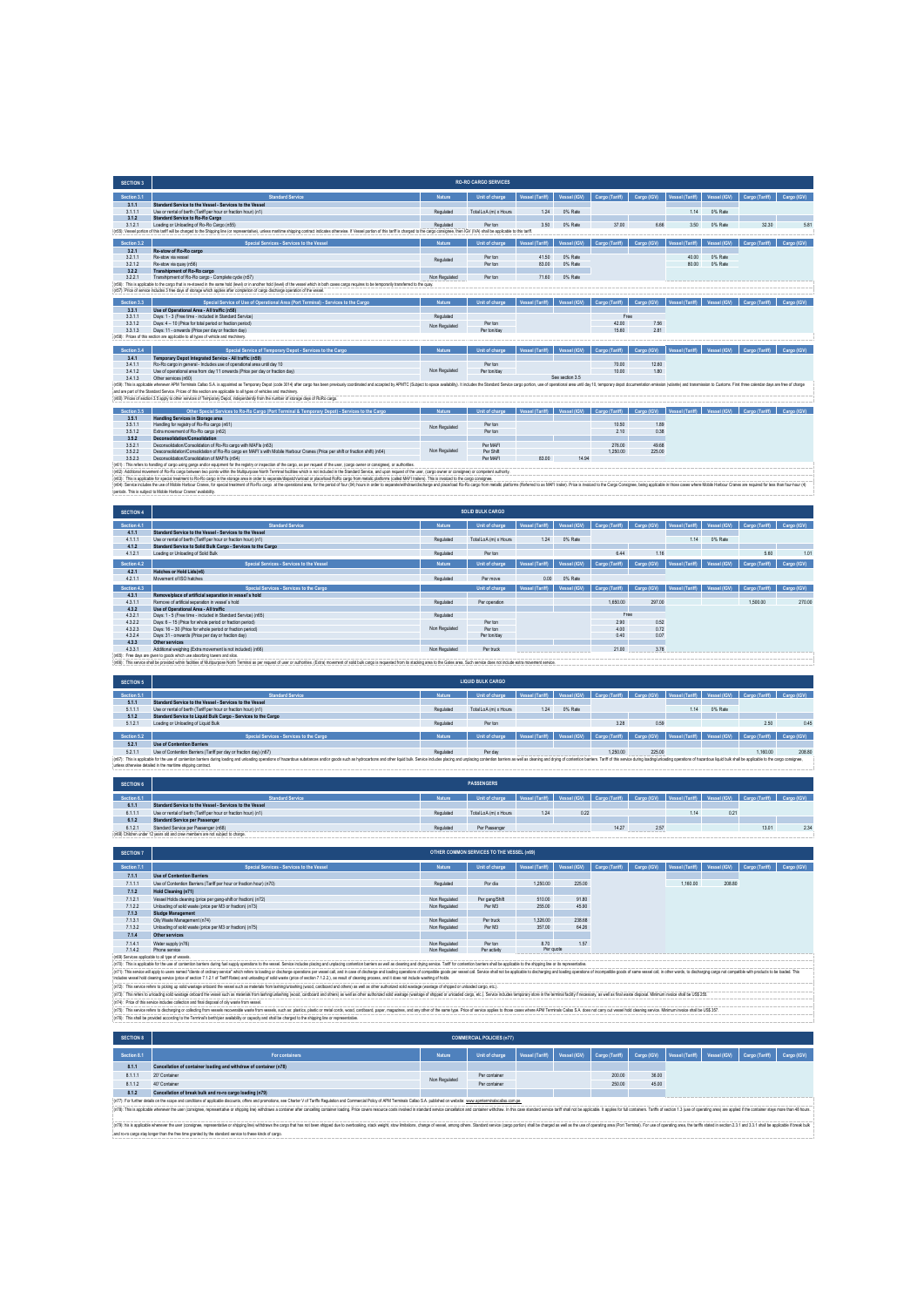| <b>SECTION 3</b> |                                                                                                                                                                                                                                |               | <b>RO-RO CARGO SERVICES</b> |                        |                 |                |             |                        |              |                |             |
|------------------|--------------------------------------------------------------------------------------------------------------------------------------------------------------------------------------------------------------------------------|---------------|-----------------------------|------------------------|-----------------|----------------|-------------|------------------------|--------------|----------------|-------------|
| Section 3.1      | <b>Standard Service</b>                                                                                                                                                                                                        | Nature.       | Unit of charge              | <b>Vessel (Tariff)</b> | Vessel (IGV)    | Cargo (Tariff) | Cargo (IGV) | <b>Vessel (Tariff)</b> | Vessel (IGV) | Cargo (Tariff) | Cargo (IGV) |
| 3.1.1            | Standard Service to the Vessel - Services to the Vessel                                                                                                                                                                        |               |                             |                        |                 |                |             |                        |              |                |             |
| 3.1.1.1          | Use or rental of berth (Tariff per hour or fraction hour) (n1)                                                                                                                                                                 | Requiated     | Total LoA (m) x Hours       | 1.24                   | 0% Rate         |                |             | 1.14                   | 0% Rate      |                |             |
| 3.1.2            | <b>Standard Service to Ro-Ro Cargo</b>                                                                                                                                                                                         |               |                             |                        |                 |                |             |                        |              |                |             |
| 3.1.2.1          | Loading or Unloading of Ro-Ro Cargo (n55)                                                                                                                                                                                      | Requisied     | Per ton                     | 3.50                   | 0% Rate         | 37.00          | 6.66        | 3.50                   | 0% Rate      | 32.30          | 5.81        |
|                  | (n55): Vessel portion of this tariff will be charged to the Shipping line (or representative), unless manitime shipping contract indicates otherwise. If Vessel portion of this tariff is charged to the cargo consignee, then |               |                             |                        |                 |                |             |                        |              |                |             |
| Section 3.2      | Special Services - Services to the Vessel                                                                                                                                                                                      | <b>Nature</b> | Unit of charge              | Vessel (Tariff)        | Vessel (IGV)    | Cargo (Tariff) | Cargo (IGV) | <b>Vessel (Tariff)</b> | Vessel (IGV) | Cargo (Tariff) | Cargo (IGV) |
| 3.2.1            | Re-stow of Ro-Ro cargo                                                                                                                                                                                                         |               |                             |                        |                 |                |             |                        |              |                |             |
| 3.2.1.1          | Re-stow via vesse                                                                                                                                                                                                              | Requiated     | Per ton                     | 41.50                  | 0% Rate         |                |             | 40.00                  | 0% Rate      |                |             |
| 3.2.12           | Re-stow via quay (n56)                                                                                                                                                                                                         |               | Per ton                     | 83.00                  | 0% Rate         |                |             | 80.00                  | 0% Rate      |                |             |
| 3.2.2            | Transhipment of Ro-Ro cargo                                                                                                                                                                                                    |               |                             |                        |                 |                |             |                        |              |                |             |
| 3.2.2.1          | Transhipment of Ro-Ro cargo - Complete cycle (n57)                                                                                                                                                                             | Non Regulated | Per ton                     | 71.60                  | 0% Rate         |                |             |                        |              |                |             |
|                  | (n56): This is applicable to the cargo that is re-stowed in the same hold (level) or in another hold (level) of the vessel which in both cases cargo requires to be temporarily transferred to the quay.                       |               |                             |                        |                 |                |             |                        |              |                |             |
|                  | (n57): Price of service includes 3 free days of storage which applies after completion of cargo discharge coeration of the vessel.                                                                                             |               |                             |                        |                 |                |             |                        |              |                |             |
| Section 3.3      | Special Service of Use of Operational Area (Port Terminal) - Services to the Cargo                                                                                                                                             | <b>Nature</b> | Unit of charge              | Vessel (Tariff)        | Vessel (IGV)    | Cargo (Tariff) | Cargo (IGV) | Vessel (Tariff)        | Vessel (IGV) | Cargo (Tariff) | Cargo (IGV) |
| 3.3.1            | Use of Operational Area - All traffic (n58)                                                                                                                                                                                    |               |                             |                        |                 |                |             |                        |              |                |             |
| 3311             | Days: 1 - 3 (Free time - included in Standard Service)                                                                                                                                                                         | Requisied     |                             |                        |                 | Free           |             |                        |              |                |             |
| 3312             | Days: 4 - 10 (Price for total period or fraction period)                                                                                                                                                                       |               | Per ton                     |                        |                 | 42.00          | 7.56        |                        |              |                |             |
| 3313             | Days: 11 - onwards (Price ner day or fraction day).                                                                                                                                                                            | Non Regulated | Per ton/day                 |                        |                 | 15.60          | 2.81        |                        |              |                |             |
|                  | (n58): Prices of this section are applicable to all types of vehicle and machinery.                                                                                                                                            |               |                             |                        |                 |                |             |                        |              |                |             |
|                  |                                                                                                                                                                                                                                |               |                             |                        |                 |                |             |                        |              |                |             |
| Section 3.4      | Special Service of Temporary Depot - Services to the Cargo                                                                                                                                                                     | <b>Nature</b> | Unit of charge              | Vessel (Tariff)        | Vessel (IGV)    | Cargo (Tariff) | Cargo (IGV) | Vessel (Tariff)        | Vessel (IGV) | Cargo (Tariff) | Cargo (IGV) |
| 3.4.1            | Temporary Depot Integrated Service - All traffic (n59)                                                                                                                                                                         |               |                             |                        |                 |                |             |                        |              |                |             |
| 3411             | Ro-Ro caroo in general - Indudes use of operational area until day 10                                                                                                                                                          |               | Per ton                     |                        |                 | 70.00          | 12.60       |                        |              |                |             |
| 3.4.12           | Use of operational area from day 11 onwards (Price per day or fraction day)                                                                                                                                                    | Non Regulated | Per ton/day                 |                        |                 | 10.00          | 1.80        |                        |              |                |             |
| 3413             | Other services (n60)                                                                                                                                                                                                           |               |                             |                        | See section 3.5 |                |             |                        |              |                |             |
|                  | (n59): This is applicable whenever APM Terminals Callao S.A. is appointed as Temporary Depot (code 3014) after cargo has been previously coordinated and accepted by APMTC (Subject to space availability). It includes the St |               |                             |                        |                 |                |             |                        |              |                |             |
|                  | and are part of the Standard Service. Prices of this section are applicable to all types of vehicles and machinery.                                                                                                            |               |                             |                        |                 |                |             |                        |              |                |             |
|                  | (n60): Prices of section 3.5 apply to other services of Temporary Depot, independently from the number of storage days of RoRo cargo.                                                                                          |               |                             |                        |                 |                |             |                        |              |                |             |
| Section 3.5      | Other Special Services to Ro-Ro Cargo (Port Terminal & Temporary Depot) - Services to the Cargo                                                                                                                                | <b>Nature</b> | Unit of charge              | Vessel (Tariff)        | Vessel (IGV)    | Cargo (Tariff) | Cargo (IGV) | Vessel (Tariff)        | Vessel (IGV) | Cargo (Tariff) | Cargo (IGV) |
| 3.5.1            | Handling Services in Storage area                                                                                                                                                                                              |               |                             |                        |                 |                |             |                        |              |                |             |
| 3.5.1.1          | Handling for registry of Ro-Ro cargo (n61)                                                                                                                                                                                     |               | Per ton                     |                        |                 | 10.50          | 1.89        |                        |              |                |             |
| 3.5.1.2          | Extra movement of Ro-Ro cargo (n62)                                                                                                                                                                                            | Non Regulated | Per ton                     |                        |                 | 2.10           | 0.38        |                        |              |                |             |
| 3.5.2            | Deconsolidation/Consolidation                                                                                                                                                                                                  |               |                             |                        |                 |                |             |                        |              |                |             |
| 3.5.2.1          | Deconsolidation/Consolidation of Ro-Ro cargo with MAEIs (n63)                                                                                                                                                                  |               | Per MAFI                    |                        |                 | 276.00         | 49.68       |                        |              |                |             |
| 3.5.2.2          | Desconsolidation/Consolidation of Ro-Ro cargo en MAFI's with Mobile Harbour Cranes (Price per shift or fraction shift) (n64)                                                                                                   | Non Regulated | Per Shift                   |                        |                 | 1,250.00       | 225.00      |                        |              |                |             |
| 3.5.23           | Deconsolidation/Consolidation of MAFI's (n54)                                                                                                                                                                                  |               | Per MAFI                    | 83.00                  | 14.94           |                |             |                        |              |                |             |
|                  | (n61) : This refers to handling of cargo using gangs and/or equipment for the registry or inspection of the cargo, as per request of the user, (cargo owner or consignee), or authorities.                                     |               |                             |                        |                 |                |             |                        |              |                |             |
|                  | (n52): Additional movement of Ro-Ro cargo between two points within the Multipurpose North Terminal facilities which is not included in the Standard Service, and upon request of the user, (cargo owner or consignee) or comp |               |                             |                        |                 |                |             |                        |              |                |             |
|                  | (n63): This is applicable for special treatment to Ro-Ro cargo in the storage area in order to separate/dispatch/unload or place/load RoRo cargo from metalic platforms (called MAFI trailers). This is invoiced to the cargo  |               |                             |                        |                 |                |             |                        |              |                |             |

| <b>SECTION 4</b> |                                                                                                                                                                                                                                |               | <b>SOLID BULK CARGO</b> |                 |              |                |             |                 |              |                |             |
|------------------|--------------------------------------------------------------------------------------------------------------------------------------------------------------------------------------------------------------------------------|---------------|-------------------------|-----------------|--------------|----------------|-------------|-----------------|--------------|----------------|-------------|
| Section 4.1      | <b>Standard Service</b>                                                                                                                                                                                                        | <b>Nature</b> | Unit of charge          | Vessel (Tariff) | Vessel (IGV) | Cargo (Tariff) | Cargo (IGV) | Vessel (Tariff) | Vessel (IGV) | Cargo (Tariff) | Cargo (IGV) |
| 4.1.1            | Standard Service to the Vessel - Services to the Vessel                                                                                                                                                                        |               |                         |                 |              |                |             |                 |              |                |             |
| 4.1.1.1          | Use or rental of berth (Tariff per hour or fraction hour) (n1)                                                                                                                                                                 | Regulated     | Total LoA (m) x Hours   | 1.24            | 0% Rate      |                |             | 1.14            | 0% Rate      |                |             |
| 4.1.2            | Standard Service to Solid Bulk Cargo - Services to the Cargo                                                                                                                                                                   |               |                         |                 |              |                |             |                 |              |                |             |
| 4.1.2.1          | Loading or Unloading of Solid Bulk                                                                                                                                                                                             | Regulated     | Per ton                 |                 |              | 6.44           | 1.16        |                 |              | 5.60           | 1.01        |
| Section 4.2      | Special Services - Services to the Vessel                                                                                                                                                                                      | <b>Nature</b> | Unit of charge          | Vessel (Tariff) | Vessel (IGV) | Cargo (Tariff) | Cargo (IGV) | Vessel (Tariff) | Vessel (IGV) | Cargo (Tariff) | Cargo (IGV) |
|                  |                                                                                                                                                                                                                                |               |                         |                 |              |                |             |                 |              |                |             |
| 4.2.1            | <b>Hatches or Hold Lids(n6)</b>                                                                                                                                                                                                |               |                         |                 |              |                |             |                 |              |                |             |
| 4211             | Movement of ISO hatches                                                                                                                                                                                                        | Regulated     | Per move                | 0.00            | 0% Rate      |                |             |                 |              |                |             |
| Section 4.3      | Special Services - Services to the Cargo                                                                                                                                                                                       |               | Unit of charge          | Vessel (Tariff) | Vessel (IGV) | Cargo (Tariff) | Cargo (IGV) | Vessel (Tariff) | Vessel (IGV) | Cargo (Tariff) | Cargo (IGV) |
| 4.3.1            | Remove/place of artificial separation in vessel's hold                                                                                                                                                                         |               |                         |                 |              |                |             |                 |              |                |             |
| 4.3.1.1          | Remove of artificial senaration in yessel's hold                                                                                                                                                                               | Regulated     | Per operation           |                 |              | 1,650.00       | 297.00      |                 |              | 1,500.00       | 270.00      |
| 4.3.2            | Use of Operational Area - All traffic                                                                                                                                                                                          |               |                         |                 |              |                |             |                 |              |                |             |
| 4.3.2.1          | Days: 1 - 5 (Free time - included in Standard Service) (n65)                                                                                                                                                                   | Requiated     |                         |                 |              | Free           |             |                 |              |                |             |
| 4.3.2.2          | Days: 6 - 15 (Price for whole period or fraction period)                                                                                                                                                                       |               | Per ton                 |                 |              | 2.90           | 0.52        |                 |              |                |             |
| 4.3.2.3          | Days: 16 - 30 (Price for whole period or fraction period)                                                                                                                                                                      | Non Regulated | Per ton                 |                 |              | 4.00           | 0.72        |                 |              |                |             |
| 4.3.2.4          | Days: 31 - onwards (Price per day or fraction day)                                                                                                                                                                             |               | Per ton/day             |                 |              | 0.40           | 0.07        |                 |              |                |             |
| 4.3.3            | Other services                                                                                                                                                                                                                 |               |                         |                 |              |                |             |                 |              |                |             |
| 4.3.3.1          | Additional weighing (Extra movement is not included) (n66)                                                                                                                                                                     | Non Regulated | Per truck               |                 |              | 21.00          | 3.78        |                 |              |                |             |
|                  | (n65): Free days are given to goods which use absorbing towers and silos.                                                                                                                                                      |               |                         |                 |              |                |             |                 |              |                |             |
|                  | (n66): This service shall be provided within facilities of Multipurpose North Terminal as per request of user or authorities. (Extra) movement of solid bulk cargo is requested from its stacking area to the Gates area. Such |               |                         |                 |              |                |             |                 |              |                |             |

(r6)). Some the most of the biotocome of the substant of the control are the providing to the project of the prodict of the substant of the prodict of the substant of the substant of the substant of the substant of the sub

| SECTION 5   |                                                                                                                                                                                                                                                                                                |               | <b>LIQUID BULK CARGO</b> |      |         |          |        |      |         |                                                                                                                               |       |
|-------------|------------------------------------------------------------------------------------------------------------------------------------------------------------------------------------------------------------------------------------------------------------------------------------------------|---------------|--------------------------|------|---------|----------|--------|------|---------|-------------------------------------------------------------------------------------------------------------------------------|-------|
| Section 5.1 | <b>Standard Service</b>                                                                                                                                                                                                                                                                        | <b>Nature</b> | Unit of charge           |      |         |          |        |      |         | Vessel (Tariff)   Vessel (IGV)   Cargo (Tariff)   Cargo (IGV)   Vessel (Tariff)   Vessel (IGV)   Cargo (Tariff)   Cargo (IGV) |       |
| 5.1.1       | Standard Service to the Vessel - Services to the Vessel                                                                                                                                                                                                                                        |               |                          |      |         |          |        |      |         |                                                                                                                               |       |
| 5.1.1.1     | Use or rental of berth (Tariff per hour or fraction hour) (n1)                                                                                                                                                                                                                                 | Requiated     | Total LoA (m) x Hours    | 1.24 | 0% Rate |          |        | 1.14 | 0% Rate |                                                                                                                               |       |
| 5.1.2       | Standard Service to Liquid Bulk Cargo - Services to the Cargo                                                                                                                                                                                                                                  |               |                          |      |         |          |        |      |         |                                                                                                                               |       |
| 5.1.2.1     | Loading or Unloading of Liquid Bulk                                                                                                                                                                                                                                                            | Requiated     | Per ton                  |      |         | 3.28     | 0.59   |      |         | 2.50                                                                                                                          | 0.45  |
|             |                                                                                                                                                                                                                                                                                                |               |                          |      |         |          |        |      |         |                                                                                                                               |       |
| Section 5.2 | Special Services - Services to the Cargo                                                                                                                                                                                                                                                       | <b>Nature</b> | Unit of charge           |      |         |          |        |      |         | Vessel (Tariff)   Vessel (IGV)   Cargo (Tariff)   Cargo (IGV)   Vessel (Tariff)   Vessel (IGV)   Cargo (Tariff)   Cargo (IGV) |       |
| 5.2.1       | Use of Contention Barriers                                                                                                                                                                                                                                                                     |               |                          |      |         |          |        |      |         |                                                                                                                               |       |
| 5211        | Use of Contention Barriers (Tariff per day or fraction day) (n67)                                                                                                                                                                                                                              | Requiated     | Per day                  |      |         | 1,250.00 | 225.00 |      |         | 1.160.00                                                                                                                      | 208.8 |
|             | : In67): This is applicable for the use of contention barriers during loading careform of Inbasing coestions of hazardous substances and/or ocods such as highcarbors and other liquid bulk. Service includes obting and undat<br>unless otherwise detailed in the maritime shipping contract. |               |                          |      |         |          |        |      |         |                                                                                                                               |       |

| <b>SECTION 6</b> |                                                                                 |               | <b>PASSENGERS</b>                                                                                                                              |      |      |       |           |      |      |       |    |
|------------------|---------------------------------------------------------------------------------|---------------|------------------------------------------------------------------------------------------------------------------------------------------------|------|------|-------|-----------|------|------|-------|----|
| Section 6.1      | <b>Standard Service</b>                                                         | <b>Nature</b> | Unit of charge   Vessel (Tariff)   Vessel (IGV)   Cargo (Tariff)   Cargo (IGV)   Vessel (Tariff)   Vessel (IGV)   Cargo (Tariff)   Cargo (IGV) |      |      |       |           |      |      |       |    |
| 6.1.1            | Standard Service to the Vessel - Services to the Vessel                         |               |                                                                                                                                                |      |      |       |           |      |      |       |    |
| 6.1.1.1          | Use or rental of berth (Tariff per hour or fraction hour) (n1)                  | Regulated     | Total LoA (m) x Hours                                                                                                                          | 1.24 | 0.22 |       |           | 1.14 | 0.21 |       |    |
| 6.1.2            | <b>Standard Service per Passenger</b>                                           |               |                                                                                                                                                |      |      |       |           |      |      |       |    |
| 6.1.2.1          | Standard Service per Passenger (n68)                                            | Requisied     | Per Passenger                                                                                                                                  |      |      | 14.27 | 2.57<br>. |      |      | 13.01 | 23 |
|                  | : (n68) Children under 12 years old and crew members are not subject to charge. |               |                                                                                                                                                |      |      |       |           |      |      |       |    |
|                  |                                                                                 |               |                                                                                                                                                |      |      |       |           |      |      |       |    |

| Special Services - Services to the Vessel                           | <b>Nature</b>                                     | Unit of charge                                                                                                                                                                                                      | Vessel (Tariff) | Vessel (IGV)                                          | Cargo (Tariff)                                                                                                                                                                                                                                                 | Cargo (IGV) | Vessel (Tariff) | Vessel (IGV) | Cargo (IGV)                                                                                                                                                                                                                                      |
|---------------------------------------------------------------------|---------------------------------------------------|---------------------------------------------------------------------------------------------------------------------------------------------------------------------------------------------------------------------|-----------------|-------------------------------------------------------|----------------------------------------------------------------------------------------------------------------------------------------------------------------------------------------------------------------------------------------------------------------|-------------|-----------------|--------------|--------------------------------------------------------------------------------------------------------------------------------------------------------------------------------------------------------------------------------------------------|
| <b>Use of Contention Barriers</b>                                   |                                                   |                                                                                                                                                                                                                     |                 |                                                       |                                                                                                                                                                                                                                                                |             |                 |              |                                                                                                                                                                                                                                                  |
| Use of Contention Barriers (Tariff per hour or fraction hour) (n70) | Requiated                                         | Por dia                                                                                                                                                                                                             | 1,250.00        | 225.00                                                |                                                                                                                                                                                                                                                                |             | 1,160.00        | 208.80       |                                                                                                                                                                                                                                                  |
| <b>Hold Cleaning (n71)</b>                                          |                                                   |                                                                                                                                                                                                                     |                 |                                                       |                                                                                                                                                                                                                                                                |             |                 |              |                                                                                                                                                                                                                                                  |
| Vessel Holds cleaning (price per gang-shift or fraction) (n72)      | Non Regulated                                     | Per gang/Shift                                                                                                                                                                                                      | 510.00          | 91.80                                                 |                                                                                                                                                                                                                                                                |             |                 |              |                                                                                                                                                                                                                                                  |
| Unloading of solid waste (price per M3 or fraction) (n73)           | Non Regulated                                     | Per M3                                                                                                                                                                                                              | 255.00          | 45.90                                                 |                                                                                                                                                                                                                                                                |             |                 |              |                                                                                                                                                                                                                                                  |
| Sludge Management                                                   |                                                   |                                                                                                                                                                                                                     |                 |                                                       |                                                                                                                                                                                                                                                                |             |                 |              |                                                                                                                                                                                                                                                  |
| Oily Waste Management (n74)                                         | Non Regulated                                     | Per truck                                                                                                                                                                                                           |                 |                                                       |                                                                                                                                                                                                                                                                |             |                 |              |                                                                                                                                                                                                                                                  |
| Unloading of solid waste (price per M3 or fraction) (n75).          | Non Regulated                                     | Per M3                                                                                                                                                                                                              | 357.00          |                                                       |                                                                                                                                                                                                                                                                |             |                 |              |                                                                                                                                                                                                                                                  |
| Other services                                                      |                                                   |                                                                                                                                                                                                                     |                 |                                                       |                                                                                                                                                                                                                                                                |             |                 |              |                                                                                                                                                                                                                                                  |
| Water supply (n76)                                                  | Non Regulated                                     | Per ton                                                                                                                                                                                                             | 8.70            | 1.57                                                  |                                                                                                                                                                                                                                                                |             |                 |              |                                                                                                                                                                                                                                                  |
| Phone service                                                       | Non Regulated                                     | Per activity                                                                                                                                                                                                        |                 |                                                       |                                                                                                                                                                                                                                                                |             |                 |              |                                                                                                                                                                                                                                                  |
|                                                                     |                                                   |                                                                                                                                                                                                                     |                 |                                                       |                                                                                                                                                                                                                                                                |             |                 |              |                                                                                                                                                                                                                                                  |
|                                                                     |                                                   |                                                                                                                                                                                                                     |                 |                                                       |                                                                                                                                                                                                                                                                |             |                 |              |                                                                                                                                                                                                                                                  |
|                                                                     |                                                   |                                                                                                                                                                                                                     |                 |                                                       |                                                                                                                                                                                                                                                                |             |                 |              |                                                                                                                                                                                                                                                  |
|                                                                     |                                                   |                                                                                                                                                                                                                     |                 |                                                       |                                                                                                                                                                                                                                                                |             |                 |              |                                                                                                                                                                                                                                                  |
|                                                                     | (n69) Services applicable to all type of vessels. | includes vessel hold cleaning service (price of section 7.1.2.1 of Tariff Rates) and unloading of solid waste (price of section 7.1.2.2.), as result of cleaning process, and it does not include washing of holds. |                 | OTHER COMMON SERVICES TO THE VESSEL (n69)<br>1,326.00 | 238.68<br>64.26<br>Per quote<br>(n70): This is applicable for the use of contention barriers during fuel supply operations to the vessel. Service includes placing and unplacing contention barriers as well as clearing and drying service. Tariff for conten |             |                 |              | Cargo (Tariff)<br>(n71): This service will apply to users named "clerits of ordinary service" which refers to loading or discharge coerations per vessel call. and in case of discharge and loading coordions of cornolible coods or wessel call |

(n7). This who releve to play a sole andoported the east out and a math and product in the state of the state of the state of the state of the state of the state of the state of the state of the state of the state of the s

(n76): This shall be provided according to the Terminal's berth/pier availability or capacity and shall be charged to the shipping line or representative.

| <b>SECTION 8</b> | <b>COMMERCIAL POLICIES (n77)</b>                                                                                                                                                                                               |               |                |                 |              |                |             |                                             |  |  |             |  |  |
|------------------|--------------------------------------------------------------------------------------------------------------------------------------------------------------------------------------------------------------------------------|---------------|----------------|-----------------|--------------|----------------|-------------|---------------------------------------------|--|--|-------------|--|--|
| Section 8.1      | For containers                                                                                                                                                                                                                 | <b>Nature</b> | Unit of charge | Vessel (Tariff) | Vessel (IGV) | Cargo (Tariff) | Cargo (IGV) | Vessel (Tariff) Vessel (IGV) Cargo (Tariff) |  |  | Cargo (IGV) |  |  |
| 8.1.1            | Cancellation of container loading and withdraw of container (n78)                                                                                                                                                              |               |                |                 |              |                |             |                                             |  |  |             |  |  |
| 8.1.1.1          | 20" Container                                                                                                                                                                                                                  | Non Regulated | Per container  |                 |              | 200.00         | 36.00       |                                             |  |  |             |  |  |
| 8112             | 40° Container                                                                                                                                                                                                                  |               | Per mntainer   |                 |              | 250.00         | 45.00       |                                             |  |  |             |  |  |
| 8.1.2            | Cancellation of break bulk and ro-ro cargo loading (n79)                                                                                                                                                                       |               |                |                 |              |                |             |                                             |  |  |             |  |  |
|                  | : (n77): For further details on the scope and conditions of applicable discounts, offers and promptions, see Charter V of Tariffs Regulation and Commercial Policy of APM Terminals Callap S.A. published on website: www.apmt |               |                |                 |              |                |             |                                             |  |  |             |  |  |
|                  | : (n78): This is applicable whenever the user (consigne, representative or shipping Whichaws a container after canceling container loading. Price covers resource costs involved in standard service cancellation and containe |               |                |                 |              |                |             |                                             |  |  |             |  |  |

(n79): his is applicable whenever the user (consignee, representative or shipping line) withdraws the cargo that has not been shipped due to overbooking, stack weight, stow limitations, change of vessel, among others. Standard service (cargo portion) shall be charged as well as the use of operating area (Port Terminal). For use of operating area, the tariffs stated in section 2.3.1 and 3.3.1 shall be applicable if break bulk and ro-ro cargo stay longer than the free time granted by the standard service to these kinds of cargo.